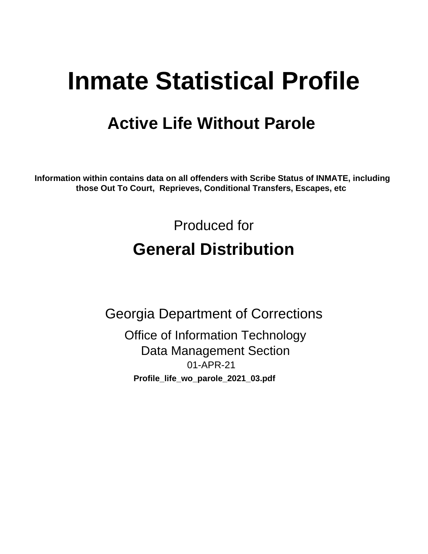# **Inmate Statistical Profile**

## **Active Life Without Parole**

Information within contains data on all offenders with Scribe Status of INMATE, including those Out To Court, Reprieves, Conditional Transfers, Escapes, etc

> Produced for **General Distribution**

**Georgia Department of Corrections Office of Information Technology Data Management Section** 01-APR-21 Profile\_life\_wo\_parole\_2021\_03.pdf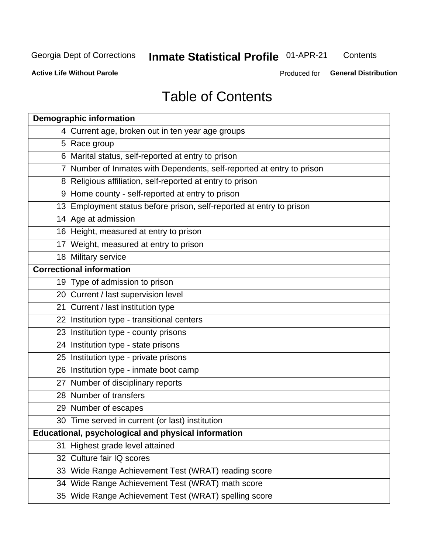## **Inmate Statistical Profile 01-APR-21**

Contents

**Active Life Without Parole** 

Produced for General Distribution

## **Table of Contents**

|    | <b>Demographic information</b>                                        |
|----|-----------------------------------------------------------------------|
|    | 4 Current age, broken out in ten year age groups                      |
|    | 5 Race group                                                          |
|    | 6 Marital status, self-reported at entry to prison                    |
|    | 7 Number of Inmates with Dependents, self-reported at entry to prison |
|    | 8 Religious affiliation, self-reported at entry to prison             |
|    | 9 Home county - self-reported at entry to prison                      |
|    | 13 Employment status before prison, self-reported at entry to prison  |
|    | 14 Age at admission                                                   |
|    | 16 Height, measured at entry to prison                                |
|    | 17 Weight, measured at entry to prison                                |
|    | 18 Military service                                                   |
|    | <b>Correctional information</b>                                       |
|    | 19 Type of admission to prison                                        |
|    | 20 Current / last supervision level                                   |
|    | 21 Current / last institution type                                    |
|    | 22 Institution type - transitional centers                            |
|    | 23 Institution type - county prisons                                  |
|    | 24 Institution type - state prisons                                   |
|    | 25 Institution type - private prisons                                 |
|    | 26 Institution type - inmate boot camp                                |
|    | 27 Number of disciplinary reports                                     |
|    | 28 Number of transfers                                                |
|    | 29 Number of escapes                                                  |
|    | 30 Time served in current (or last) institution                       |
|    | Educational, psychological and physical information                   |
| 31 | Highest grade level attained                                          |
|    | 32 Culture fair IQ scores                                             |
|    | 33 Wide Range Achievement Test (WRAT) reading score                   |
|    | 34 Wide Range Achievement Test (WRAT) math score                      |
|    | 35 Wide Range Achievement Test (WRAT) spelling score                  |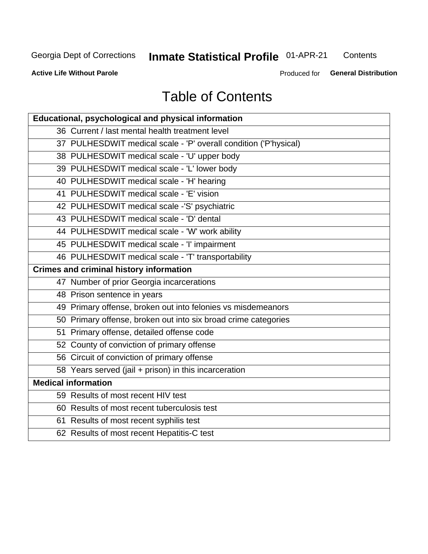## **Inmate Statistical Profile 01-APR-21**

Contents

**Active Life Without Parole** 

Produced for General Distribution

## **Table of Contents**

| Educational, psychological and physical information              |
|------------------------------------------------------------------|
| 36 Current / last mental health treatment level                  |
| 37 PULHESDWIT medical scale - 'P' overall condition ('P'hysical) |
| 38 PULHESDWIT medical scale - 'U' upper body                     |
| 39 PULHESDWIT medical scale - 'L' lower body                     |
| 40 PULHESDWIT medical scale - 'H' hearing                        |
| 41 PULHESDWIT medical scale - 'E' vision                         |
| 42 PULHESDWIT medical scale -'S' psychiatric                     |
| 43 PULHESDWIT medical scale - 'D' dental                         |
| 44 PULHESDWIT medical scale - 'W' work ability                   |
| 45 PULHESDWIT medical scale - 'I' impairment                     |
| 46 PULHESDWIT medical scale - 'T' transportability               |
| <b>Crimes and criminal history information</b>                   |
| 47 Number of prior Georgia incarcerations                        |
| 48 Prison sentence in years                                      |
| 49 Primary offense, broken out into felonies vs misdemeanors     |
| 50 Primary offense, broken out into six broad crime categories   |
| 51 Primary offense, detailed offense code                        |
| 52 County of conviction of primary offense                       |
| 56 Circuit of conviction of primary offense                      |
| 58 Years served (jail + prison) in this incarceration            |
| <b>Medical information</b>                                       |
| 59 Results of most recent HIV test                               |
| 60 Results of most recent tuberculosis test                      |
| 61 Results of most recent syphilis test                          |
| 62 Results of most recent Hepatitis-C test                       |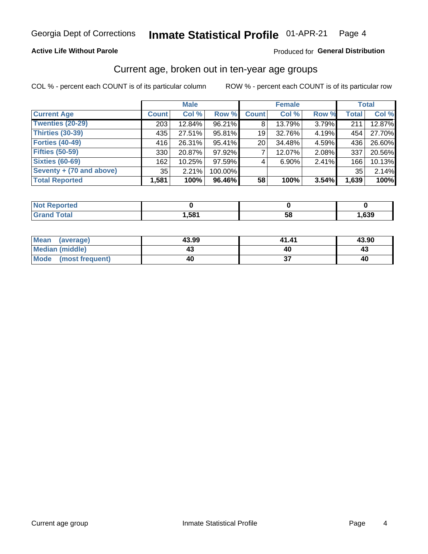### **Active Life Without Parole**

#### **Produced for General Distribution**

### Current age, broken out in ten-year age groups

COL % - percent each COUNT is of its particular column

|                          |              | <b>Male</b> |         |              | <b>Female</b> |       |              | <b>Total</b> |  |
|--------------------------|--------------|-------------|---------|--------------|---------------|-------|--------------|--------------|--|
| <b>Current Age</b>       | <b>Count</b> | Col %       | Row %   | <b>Count</b> | Col %         | Row % | <b>Total</b> | Col %        |  |
| Twenties (20-29)         | 203          | 12.84%      | 96.21%  | 8            | 13.79%        | 3.79% | 211          | 12.87%       |  |
| Thirties (30-39)         | 435          | 27.51%      | 95.81%  | 19           | 32.76%        | 4.19% | 454          | 27.70%       |  |
| <b>Forties (40-49)</b>   | 416          | 26.31%      | 95.41%  | 20           | 34.48%        | 4.59% | 436          | 26.60%       |  |
| <b>Fifties (50-59)</b>   | 330          | 20.87%      | 97.92%  |              | 12.07%        | 2.08% | 337          | 20.56%       |  |
| <b>Sixties (60-69)</b>   | 162          | 10.25%      | 97.59%  | 4            | 6.90%         | 2.41% | 166          | 10.13%       |  |
| Seventy + (70 and above) | 35           | 2.21%       | 100.00% |              |               |       | 35           | 2.14%        |  |
| <b>Total Reported</b>    | 1,581        | 100%        | 96.46%  | 58           | 100%          | 3.54% | 1,639        | 100%         |  |

| <b>NO</b><br>.eported |      |    |      |
|-----------------------|------|----|------|
| <b>otal</b><br>--     | .581 | 58 | ,639 |

| Mean<br>(average)      | 43.99 | 41.41     | 43.90 |
|------------------------|-------|-----------|-------|
| <b>Median (middle)</b> |       | <b>40</b> |       |
| Mode (most frequent)   | 40    | ູ         | 40    |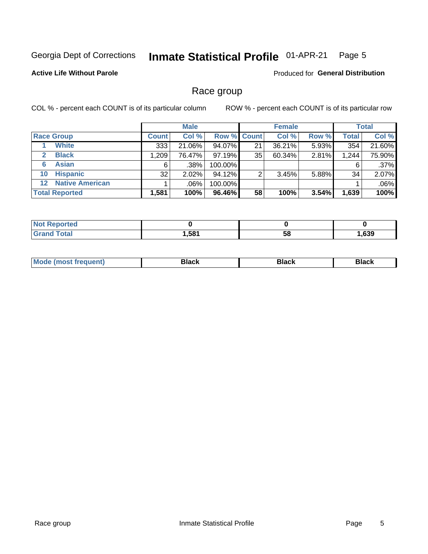#### Inmate Statistical Profile 01-APR-21 Page 5

### **Active Life Without Parole**

**Produced for General Distribution** 

### Race group

COL % - percent each COUNT is of its particular column

|                       |                        |              | <b>Male</b> |         |                    | <b>Female</b> |       |              | <b>Total</b> |  |
|-----------------------|------------------------|--------------|-------------|---------|--------------------|---------------|-------|--------------|--------------|--|
|                       | <b>Race Group</b>      | <b>Count</b> | Col %       |         | <b>Row % Count</b> | Col %         | Row % | <b>Total</b> | Col %        |  |
|                       | <b>White</b>           | 333          | 21.06%      | 94.07%  | 21                 | 36.21%        | 5.93% | 354          | 21.60%       |  |
| $\mathbf{2}$          | <b>Black</b>           | 1,209        | 76.47%      | 97.19%  | 35                 | 60.34%        | 2.81% | 1,244        | 75.90%       |  |
| 6                     | <b>Asian</b>           | 6            | .38%        | 100.00% |                    |               |       | 6            | .37%         |  |
| 10                    | <b>Hispanic</b>        | 32           | 2.02%       | 94.12%  | ◠                  | 3.45%         | 5.88% | 34           | 2.07%        |  |
| 12 <sup>1</sup>       | <b>Native American</b> |              | .06%        | 100.00% |                    |               |       |              | .06%         |  |
| <b>Total Reported</b> |                        | 1,581        | 100%        | 96.46%  | 58                 | 100%          | 3.54% | 1,639        | 100%         |  |

| <b>rted</b> |      |    |      |
|-------------|------|----|------|
| $F0$ tol    | .581 | 58 | ,639 |

| M |  |  |
|---|--|--|
|   |  |  |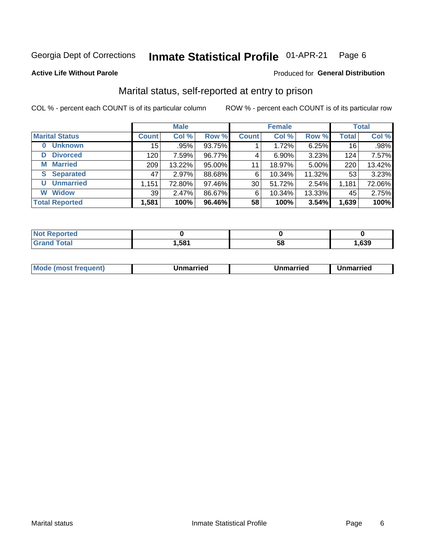#### Inmate Statistical Profile 01-APR-21 Page 6

#### **Active Life Without Parole**

#### Produced for General Distribution

## Marital status, self-reported at entry to prison

COL % - percent each COUNT is of its particular column

|                            | <b>Male</b>  |         |        | <b>Female</b> |        |        | <b>Total</b> |        |
|----------------------------|--------------|---------|--------|---------------|--------|--------|--------------|--------|
| <b>Marital Status</b>      | <b>Count</b> | Col %   | Row %  | <b>Count</b>  | Col %  | Row %  | <b>Total</b> | Col %  |
| <b>Unknown</b><br>$\bf{0}$ | 15           | $.95\%$ | 93.75% |               | 1.72%  | 6.25%  | 16           | .98%   |
| <b>Divorced</b><br>D       | 120          | 7.59%   | 96.77% | 4             | 6.90%  | 3.23%  | 124          | 7.57%  |
| <b>Married</b><br>М        | 209          | 13.22%  | 95.00% | 11            | 18.97% | 5.00%  | 220          | 13.42% |
| <b>Separated</b><br>S.     | 47           | 2.97%   | 88.68% | 6             | 10.34% | 11.32% | 53           | 3.23%  |
| <b>Unmarried</b><br>U      | 1,151        | 72.80%  | 97.46% | 30            | 51.72% | 2.54%  | 1,181        | 72.06% |
| <b>Widow</b><br>W          | 39           | 2.47%   | 86.67% | 6             | 10.34% | 13.33% | 45           | 2.75%  |
| <b>Total Reported</b>      | 1,581        | 100%    | 96.46% | 58            | 100%   | 3.54%  | 1,639        | 100%   |

| <b>Not Reported</b><br>. <b>.</b> |       |    |      |
|-----------------------------------|-------|----|------|
| Total                             | 581,ا | Эč | .639 |

|--|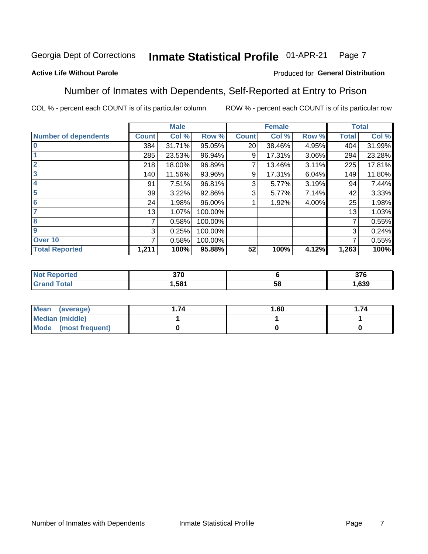#### Inmate Statistical Profile 01-APR-21 Page 7

### **Active Life Without Parole**

### Produced for General Distribution

### Number of Inmates with Dependents, Self-Reported at Entry to Prison

COL % - percent each COUNT is of its particular column

|                             |              | <b>Male</b> |         |              | <b>Female</b> |       |              | <b>Total</b> |
|-----------------------------|--------------|-------------|---------|--------------|---------------|-------|--------------|--------------|
| <b>Number of dependents</b> | <b>Count</b> | Col %       | Row %   | <b>Count</b> | Col %         | Row % | <b>Total</b> | Col %        |
| $\bf{0}$                    | 384          | 31.71%      | 95.05%  | 20           | 38.46%        | 4.95% | 404          | 31.99%       |
|                             | 285          | 23.53%      | 96.94%  | 9            | 17.31%        | 3.06% | 294          | 23.28%       |
| $\overline{2}$              | 218          | 18.00%      | 96.89%  |              | 13.46%        | 3.11% | 225          | 17.81%       |
| 3                           | 140          | 11.56%      | 93.96%  | 9            | 17.31%        | 6.04% | 149          | 11.80%       |
| 4                           | 91           | 7.51%       | 96.81%  | 3            | 5.77%         | 3.19% | 94           | 7.44%        |
| 5                           | 39           | 3.22%       | 92.86%  | 3            | 5.77%         | 7.14% | 42           | 3.33%        |
| $6\phantom{1}6$             | 24           | 1.98%       | 96.00%  |              | 1.92%         | 4.00% | 25           | 1.98%        |
| 7                           | 13           | 1.07%       | 100.00% |              |               |       | 13           | 1.03%        |
| 8                           | 7            | 0.58%       | 100.00% |              |               |       | 7            | 0.55%        |
| 9                           | 3            | 0.25%       | 100.00% |              |               |       | 3            | 0.24%        |
| Over 10                     | 7            | 0.58%       | 100.00% |              |               |       | 7            | 0.55%        |
| <b>Total Reported</b>       | 1,211        | 100%        | 95.88%  | 52           | 100%          | 4.12% | 1,263        | 100%         |

| 270<br>J/U<br>- - |          | <b>276</b><br>ა / O |
|-------------------|----------|---------------------|
| .581              | . .<br>◡ | ,639                |

| Mean<br>(average)      | 1.60 | .74 |
|------------------------|------|-----|
| <b>Median (middle)</b> |      |     |
| Mode (most frequent)   |      |     |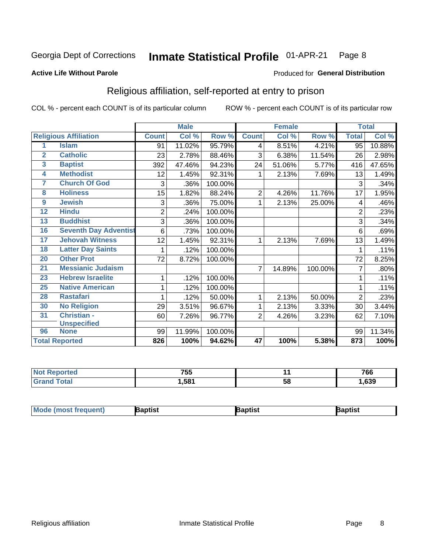#### Inmate Statistical Profile 01-APR-21 Page 8

#### **Active Life Without Parole**

#### Produced for General Distribution

## Religious affiliation, self-reported at entry to prison

COL % - percent each COUNT is of its particular column

|                         |                              |                | <b>Male</b> |         |                 | <b>Female</b> |         |                | <b>Total</b> |
|-------------------------|------------------------------|----------------|-------------|---------|-----------------|---------------|---------|----------------|--------------|
|                         | <b>Religious Affiliation</b> | <b>Count</b>   | Col %       | Row %   | <b>Count</b>    | Col %         | Row %   | <b>Total</b>   | Col %        |
| 1                       | <b>Islam</b>                 | 91             | 11.02%      | 95.79%  | 4               | 8.51%         | 4.21%   | 95             | 10.88%       |
| $\overline{\mathbf{2}}$ | <b>Catholic</b>              | 23             | 2.78%       | 88.46%  | 3               | 6.38%         | 11.54%  | 26             | 2.98%        |
| 3                       | <b>Baptist</b>               | 392            | 47.46%      | 94.23%  | 24              | 51.06%        | 5.77%   | 416            | 47.65%       |
| 4                       | <b>Methodist</b>             | 12             | 1.45%       | 92.31%  |                 | 2.13%         | 7.69%   | 13             | 1.49%        |
| 7                       | <b>Church Of God</b>         | 3              | .36%        | 100.00% |                 |               |         | 3              | .34%         |
| 8                       | <b>Holiness</b>              | 15             | 1.82%       | 88.24%  | 2               | 4.26%         | 11.76%  | 17             | 1.95%        |
| 9                       | <b>Jewish</b>                | 3              | .36%        | 75.00%  | 1               | 2.13%         | 25.00%  | 4              | .46%         |
| 12                      | <b>Hindu</b>                 | $\overline{2}$ | .24%        | 100.00% |                 |               |         | $\overline{2}$ | .23%         |
| 13                      | <b>Buddhist</b>              | 3              | .36%        | 100.00% |                 |               |         | 3              | .34%         |
| 16                      | <b>Seventh Day Adventist</b> | 6              | .73%        | 100.00% |                 |               |         | 6              | .69%         |
| 17                      | <b>Jehovah Witness</b>       | 12             | 1.45%       | 92.31%  | 1               | 2.13%         | 7.69%   | 13             | 1.49%        |
| 18                      | <b>Latter Day Saints</b>     |                | .12%        | 100.00% |                 |               |         | 1              | .11%         |
| 20                      | <b>Other Prot</b>            | 72             | 8.72%       | 100.00% |                 |               |         | 72             | 8.25%        |
| 21                      | <b>Messianic Judaism</b>     |                |             |         | 7               | 14.89%        | 100.00% |                | .80%         |
| 23                      | <b>Hebrew Israelite</b>      |                | .12%        | 100.00% |                 |               |         | 1              | .11%         |
| 25                      | <b>Native American</b>       |                | .12%        | 100.00% |                 |               |         |                | .11%         |
| 28                      | <b>Rastafari</b>             |                | .12%        | 50.00%  | 1               | 2.13%         | 50.00%  | $\overline{2}$ | .23%         |
| 30                      | <b>No Religion</b>           | 29             | 3.51%       | 96.67%  | 1               | 2.13%         | 3.33%   | 30             | 3.44%        |
| 31                      | Christian -                  | 60             | 7.26%       | 96.77%  | $\overline{2}$  | 4.26%         | 3.23%   | 62             | 7.10%        |
|                         | <b>Unspecified</b>           |                |             |         |                 |               |         |                |              |
| 96                      | <b>None</b>                  | 99             | 11.99%      | 100.00% |                 |               |         | 99             | 11.34%       |
|                         | <b>Total Reported</b>        | 826            | 100%        | 94.62%  | $\overline{47}$ | 100%          | 5.38%   | 873            | 100%         |

| τeσ | 755  |    | 766 |
|-----|------|----|-----|
|     | .581 | ာင | 639 |

| <b>Mode (most frequent)</b> | aptist | Baptist | Baptist |
|-----------------------------|--------|---------|---------|
|-----------------------------|--------|---------|---------|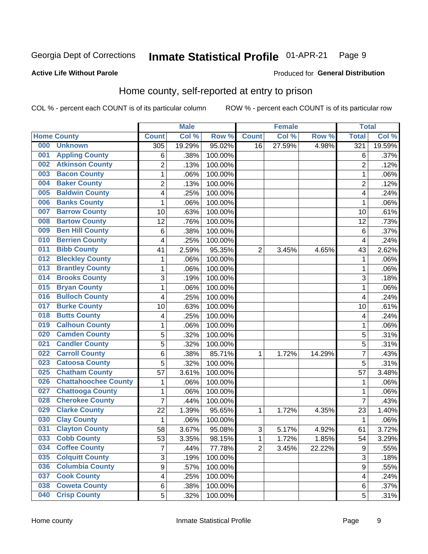#### Inmate Statistical Profile 01-APR-21 Page 9

#### **Active Life Without Parole**

#### Produced for General Distribution

## Home county, self-reported at entry to prison

COL % - percent each COUNT is of its particular column

|     |                             |                         | <b>Male</b> |         |                | <b>Female</b> |        | <b>Total</b>     |        |
|-----|-----------------------------|-------------------------|-------------|---------|----------------|---------------|--------|------------------|--------|
|     | <b>Home County</b>          | <b>Count</b>            | Col %       | Row %   | <b>Count</b>   | Col %         | Row %  | <b>Total</b>     | Col %  |
| 000 | <b>Unknown</b>              | 305                     | 19.29%      | 95.02%  | 16             | 27.59%        | 4.98%  | 321              | 19.59% |
| 001 | <b>Appling County</b>       | 6                       | .38%        | 100.00% |                |               |        | 6                | .37%   |
| 002 | <b>Atkinson County</b>      | $\overline{2}$          | .13%        | 100.00% |                |               |        | $\overline{2}$   | .12%   |
| 003 | <b>Bacon County</b>         | $\mathbf 1$             | .06%        | 100.00% |                |               |        | 1                | .06%   |
| 004 | <b>Baker County</b>         | $\overline{2}$          | .13%        | 100.00% |                |               |        | $\overline{2}$   | .12%   |
| 005 | <b>Baldwin County</b>       | 4                       | .25%        | 100.00% |                |               |        | 4                | .24%   |
| 006 | <b>Banks County</b>         | $\mathbf{1}$            | .06%        | 100.00% |                |               |        | 1                | .06%   |
| 007 | <b>Barrow County</b>        | 10                      | .63%        | 100.00% |                |               |        | 10               | .61%   |
| 008 | <b>Bartow County</b>        | 12                      | .76%        | 100.00% |                |               |        | 12               | .73%   |
| 009 | <b>Ben Hill County</b>      | 6                       | .38%        | 100.00% |                |               |        | 6                | .37%   |
| 010 | <b>Berrien County</b>       | 4                       | .25%        | 100.00% |                |               |        | $\overline{4}$   | .24%   |
| 011 | <b>Bibb County</b>          | 41                      | 2.59%       | 95.35%  | $\overline{2}$ | 3.45%         | 4.65%  | 43               | 2.62%  |
| 012 | <b>Bleckley County</b>      | $\mathbf 1$             | .06%        | 100.00% |                |               |        | 1                | .06%   |
| 013 | <b>Brantley County</b>      | $\mathbf 1$             | .06%        | 100.00% |                |               |        | 1                | .06%   |
| 014 | <b>Brooks County</b>        | 3                       | .19%        | 100.00% |                |               |        | 3                | .18%   |
| 015 | <b>Bryan County</b>         | $\mathbf{1}$            | .06%        | 100.00% |                |               |        | 1                | .06%   |
| 016 | <b>Bulloch County</b>       | 4                       | .25%        | 100.00% |                |               |        | $\overline{4}$   | .24%   |
| 017 | <b>Burke County</b>         | 10                      | .63%        | 100.00% |                |               |        | 10               | .61%   |
| 018 | <b>Butts County</b>         | 4                       | .25%        | 100.00% |                |               |        | 4                | .24%   |
| 019 | <b>Calhoun County</b>       | $\mathbf 1$             | .06%        | 100.00% |                |               |        | 1                | .06%   |
| 020 | <b>Camden County</b>        | 5                       | .32%        | 100.00% |                |               |        | 5                | .31%   |
| 021 | <b>Candler County</b>       | 5                       | .32%        | 100.00% |                |               |        | 5                | .31%   |
| 022 | <b>Carroll County</b>       | 6                       | .38%        | 85.71%  | 1              | 1.72%         | 14.29% | 7                | .43%   |
| 023 | <b>Catoosa County</b>       | 5                       | .32%        | 100.00% |                |               |        | 5                | .31%   |
| 025 | <b>Chatham County</b>       | 57                      | 3.61%       | 100.00% |                |               |        | 57               | 3.48%  |
| 026 | <b>Chattahoochee County</b> | $\mathbf 1$             | .06%        | 100.00% |                |               |        | 1                | .06%   |
| 027 | <b>Chattooga County</b>     | $\mathbf 1$             | .06%        | 100.00% |                |               |        | 1                | .06%   |
| 028 | <b>Cherokee County</b>      | $\overline{7}$          | .44%        | 100.00% |                |               |        | $\overline{7}$   | .43%   |
| 029 | <b>Clarke County</b>        | 22                      | 1.39%       | 95.65%  | 1              | 1.72%         | 4.35%  | 23               | 1.40%  |
| 030 | <b>Clay County</b>          | $\mathbf{1}$            | .06%        | 100.00% |                |               |        | $\mathbf 1$      | .06%   |
| 031 | <b>Clayton County</b>       | 58                      | 3.67%       | 95.08%  | $\mathsf 3$    | 5.17%         | 4.92%  | 61               | 3.72%  |
| 033 | <b>Cobb County</b>          | 53                      | 3.35%       | 98.15%  | 1              | 1.72%         | 1.85%  | 54               | 3.29%  |
| 034 | <b>Coffee County</b>        | $\overline{7}$          | .44%        | 77.78%  | $\overline{2}$ | 3.45%         | 22.22% | $\boldsymbol{9}$ | .55%   |
| 035 | <b>Colquitt County</b>      | 3                       | .19%        | 100.00% |                |               |        | $\overline{3}$   | .18%   |
| 036 | <b>Columbia County</b>      | $\overline{9}$          | .57%        | 100.00% |                |               |        | 9                | .55%   |
| 037 | <b>Cook County</b>          | $\overline{\mathbf{4}}$ | .25%        | 100.00% |                |               |        | 4                | .24%   |
| 038 | <b>Coweta County</b>        | 6                       | .38%        | 100.00% |                |               |        | 6                | .37%   |
| 040 | <b>Crisp County</b>         | 5                       | .32%        | 100.00% |                |               |        | 5                | .31%   |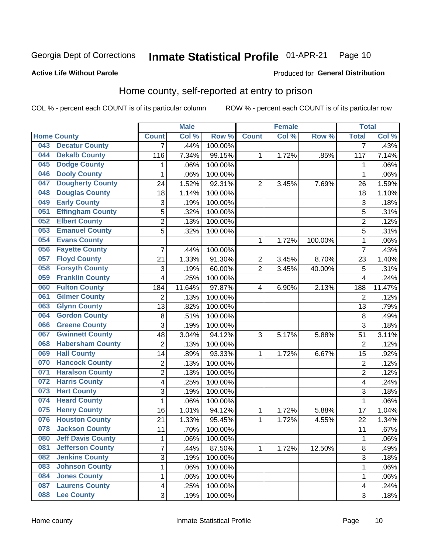#### Inmate Statistical Profile 01-APR-21 Page 10

#### **Active Life Without Parole**

### Produced for General Distribution

## Home county, self-reported at entry to prison

COL % - percent each COUNT is of its particular column

|     |                          |                         | <b>Male</b> |                  |                | <b>Female</b> |         | <b>Total</b>   |        |
|-----|--------------------------|-------------------------|-------------|------------------|----------------|---------------|---------|----------------|--------|
|     | <b>Home County</b>       | <b>Count</b>            | Col %       | Row <sup>%</sup> | <b>Count</b>   | Col %         | Row %   | <b>Total</b>   | Col %  |
| 043 | <b>Decatur County</b>    | $\overline{7}$          | .44%        | 100.00%          |                |               |         | 7              | .43%   |
| 044 | <b>Dekalb County</b>     | 116                     | 7.34%       | 99.15%           | 1              | 1.72%         | .85%    | 117            | 7.14%  |
| 045 | <b>Dodge County</b>      | 1                       | .06%        | 100.00%          |                |               |         | 1              | .06%   |
| 046 | <b>Dooly County</b>      | 1                       | .06%        | 100.00%          |                |               |         | 1              | .06%   |
| 047 | <b>Dougherty County</b>  | 24                      | 1.52%       | 92.31%           | $\overline{2}$ | 3.45%         | 7.69%   | 26             | 1.59%  |
| 048 | <b>Douglas County</b>    | 18                      | 1.14%       | 100.00%          |                |               |         | 18             | 1.10%  |
| 049 | <b>Early County</b>      | 3                       | .19%        | 100.00%          |                |               |         | 3              | .18%   |
| 051 | <b>Effingham County</b>  | 5                       | .32%        | 100.00%          |                |               |         | 5              | .31%   |
| 052 | <b>Elbert County</b>     | $\overline{2}$          | .13%        | 100.00%          |                |               |         | $\overline{2}$ | .12%   |
| 053 | <b>Emanuel County</b>    | 5                       | .32%        | 100.00%          |                |               |         | 5              | .31%   |
| 054 | <b>Evans County</b>      |                         |             |                  | 1              | 1.72%         | 100.00% | 1              | .06%   |
| 056 | <b>Fayette County</b>    | 7                       | .44%        | 100.00%          |                |               |         | 7              | .43%   |
| 057 | <b>Floyd County</b>      | 21                      | 1.33%       | 91.30%           | 2              | 3.45%         | 8.70%   | 23             | 1.40%  |
| 058 | <b>Forsyth County</b>    | 3                       | .19%        | 60.00%           | $\overline{2}$ | 3.45%         | 40.00%  | 5              | .31%   |
| 059 | <b>Franklin County</b>   | 4                       | .25%        | 100.00%          |                |               |         | 4              | .24%   |
| 060 | <b>Fulton County</b>     | 184                     | 11.64%      | 97.87%           | 4              | 6.90%         | 2.13%   | 188            | 11.47% |
| 061 | <b>Gilmer County</b>     | $\overline{2}$          | .13%        | 100.00%          |                |               |         | $\overline{2}$ | .12%   |
| 063 | <b>Glynn County</b>      | 13                      | .82%        | 100.00%          |                |               |         | 13             | .79%   |
| 064 | <b>Gordon County</b>     | 8                       | .51%        | 100.00%          |                |               |         | 8              | .49%   |
| 066 | <b>Greene County</b>     | 3                       | .19%        | 100.00%          |                |               |         | 3              | .18%   |
| 067 | <b>Gwinnett County</b>   | 48                      | 3.04%       | 94.12%           | 3              | 5.17%         | 5.88%   | 51             | 3.11%  |
| 068 | <b>Habersham County</b>  | $\overline{2}$          | .13%        | 100.00%          |                |               |         | $\overline{2}$ | .12%   |
| 069 | <b>Hall County</b>       | 14                      | .89%        | 93.33%           | 1              | 1.72%         | 6.67%   | 15             | .92%   |
| 070 | <b>Hancock County</b>    | $\overline{2}$          | .13%        | 100.00%          |                |               |         | $\overline{2}$ | .12%   |
| 071 | <b>Haralson County</b>   | $\overline{c}$          | .13%        | 100.00%          |                |               |         | $\overline{2}$ | .12%   |
| 072 | <b>Harris County</b>     | 4                       | .25%        | 100.00%          |                |               |         | 4              | .24%   |
| 073 | <b>Hart County</b>       | 3                       | .19%        | 100.00%          |                |               |         | 3              | .18%   |
| 074 | <b>Heard County</b>      | 1                       | .06%        | 100.00%          |                |               |         | 1              | .06%   |
| 075 | <b>Henry County</b>      | 16                      | 1.01%       | 94.12%           | 1              | 1.72%         | 5.88%   | 17             | 1.04%  |
| 076 | <b>Houston County</b>    | 21                      | 1.33%       | 95.45%           | 1              | 1.72%         | 4.55%   | 22             | 1.34%  |
| 078 | <b>Jackson County</b>    | 11                      | .70%        | 100.00%          |                |               |         | 11             | .67%   |
| 080 | <b>Jeff Davis County</b> | 1                       | .06%        | 100.00%          |                |               |         | 1              | .06%   |
| 081 | <b>Jefferson County</b>  | $\overline{7}$          | .44%        | 87.50%           | $\mathbf{1}$   | 1.72%         | 12.50%  | 8              | .49%   |
| 082 | <b>Jenkins County</b>    | 3                       | .19%        | 100.00%          |                |               |         | 3              | .18%   |
| 083 | <b>Johnson County</b>    | $\mathbf 1$             | .06%        | 100.00%          |                |               |         | 1              | .06%   |
| 084 | <b>Jones County</b>      | 1                       | .06%        | 100.00%          |                |               |         | 1              | .06%   |
| 087 | <b>Laurens County</b>    | $\overline{\mathbf{4}}$ | .25%        | 100.00%          |                |               |         | 4              | .24%   |
| 088 | <b>Lee County</b>        | 3                       | .19%        | 100.00%          |                |               |         | 3              | .18%   |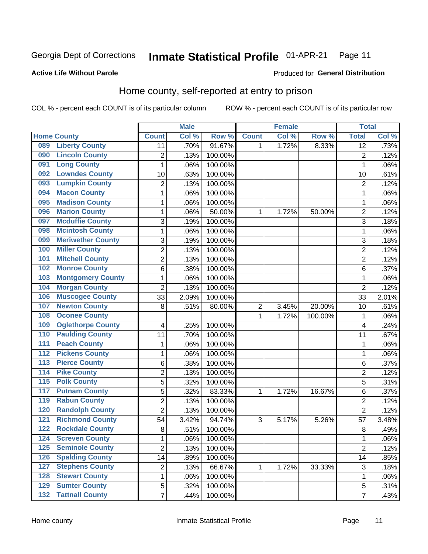#### **Inmate Statistical Profile 01-APR-21** Page 11

**Active Life Without Parole** 

#### Produced for General Distribution

## Home county, self-reported at entry to prison

COL % - percent each COUNT is of its particular column

|                  |                          |                | <b>Male</b> |         |                  | <b>Female</b> |         | <b>Total</b>    |       |
|------------------|--------------------------|----------------|-------------|---------|------------------|---------------|---------|-----------------|-------|
|                  | <b>Home County</b>       | <b>Count</b>   | Col %       | Row %   | <b>Count</b>     | Col %         | Row %   | <b>Total</b>    | Col % |
| 089              | <b>Liberty County</b>    | 11             | .70%        | 91.67%  | $\mathbf{1}$     | 1.72%         | 8.33%   | $\overline{12}$ | .73%  |
| 090              | <b>Lincoln County</b>    | $\overline{c}$ | .13%        | 100.00% |                  |               |         | $\overline{2}$  | .12%  |
| 091              | <b>Long County</b>       | $\mathbf 1$    | .06%        | 100.00% |                  |               |         | 1               | .06%  |
| 092              | <b>Lowndes County</b>    | 10             | .63%        | 100.00% |                  |               |         | 10              | .61%  |
| 093              | <b>Lumpkin County</b>    | $\overline{2}$ | .13%        | 100.00% |                  |               |         | $\overline{2}$  | .12%  |
| 094              | <b>Macon County</b>      | $\mathbf 1$    | .06%        | 100.00% |                  |               |         | 1               | .06%  |
| 095              | <b>Madison County</b>    | $\mathbf 1$    | .06%        | 100.00% |                  |               |         | 1               | .06%  |
| 096              | <b>Marion County</b>     | $\mathbf 1$    | .06%        | 50.00%  | 1                | 1.72%         | 50.00%  | $\overline{2}$  | .12%  |
| 097              | <b>Mcduffie County</b>   | $\mathbf{3}$   | .19%        | 100.00% |                  |               |         | 3               | .18%  |
| 098              | <b>Mcintosh County</b>   | $\mathbf 1$    | .06%        | 100.00% |                  |               |         | 1               | .06%  |
| 099              | <b>Meriwether County</b> | $\mathfrak{B}$ | .19%        | 100.00% |                  |               |         | 3               | .18%  |
| 100              | <b>Miller County</b>     | $\overline{c}$ | .13%        | 100.00% |                  |               |         | $\overline{2}$  | .12%  |
| 101              | <b>Mitchell County</b>   | $\overline{2}$ | .13%        | 100.00% |                  |               |         | $\overline{2}$  | .12%  |
| 102              | <b>Monroe County</b>     | 6              | .38%        | 100.00% |                  |               |         | 6               | .37%  |
| 103              | <b>Montgomery County</b> | $\mathbf 1$    | .06%        | 100.00% |                  |               |         | 1               | .06%  |
| 104              | <b>Morgan County</b>     | $\overline{2}$ | .13%        | 100.00% |                  |               |         | $\overline{2}$  | .12%  |
| 106              | <b>Muscogee County</b>   | 33             | 2.09%       | 100.00% |                  |               |         | 33              | 2.01% |
| 107              | <b>Newton County</b>     | 8              | .51%        | 80.00%  | $\boldsymbol{2}$ | 3.45%         | 20.00%  | 10              | .61%  |
| 108              | <b>Oconee County</b>     |                |             |         | 1                | 1.72%         | 100.00% | 1               | .06%  |
| 109              | <b>Oglethorpe County</b> | 4              | .25%        | 100.00% |                  |               |         | 4               | .24%  |
| 110              | <b>Paulding County</b>   | 11             | .70%        | 100.00% |                  |               |         | 11              | .67%  |
| 111              | <b>Peach County</b>      | $\mathbf 1$    | .06%        | 100.00% |                  |               |         | 1               | .06%  |
| 112              | <b>Pickens County</b>    | $\mathbf 1$    | .06%        | 100.00% |                  |               |         | 1               | .06%  |
| 113              | <b>Pierce County</b>     | 6              | .38%        | 100.00% |                  |               |         | 6               | .37%  |
| 114              | <b>Pike County</b>       | $\overline{2}$ | .13%        | 100.00% |                  |               |         | $\overline{2}$  | .12%  |
| $\overline{115}$ | <b>Polk County</b>       | 5              | .32%        | 100.00% |                  |               |         | 5               | .31%  |
| 117              | <b>Putnam County</b>     | 5              | .32%        | 83.33%  | 1                | 1.72%         | 16.67%  | 6               | .37%  |
| 119              | <b>Rabun County</b>      | $\overline{2}$ | .13%        | 100.00% |                  |               |         | $\overline{2}$  | .12%  |
| 120              | <b>Randolph County</b>   | $\overline{2}$ | .13%        | 100.00% |                  |               |         | $\overline{2}$  | .12%  |
| 121              | <b>Richmond County</b>   | 54             | 3.42%       | 94.74%  | 3                | 5.17%         | 5.26%   | 57              | 3.48% |
| 122              | <b>Rockdale County</b>   | 8              | .51%        | 100.00% |                  |               |         | 8               | .49%  |
| 124              | <b>Screven County</b>    | 1              | .06%        | 100.00% |                  |               |         | 1               | .06%  |
| 125              | <b>Seminole County</b>   | $\overline{2}$ | .13%        | 100.00% |                  |               |         | $\overline{2}$  | .12%  |
| 126              | <b>Spalding County</b>   | 14             | .89%        | 100.00% |                  |               |         | 14              | .85%  |
| 127              | <b>Stephens County</b>   | 2              | .13%        | 66.67%  | 1                | 1.72%         | 33.33%  | 3               | .18%  |
| 128              | <b>Stewart County</b>    | $\mathbf 1$    | .06%        | 100.00% |                  |               |         | 1               | .06%  |
| 129              | <b>Sumter County</b>     | 5              | .32%        | 100.00% |                  |               |         | $\mathbf 5$     | .31%  |
| 132              | <b>Tattnall County</b>   | $\overline{7}$ | .44%        | 100.00% |                  |               |         | $\overline{7}$  | .43%  |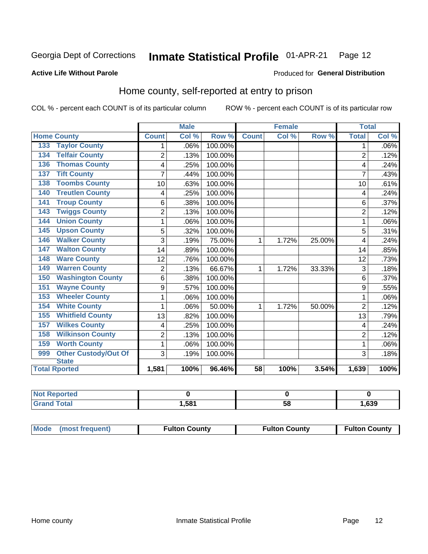#### Inmate Statistical Profile 01-APR-21 Page 12

#### **Active Life Without Parole**

#### Produced for General Distribution

## Home county, self-reported at entry to prison

COL % - percent each COUNT is of its particular column

|                                    |                | <b>Male</b> |         | <b>Female</b> |       |        | <b>Total</b>   |         |
|------------------------------------|----------------|-------------|---------|---------------|-------|--------|----------------|---------|
| <b>Home County</b>                 | <b>Count</b>   | Col %       | Row %   | <b>Count</b>  | Col % | Row %  | <b>Total</b>   | Col %   |
| <b>Taylor County</b><br>133        | 1              | .06%        | 100.00% |               |       |        | 1              | $.06\%$ |
| <b>Telfair County</b><br>134       | $\overline{2}$ | .13%        | 100.00% |               |       |        | $\overline{2}$ | .12%    |
| <b>Thomas County</b><br>136        | 4              | .25%        | 100.00% |               |       |        | 4              | .24%    |
| <b>Tift County</b><br>137          | 7              | .44%        | 100.00% |               |       |        | 7              | .43%    |
| <b>Toombs County</b><br>138        | 10             | .63%        | 100.00% |               |       |        | 10             | .61%    |
| <b>Treutlen County</b><br>140      | 4              | .25%        | 100.00% |               |       |        | 4              | .24%    |
| <b>Troup County</b><br>141         | 6              | .38%        | 100.00% |               |       |        | 6              | .37%    |
| <b>Twiggs County</b><br>143        | $\overline{2}$ | .13%        | 100.00% |               |       |        | $\overline{2}$ | .12%    |
| <b>Union County</b><br>144         | 1              | .06%        | 100.00% |               |       |        |                | .06%    |
| <b>Upson County</b><br>145         | 5              | .32%        | 100.00% |               |       |        | 5              | .31%    |
| <b>Walker County</b><br>146        | 3              | .19%        | 75.00%  | 1             | 1.72% | 25.00% | 4              | .24%    |
| <b>Walton County</b><br>147        | 14             | .89%        | 100.00% |               |       |        | 14             | .85%    |
| <b>Ware County</b><br>148          | 12             | .76%        | 100.00% |               |       |        | 12             | .73%    |
| <b>Warren County</b><br>149        | $\overline{2}$ | .13%        | 66.67%  | 1             | 1.72% | 33.33% | 3              | .18%    |
| <b>Washington County</b><br>150    | 6              | .38%        | 100.00% |               |       |        | 6              | .37%    |
| <b>Wayne County</b><br>151         | 9              | .57%        | 100.00% |               |       |        | 9              | .55%    |
| <b>Wheeler County</b><br>153       | 1              | .06%        | 100.00% |               |       |        | 1              | .06%    |
| <b>White County</b><br>154         | 1              | .06%        | 50.00%  | 1             | 1.72% | 50.00% | $\overline{2}$ | .12%    |
| <b>Whitfield County</b><br>155     | 13             | .82%        | 100.00% |               |       |        | 13             | .79%    |
| <b>Wilkes County</b><br>157        | 4              | .25%        | 100.00% |               |       |        | 4              | .24%    |
| <b>Wilkinson County</b><br>158     | $\overline{2}$ | .13%        | 100.00% |               |       |        | $\overline{2}$ | .12%    |
| <b>Worth County</b><br>159         | 1              | .06%        | 100.00% |               |       |        | 1              | .06%    |
| <b>Other Custody/Out Of</b><br>999 | 3              | .19%        | 100.00% |               |       |        | 3              | .18%    |
| <b>State</b>                       |                |             | 96.46%  |               |       |        |                |         |
| <b>Total Rported</b>               | 1,581          | 100%        |         | 58            | 100%  | 3.54%  | 1,639          | 100%    |

| <b>Not Reported</b> |      |    |      |
|---------------------|------|----|------|
| <b>Total</b>        | .58' | ວດ | ,639 |

| Mode (most frequent) | <b>Fulton County</b> | <b>Fulton County</b> | <b>Fulton County</b> |
|----------------------|----------------------|----------------------|----------------------|
|----------------------|----------------------|----------------------|----------------------|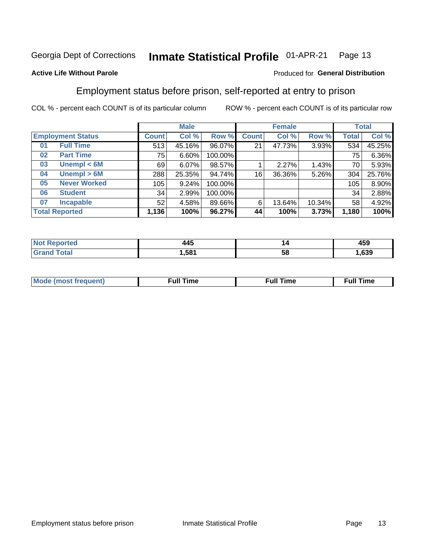#### Inmate Statistical Profile 01-APR-21 Page 13

#### **Active Life Without Parole**

### Produced for General Distribution

## Employment status before prison, self-reported at entry to prison

COL % - percent each COUNT is of its particular column

|                           |         | <b>Male</b> |         |              | <b>Female</b> |        |              | <b>Total</b> |
|---------------------------|---------|-------------|---------|--------------|---------------|--------|--------------|--------------|
| <b>Employment Status</b>  | Count l | Col %       | Row %   | <b>Count</b> | Col %         | Row %  | <b>Total</b> | Col %        |
| <b>Full Time</b><br>01    | 513     | 45.16%      | 96.07%  | 21           | 47.73%        | 3.93%  | 534          | 45.25%       |
| <b>Part Time</b><br>02    | 75      | 6.60%       | 100.00% |              |               |        | 75           | 6.36%        |
| Unempl $<$ 6M<br>03       | 69      | 6.07%       | 98.57%  |              | 2.27%         | 1.43%  | 70           | 5.93%        |
| Unempl > 6M<br>04         | 288     | 25.35%      | 94.74%  | 16           | 36.36%        | 5.26%  | 304          | 25.76%       |
| <b>Never Worked</b><br>05 | 105     | 9.24%       | 100.00% |              |               |        | 105          | 8.90%        |
| <b>Student</b><br>06      | 34      | 2.99%       | 100.00% |              |               |        | 34           | 2.88%        |
| <b>Incapable</b><br>07    | 52      | 4.58%       | 89.66%  | 6            | 13.64%        | 10.34% | 58           | 4.92%        |
| <b>Total Reported</b>     | 1,136   | 100%        | 96.27%  | 44           | 100%          | 3.73%  | 1,180        | 100%         |

| .<br>14 J<br>$\sim$ | ız | $\overline{ }$<br>473 |
|---------------------|----|-----------------------|
| .581                | ວເ | 639                   |

| Mc | ∴ul! | ----<br>ıme<br>w |
|----|------|------------------|
|    |      |                  |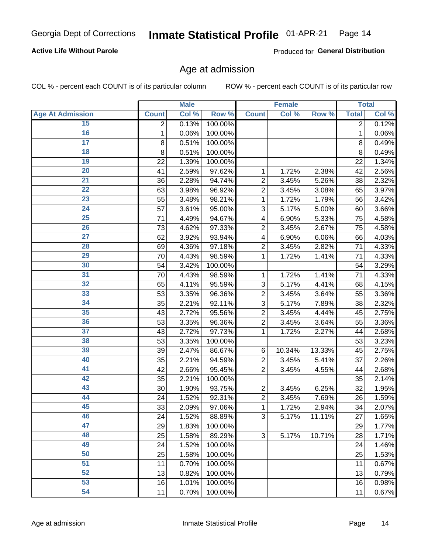### **Active Life Without Parole**

Produced for General Distribution

### Age at admission

COL % - percent each COUNT is of its particular column

|                         |              | <b>Male</b> |         |                | <b>Female</b> |        |                | <b>Total</b> |
|-------------------------|--------------|-------------|---------|----------------|---------------|--------|----------------|--------------|
| <b>Age At Admission</b> | <b>Count</b> | Col %       | Row %   | <b>Count</b>   | Col %         | Row %  | <b>Total</b>   | Col %        |
| 15                      | 2            | 0.13%       | 100.00% |                |               |        | $\overline{2}$ | 0.12%        |
| 16                      | $\mathbf 1$  | 0.06%       | 100.00% |                |               |        | $\mathbf{1}$   | 0.06%        |
| $\overline{17}$         | 8            | 0.51%       | 100.00% |                |               |        | 8              | 0.49%        |
| 18                      | 8            | 0.51%       | 100.00% |                |               |        | 8              | 0.49%        |
| 19                      | 22           | 1.39%       | 100.00% |                |               |        | 22             | 1.34%        |
| $\overline{20}$         | 41           | 2.59%       | 97.62%  | 1              | 1.72%         | 2.38%  | 42             | 2.56%        |
| 21                      | 36           | 2.28%       | 94.74%  | $\overline{c}$ | 3.45%         | 5.26%  | 38             | 2.32%        |
| $\overline{22}$         | 63           | 3.98%       | 96.92%  | $\overline{2}$ | 3.45%         | 3.08%  | 65             | 3.97%        |
| $\overline{23}$         | 55           | 3.48%       | 98.21%  | 1              | 1.72%         | 1.79%  | 56             | 3.42%        |
| $\overline{24}$         | 57           | 3.61%       | 95.00%  | 3              | 5.17%         | 5.00%  | 60             | 3.66%        |
| $\overline{25}$         | 71           | 4.49%       | 94.67%  | 4              | 6.90%         | 5.33%  | 75             | 4.58%        |
| 26                      | 73           | 4.62%       | 97.33%  | $\overline{2}$ | 3.45%         | 2.67%  | 75             | 4.58%        |
| $\overline{27}$         | 62           | 3.92%       | 93.94%  | 4              | 6.90%         | 6.06%  | 66             | 4.03%        |
| 28                      | 69           | 4.36%       | 97.18%  | $\overline{2}$ | 3.45%         | 2.82%  | 71             | 4.33%        |
| 29                      | 70           | 4.43%       | 98.59%  | 1              | 1.72%         | 1.41%  | 71             | 4.33%        |
| 30                      | 54           | 3.42%       | 100.00% |                |               |        | 54             | 3.29%        |
| 31                      | 70           | 4.43%       | 98.59%  | 1              | 1.72%         | 1.41%  | 71             | 4.33%        |
| $\overline{32}$         | 65           | 4.11%       | 95.59%  | 3              | 5.17%         | 4.41%  | 68             | 4.15%        |
| 33                      | 53           | 3.35%       | 96.36%  | $\overline{2}$ | 3.45%         | 3.64%  | 55             | 3.36%        |
| $\overline{34}$         | 35           | 2.21%       | 92.11%  | 3              | 5.17%         | 7.89%  | 38             | 2.32%        |
| 35                      | 43           | 2.72%       | 95.56%  | $\overline{c}$ | 3.45%         | 4.44%  | 45             | 2.75%        |
| 36                      | 53           | 3.35%       | 96.36%  | $\overline{2}$ | 3.45%         | 3.64%  | 55             | 3.36%        |
| $\overline{37}$         | 43           | 2.72%       | 97.73%  | 1              | 1.72%         | 2.27%  | 44             | 2.68%        |
| 38                      | 53           | 3.35%       | 100.00% |                |               |        | 53             | 3.23%        |
| 39                      | 39           | 2.47%       | 86.67%  | $\,6$          | 10.34%        | 13.33% | 45             | 2.75%        |
| 40                      | 35           | 2.21%       | 94.59%  | 2              | 3.45%         | 5.41%  | 37             | 2.26%        |
| 41                      | 42           | 2.66%       | 95.45%  | $\overline{2}$ | 3.45%         | 4.55%  | 44             | 2.68%        |
| 42                      | 35           | 2.21%       | 100.00% |                |               |        | 35             | 2.14%        |
| 43                      | 30           | 1.90%       | 93.75%  | $\overline{c}$ | 3.45%         | 6.25%  | 32             | 1.95%        |
| 44                      | 24           | 1.52%       | 92.31%  | $\overline{c}$ | 3.45%         | 7.69%  | 26             | 1.59%        |
| 45                      | 33           | 2.09%       | 97.06%  | $\mathbf{1}$   | 1.72%         | 2.94%  | 34             | 2.07%        |
| 46                      | 24           | 1.52%       | 88.89%  | 3              | 5.17%         | 11.11% | 27             | 1.65%        |
| 47                      | 29           | 1.83%       | 100.00% |                |               |        | 29             | 1.77%        |
| 48                      | 25           | 1.58%       | 89.29%  | 3              | 5.17%         | 10.71% | 28             | 1.71%        |
| 49                      | 24           | 1.52%       | 100.00% |                |               |        | 24             | 1.46%        |
| 50                      | 25           | 1.58%       | 100.00% |                |               |        | 25             | 1.53%        |
| $\overline{51}$         | 11           | 0.70%       | 100.00% |                |               |        | 11             | 0.67%        |
| $\overline{52}$         | 13           | 0.82%       | 100.00% |                |               |        | 13             | 0.79%        |
| 53                      | 16           | 1.01%       | 100.00% |                |               |        | 16             | 0.98%        |
| 54                      | 11           | 0.70%       | 100.00% |                |               |        | 11             | 0.67%        |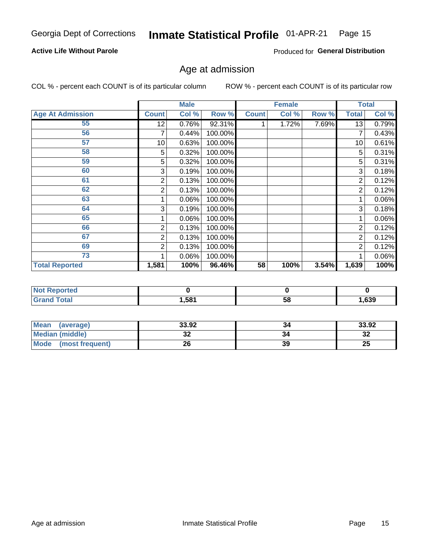### **Active Life Without Parole**

Produced for General Distribution

## Age at admission

COL % - percent each COUNT is of its particular column

|                         |              | <b>Male</b> |         |              | <b>Female</b> |       |                | <b>Total</b> |
|-------------------------|--------------|-------------|---------|--------------|---------------|-------|----------------|--------------|
| <b>Age At Admission</b> | <b>Count</b> | Col %       | Row %   | <b>Count</b> | Col %         | Row % | <b>Total</b>   | Col %        |
| 55                      | 12           | 0.76%       | 92.31%  |              | 1.72%         | 7.69% | 13             | 0.79%        |
| 56                      | 7            | 0.44%       | 100.00% |              |               |       |                | 0.43%        |
| 57                      | 10           | 0.63%       | 100.00% |              |               |       | 10             | 0.61%        |
| 58                      | 5            | 0.32%       | 100.00% |              |               |       | 5              | 0.31%        |
| 59                      | 5            | 0.32%       | 100.00% |              |               |       | 5              | 0.31%        |
| 60                      | 3            | 0.19%       | 100.00% |              |               |       | 3              | 0.18%        |
| 61                      | 2            | 0.13%       | 100.00% |              |               |       | 2              | 0.12%        |
| 62                      | 2            | 0.13%       | 100.00% |              |               |       | 2              | 0.12%        |
| 63                      |              | 0.06%       | 100.00% |              |               |       |                | 0.06%        |
| 64                      | 3            | 0.19%       | 100.00% |              |               |       | 3              | 0.18%        |
| 65                      |              | 0.06%       | 100.00% |              |               |       |                | $0.06\%$     |
| 66                      | 2            | 0.13%       | 100.00% |              |               |       | $\overline{2}$ | 0.12%        |
| 67                      | 2            | 0.13%       | 100.00% |              |               |       | $\overline{2}$ | 0.12%        |
| 69                      | 2            | 0.13%       | 100.00% |              |               |       | $\overline{2}$ | 0.12%        |
| 73                      |              | 0.06%       | 100.00% |              |               |       |                | 0.06%        |
| <b>Total Reported</b>   | 1,581        | 100%        | 96.46%  | 58           | 100%          | 3.54% | 1,639          | 100%         |

| <b>Not Reported</b> |      |    |      |
|---------------------|------|----|------|
| <b>Total</b>        | ,581 | Эō | ,639 |

| <b>Mean</b><br>(average) | 33.92    | 34 | 33.92   |
|--------------------------|----------|----|---------|
| <b>Median (middle)</b>   | ^^<br>JŁ |    | …<br>34 |
| Mode<br>(most frequent)  | 26       | 39 | 25      |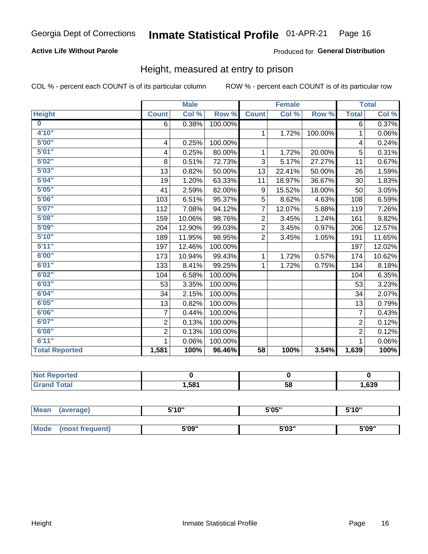### **Active Life Without Parole**

### Produced for General Distribution

### Height, measured at entry to prison

COL % - percent each COUNT is of its particular column

|                       |                | <b>Male</b> |         |                 | <b>Female</b> |         |                | <b>Total</b> |
|-----------------------|----------------|-------------|---------|-----------------|---------------|---------|----------------|--------------|
| <b>Height</b>         | <b>Count</b>   | Col %       | Row %   | <b>Count</b>    | Col %         | Row %   | <b>Total</b>   | Col %        |
| $\bf{0}$              | 6              | 0.38%       | 100.00% |                 |               |         | 6              | 0.37%        |
| 4'10"                 |                |             |         | $\mathbf{1}$    | 1.72%         | 100.00% | 1              | 0.06%        |
| 5'00''                | 4              | 0.25%       | 100.00% |                 |               |         | 4              | 0.24%        |
| 5'01"                 | 4              | 0.25%       | 80.00%  | 1               | 1.72%         | 20.00%  | 5              | 0.31%        |
| 5'02"                 | 8              | 0.51%       | 72.73%  | 3               | 5.17%         | 27.27%  | 11             | 0.67%        |
| 5'03''                | 13             | 0.82%       | 50.00%  | 13              | 22.41%        | 50.00%  | 26             | 1.59%        |
| 5'04"                 | 19             | 1.20%       | 63.33%  | 11              | 18.97%        | 36.67%  | 30             | 1.83%        |
| 5'05"                 | 41             | 2.59%       | 82.00%  | 9               | 15.52%        | 18.00%  | 50             | 3.05%        |
| 5'06''                | 103            | 6.51%       | 95.37%  | 5               | 8.62%         | 4.63%   | 108            | 6.59%        |
| 5'07"                 | 112            | 7.08%       | 94.12%  | $\overline{7}$  | 12.07%        | 5.88%   | 119            | 7.26%        |
| 5'08''                | 159            | 10.06%      | 98.76%  | $\overline{2}$  | 3.45%         | 1.24%   | 161            | 9.82%        |
| 5'09''                | 204            | 12.90%      | 99.03%  | $\overline{2}$  | 3.45%         | 0.97%   | 206            | 12.57%       |
| 5'10''                | 189            | 11.95%      | 98.95%  | $\overline{2}$  | 3.45%         | 1.05%   | 191            | 11.65%       |
| 5'11''                | 197            | 12.46%      | 100.00% |                 |               |         | 197            | 12.02%       |
| 6'00''                | 173            | 10.94%      | 99.43%  | 1               | 1.72%         | 0.57%   | 174            | 10.62%       |
| 6'01''                | 133            | 8.41%       | 99.25%  | 1.              | 1.72%         | 0.75%   | 134            | 8.18%        |
| 6'02"                 | 104            | 6.58%       | 100.00% |                 |               |         | 104            | 6.35%        |
| 6'03''                | 53             | 3.35%       | 100.00% |                 |               |         | 53             | 3.23%        |
| 6'04"                 | 34             | 2.15%       | 100.00% |                 |               |         | 34             | 2.07%        |
| 6'05"                 | 13             | 0.82%       | 100.00% |                 |               |         | 13             | 0.79%        |
| 6'06''                | $\overline{7}$ | 0.44%       | 100.00% |                 |               |         | $\overline{7}$ | 0.43%        |
| 6'07''                | $\overline{2}$ | 0.13%       | 100.00% |                 |               |         | $\overline{2}$ | 0.12%        |
| 6'08''                | $\overline{2}$ | 0.13%       | 100.00% |                 |               |         | $\overline{2}$ | 0.12%        |
| 6'11''                |                | 0.06%       | 100.00% |                 |               |         |                | 0.06%        |
| <b>Total Reported</b> | 1,581          | 100%        | 96.46%  | $\overline{58}$ | 100%          | 3.54%   | 1,639          | 100%         |

| ⊇orted<br><b>NOT</b> |       |    |      |
|----------------------|-------|----|------|
| <b>Total</b>         | 581.ا | 58 | ,639 |

| Mean | (average)       | 5'10" | 5'05"           | 5'10"<br>J |
|------|-----------------|-------|-----------------|------------|
|      |                 |       |                 |            |
| Mode | (most frequent) | 5'09" | EINS !!<br>ว บง | 5'09"      |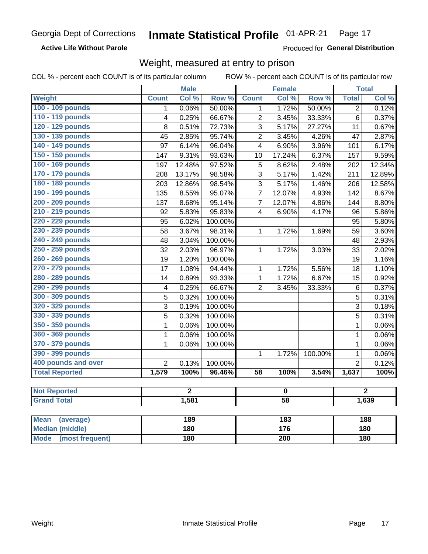### **Active Life Without Parole**

Produced for General Distribution

### Weight, measured at entry to prison

COL % - percent each COUNT is of its particular column

ROW % - percent each COUNT is of its particular row

|                          |                         | <b>Male</b>    |         |                         | <b>Female</b>    |         |                | <b>Total</b>   |
|--------------------------|-------------------------|----------------|---------|-------------------------|------------------|---------|----------------|----------------|
| Weight                   | <b>Count</b>            | Col %          | Row %   | <b>Count</b>            | Col %            | Row %   | <b>Total</b>   | Col %          |
| 100 - 109 pounds         | $\mathbf 1$             | 0.06%          | 50.00%  | 1                       | 1.72%            | 50.00%  | $\overline{2}$ | 0.12%          |
| 110 - 119 pounds         | $\overline{\mathbf{4}}$ | 0.25%          | 66.67%  | $\overline{2}$          | 3.45%            | 33.33%  | $\overline{6}$ | 0.37%          |
| 120 - 129 pounds         | 8                       | 0.51%          | 72.73%  | 3                       | 5.17%            | 27.27%  | 11             | 0.67%          |
| 130 - 139 pounds         | 45                      | 2.85%          | 95.74%  | $\overline{2}$          | 3.45%            | 4.26%   | 47             | 2.87%          |
| 140 - 149 pounds         | 97                      | 6.14%          | 96.04%  | $\overline{4}$          | 6.90%            | 3.96%   | 101            | 6.17%          |
| 150 - 159 pounds         | 147                     | 9.31%          | 93.63%  | 10                      | 17.24%           | 6.37%   | 157            | 9.59%          |
| 160 - 169 pounds         | 197                     | 12.48%         | 97.52%  | 5                       | 8.62%            | 2.48%   | 202            | 12.34%         |
| 170 - 179 pounds         | 208                     | 13.17%         | 98.58%  | 3                       | 5.17%            | 1.42%   | 211            | 12.89%         |
| 180 - 189 pounds         | 203                     | 12.86%         | 98.54%  | 3                       | 5.17%            | 1.46%   | 206            | 12.58%         |
| 190 - 199 pounds         | 135                     | 8.55%          | 95.07%  | $\overline{7}$          | 12.07%           | 4.93%   | 142            | 8.67%          |
| 200 - 209 pounds         | 137                     | 8.68%          | 95.14%  | $\overline{7}$          | 12.07%           | 4.86%   | 144            | 8.80%          |
| 210 - 219 pounds         | 92                      | 5.83%          | 95.83%  | $\overline{\mathbf{4}}$ | 6.90%            | 4.17%   | 96             | 5.86%          |
| 220 - 229 pounds         | 95                      | 6.02%          | 100.00% |                         |                  |         | 95             | 5.80%          |
| 230 - 239 pounds         | 58                      | 3.67%          | 98.31%  | $\mathbf{1}$            | 1.72%            | 1.69%   | 59             | 3.60%          |
| 240 - 249 pounds         | 48                      | 3.04%          | 100.00% |                         |                  |         | 48             | 2.93%          |
| 250 - 259 pounds         | 32                      | 2.03%          | 96.97%  | $\mathbf{1}$            | 1.72%            | 3.03%   | 33             | 2.02%          |
| 260 - 269 pounds         | 19                      | 1.20%          | 100.00% |                         |                  |         | 19             | 1.16%          |
| 270 - 279 pounds         | 17                      | 1.08%          | 94.44%  | 1                       | 1.72%            | 5.56%   | 18             | 1.10%          |
| 280 - 289 pounds         | 14                      | 0.89%          | 93.33%  | $\mathbf{1}$            | 1.72%            | 6.67%   | 15             | 0.92%          |
| 290 - 299 pounds         | $\overline{\mathbf{4}}$ | 0.25%          | 66.67%  | $\overline{2}$          | 3.45%            | 33.33%  | 6              | 0.37%          |
| 300 - 309 pounds         | 5                       | 0.32%          | 100.00% |                         |                  |         | 5              | 0.31%          |
| 320 - 329 pounds         | 3                       | 0.19%          | 100.00% |                         |                  |         | 3              | 0.18%          |
| 330 - 339 pounds         | $\overline{5}$          | 0.32%          | 100.00% |                         |                  |         | 5              | 0.31%          |
| 350 - 359 pounds         | 1                       | 0.06%          | 100.00% |                         |                  |         | $\mathbf{1}$   | 0.06%          |
| 360 - 369 pounds         | $\mathbf 1$             | 0.06%          | 100.00% |                         |                  |         | $\mathbf 1$    | 0.06%          |
| 370 - 379 pounds         | 1                       | 0.06%          | 100.00% |                         |                  |         | $\mathbf{1}$   | 0.06%          |
| 390 - 399 pounds         |                         |                |         | $\mathbf{1}$            | 1.72%            | 100.00% | $\mathbf{1}$   | 0.06%          |
| 400 pounds and over      | $\overline{2}$          | 0.13%          | 100.00% |                         |                  |         | $\overline{2}$ | 0.12%          |
| <b>Total Reported</b>    | 1,579                   | 100%           | 96.46%  | $\overline{58}$         | 100%             | 3.54%   | 1,637          | 100%           |
|                          |                         |                |         |                         |                  |         |                |                |
| <b>Not Reported</b>      |                         | $\overline{2}$ |         |                         | $\bf{0}$         |         |                | $\overline{2}$ |
| <b>Grand Total</b>       |                         | 1,581          |         |                         | $\overline{58}$  |         |                | 1,639          |
|                          |                         |                |         |                         |                  |         |                |                |
| <b>Mean</b><br>(average) |                         | 189            |         |                         | $\overline{183}$ |         |                | 188            |
| <b>Median (middle)</b>   |                         | 180            |         |                         | 176              |         |                | 180            |

**Mode** 

(most frequent)

 $\overline{200}$ 

 $180$ 

 $180$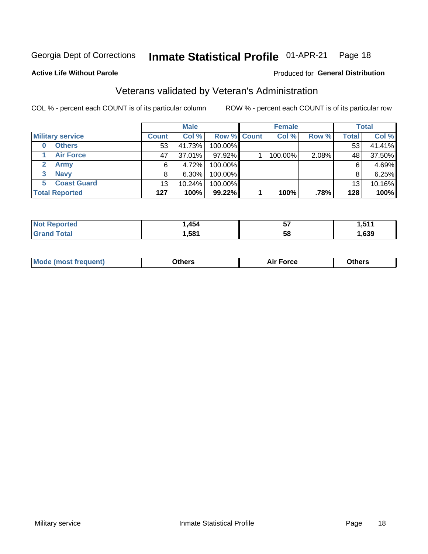#### Inmate Statistical Profile 01-APR-21 Page 18

Produced for General Distribution

### **Active Life Without Parole**

## Veterans validated by Veteran's Administration

COL % - percent each COUNT is of its particular column

|                          |                 | <b>Male</b> |             | <b>Female</b> |       |              | <b>Total</b> |
|--------------------------|-----------------|-------------|-------------|---------------|-------|--------------|--------------|
| <b>Military service</b>  | <b>Count</b>    | Col %       | Row % Count | Col %         | Row % | <b>Total</b> | Col %        |
| <b>Others</b><br>0       | 53              | 41.73%      | 100.00%     |               |       | 53           | 41.41%       |
| <b>Air Force</b>         | 47              | 37.01%      | 97.92%      | 100.00%       | 2.08% | 48           | 37.50%       |
| <b>Army</b>              | 6               | 4.72%       | 100.00%     |               |       | 6            | 4.69%        |
| <b>Navy</b><br>3         |                 | $6.30\%$    | 100.00%     |               |       | 8            | 6.25%        |
| <b>Coast Guard</b><br>5. | 13 <sub>1</sub> | 10.24%      | 100.00%     |               |       | 13           | 10.16%       |
| <b>Total Reported</b>    | 127             | 100%        | 99.22%      | 100%          | .78%  | 128          | 100%         |

| тес          | 454. | --<br>JI. | --<br>- - -    |
|--------------|------|-----------|----------------|
| <b>Total</b> | .581 | ၁၀        | $\sim$<br>,ხაყ |

| <b>Moo.</b> |
|-------------|
|-------------|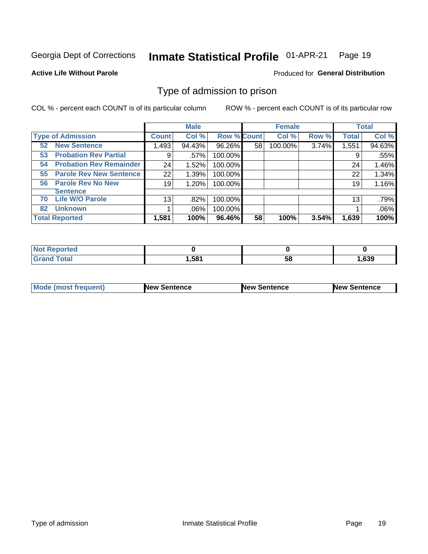#### Inmate Statistical Profile 01-APR-21 Page 19

**Active Life Without Parole** 

Produced for General Distribution

## Type of admission to prison

COL % - percent each COUNT is of its particular column

|                                      |                 | <b>Male</b> |                    |    | <b>Female</b> |       |              | <b>Total</b> |
|--------------------------------------|-----------------|-------------|--------------------|----|---------------|-------|--------------|--------------|
| <b>Type of Admission</b>             | <b>Count</b>    | Col %       | <b>Row % Count</b> |    | Col %         | Row % | <b>Total</b> | Col %        |
| <b>New Sentence</b><br>52            | 1,493           | 94.43%      | 96.26%             | 58 | 100.00%       | 3.74% | 1,551        | 94.63%       |
| <b>Probation Rev Partial</b><br>53   | 9               | .57%        | 100.00%            |    |               |       | 9            | .55%         |
| <b>Probation Rev Remainder</b><br>54 | 24              | 1.52%       | 100.00%            |    |               |       | 24           | 1.46%        |
| <b>Parole Rev New Sentence</b><br>55 | 22              | 1.39%       | 100.00%            |    |               |       | 22           | 1.34%        |
| <b>Parole Rev No New</b><br>56       | 19              | 1.20%       | 100.00%            |    |               |       | 19           | 1.16%        |
| <b>Sentence</b>                      |                 |             |                    |    |               |       |              |              |
| <b>Life W/O Parole</b><br>70         | 13 <sub>1</sub> | .82%        | 100.00%            |    |               |       | 13           | .79%         |
| <b>Unknown</b><br>82                 |                 | $.06\%$     | 100.00%            |    |               |       |              | .06%         |
| <b>Total Reported</b>                | 1,581           | 100%        | 96.46%             | 58 | 100%          | 3.54% | 1,639        | 100%         |

| Reported<br><b>NOT</b> |       |    |      |
|------------------------|-------|----|------|
| <b>Total</b><br>"Gran. | 1,581 | วง | .639 |

| <b>Mode (most frequent)</b> | <b>New Sentence</b> | <b>New Sentence</b> | <b>New Sentence</b> |
|-----------------------------|---------------------|---------------------|---------------------|
|                             |                     |                     |                     |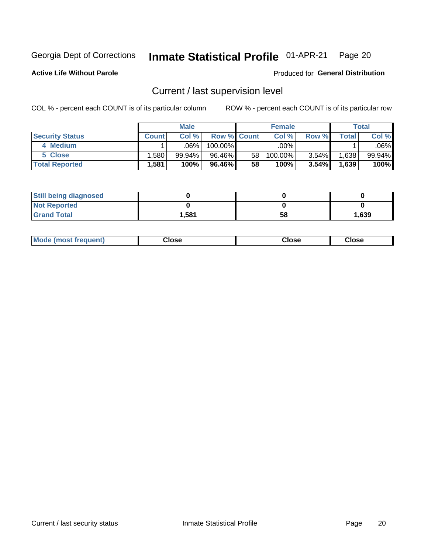## Inmate Statistical Profile 01-APR-21 Page 20

**Active Life Without Parole** 

Produced for General Distribution

## Current / last supervision level

COL % - percent each COUNT is of its particular column

|                        |         | <b>Male</b> |                    |                 | <b>Female</b> |          |       | <b>Total</b> |
|------------------------|---------|-------------|--------------------|-----------------|---------------|----------|-------|--------------|
| <b>Security Status</b> | Count l | Col%        | <b>Row % Count</b> |                 | Col %         | Row %    | Total | Col %        |
| 4 Medium               |         | $.06\%$     | $100.00\%$         |                 | .00%          |          |       | .06% l       |
| 5 Close                | .580    | 99.94%      | 96.46%             | 58 <sub>1</sub> | 100.00%       | $3.54\%$ | .638  | 99.94%       |
| <b>Total Reported</b>  | .581    | 100%        | 96.46%             | 58              | 100%          | 3.54%    | .639  | 100%         |

| <b>Still being diagnosed</b> |       |    |       |
|------------------------------|-------|----|-------|
| <b>Not Reported</b>          |       |    |       |
| <b>Grand Total</b>           | 1,581 | 58 | 1,639 |

| <b>AhoM</b><br>rreauent) | Close | Close | Close |
|--------------------------|-------|-------|-------|
|                          |       |       |       |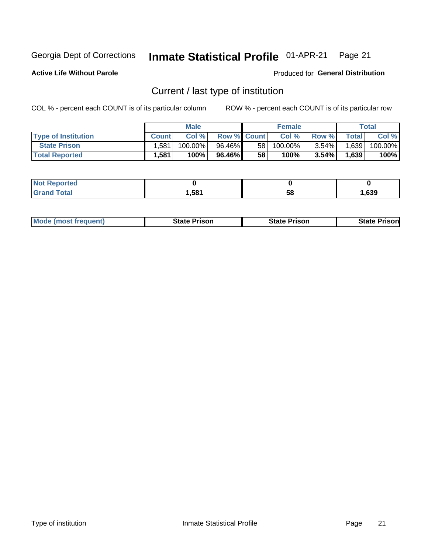#### Inmate Statistical Profile 01-APR-21 Page 21

**Active Life Without Parole** 

Produced for General Distribution

## Current / last type of institution

COL % - percent each COUNT is of its particular column

|                            |              | <b>Male</b> |                    |    | <b>Female</b> |          |       | Total   |
|----------------------------|--------------|-------------|--------------------|----|---------------|----------|-------|---------|
| <b>Type of Institution</b> | <b>Count</b> | Col %       | <b>Row % Count</b> |    | Col %         | Row %    | Total | Col %   |
| <b>State Prison</b>        | .581         | $100.00\%$  | 96.46%             | 58 | $100.00\%$    | $3.54\%$ | 1,639 | 100.00% |
| <b>Total Reported</b>      | 1,581        | 100%        | 96.46%             | 58 | 100%          | $3.54\%$ | 1,639 | 100%    |

| rted<br>. |      |    |      |
|-----------|------|----|------|
|           | ,581 | ວເ | .639 |

|  | <b>Mode (most frequent)</b> | State Prison | <b>State Prison</b> | <b>State Prison</b> |
|--|-----------------------------|--------------|---------------------|---------------------|
|--|-----------------------------|--------------|---------------------|---------------------|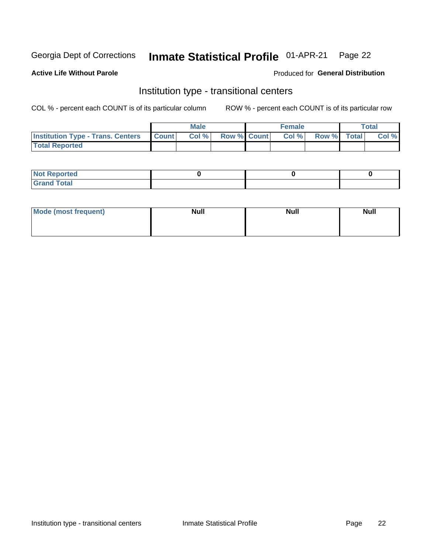#### Inmate Statistical Profile 01-APR-21 Page 22

### **Active Life Without Parole**

#### Produced for General Distribution

## Institution type - transitional centers

COL % - percent each COUNT is of its particular column

|                                                | Male  |                    | <b>Female</b> |                   | Total |
|------------------------------------------------|-------|--------------------|---------------|-------------------|-------|
| <b>Institution Type - Trans. Centers Count</b> | Col % | <b>Row % Count</b> |               | Col % Row % Total | Col % |
| <b>Total Reported</b>                          |       |                    |               |                   |       |

| <b>Reported</b><br><b>NOT</b><br>$\sim$            |  |  |
|----------------------------------------------------|--|--|
| $f$ $f \circ f \circ f$<br>$C = 1$<br><b>TULAI</b> |  |  |

| Mode (most frequent) | <b>Null</b> | <b>Null</b> | <b>Null</b> |
|----------------------|-------------|-------------|-------------|
|                      |             |             |             |
|                      |             |             |             |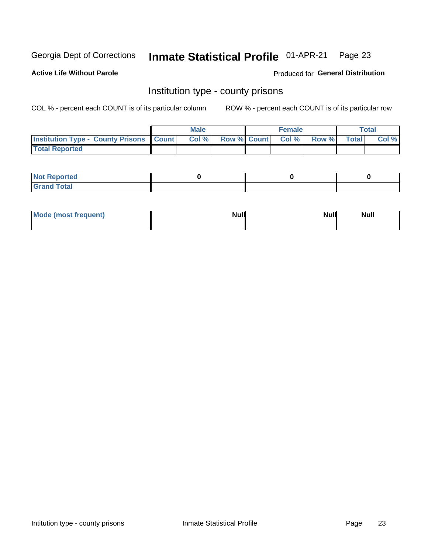#### Inmate Statistical Profile 01-APR-21 Page 23

**Active Life Without Parole** 

Produced for General Distribution

### Institution type - county prisons

COL % - percent each COUNT is of its particular column

|                                                    | <b>Male</b> |       |                          | <b>Female</b> |  |             | <b>Total</b> |       |  |
|----------------------------------------------------|-------------|-------|--------------------------|---------------|--|-------------|--------------|-------|--|
| <b>Institution Type - County Prisons   Count  </b> |             | Col % | <b>Row % Count Col %</b> |               |  | Row % Total |              | Col % |  |
| <b>Total Reported</b>                              |             |       |                          |               |  |             |              |       |  |

| <b>Not Reported</b>   |  |  |
|-----------------------|--|--|
| <b>Total</b><br>Granc |  |  |

| Mode (most frequent) | <b>Null</b> | <b>Null</b><br><b>Null</b> |
|----------------------|-------------|----------------------------|
|                      |             |                            |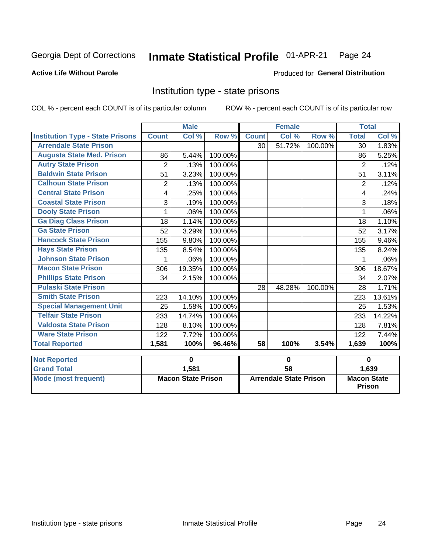#### Inmate Statistical Profile 01-APR-21 Page 24

### **Active Life Without Parole**

#### Produced for General Distribution

## Institution type - state prisons

COL % - percent each COUNT is of its particular column

|                                         | <b>Male</b>               |        |         |                               | <b>Female</b> |         | <b>Total</b>                        |        |
|-----------------------------------------|---------------------------|--------|---------|-------------------------------|---------------|---------|-------------------------------------|--------|
| <b>Institution Type - State Prisons</b> | <b>Count</b>              | Col %  | Row %   | <b>Count</b>                  | Col %         | Row %   | <b>Total</b>                        | Col %  |
| <b>Arrendale State Prison</b>           |                           |        |         | 30                            | 51.72%        | 100.00% | $\overline{30}$                     | 1.83%  |
| <b>Augusta State Med. Prison</b>        | 86                        | 5.44%  | 100.00% |                               |               |         | 86                                  | 5.25%  |
| <b>Autry State Prison</b>               | $\overline{2}$            | .13%   | 100.00% |                               |               |         | $\overline{2}$                      | .12%   |
| <b>Baldwin State Prison</b>             | 51                        | 3.23%  | 100.00% |                               |               |         | 51                                  | 3.11%  |
| <b>Calhoun State Prison</b>             | 2                         | .13%   | 100.00% |                               |               |         | 2                                   | .12%   |
| <b>Central State Prison</b>             | 4                         | .25%   | 100.00% |                               |               |         | 4                                   | .24%   |
| <b>Coastal State Prison</b>             | 3                         | .19%   | 100.00% |                               |               |         | 3                                   | .18%   |
| <b>Dooly State Prison</b>               | 1                         | .06%   | 100.00% |                               |               |         | 1                                   | .06%   |
| <b>Ga Diag Class Prison</b>             | 18                        | 1.14%  | 100.00% |                               |               |         | 18                                  | 1.10%  |
| <b>Ga State Prison</b>                  | 52                        | 3.29%  | 100.00% |                               |               |         | 52                                  | 3.17%  |
| <b>Hancock State Prison</b>             | 155                       | 9.80%  | 100.00% |                               |               |         | 155                                 | 9.46%  |
| <b>Hays State Prison</b>                | 135                       | 8.54%  | 100.00% |                               |               |         | 135                                 | 8.24%  |
| <b>Johnson State Prison</b>             | 1                         | .06%   | 100.00% |                               |               |         | 1                                   | .06%   |
| <b>Macon State Prison</b>               | 306                       | 19.35% | 100.00% |                               |               |         | 306                                 | 18.67% |
| <b>Phillips State Prison</b>            | 34                        | 2.15%  | 100.00% |                               |               |         | 34                                  | 2.07%  |
| <b>Pulaski State Prison</b>             |                           |        |         | 28                            | 48.28%        | 100.00% | 28                                  | 1.71%  |
| <b>Smith State Prison</b>               | 223                       | 14.10% | 100.00% |                               |               |         | 223                                 | 13.61% |
| <b>Special Management Unit</b>          | 25                        | 1.58%  | 100.00% |                               |               |         | 25                                  | 1.53%  |
| <b>Telfair State Prison</b>             | 233                       | 14.74% | 100.00% |                               |               |         | 233                                 | 14.22% |
| <b>Valdosta State Prison</b>            | 128                       | 8.10%  | 100.00% |                               |               |         | 128                                 | 7.81%  |
| <b>Ware State Prison</b>                | 122                       | 7.72%  | 100.00% |                               |               |         | 122                                 | 7.44%  |
| <b>Total Reported</b>                   | 1,581                     | 100%   | 96.46%  | 58                            | 100%          | 3.54%   | 1,639                               | 100%   |
| <b>Not Reported</b>                     |                           | 0      |         | $\mathbf 0$                   |               |         | $\bf{0}$                            |        |
| <b>Grand Total</b>                      |                           | 1,581  |         | $\overline{58}$               |               |         |                                     | 1,639  |
| <b>Mode (most frequent)</b>             | <b>Macon State Prison</b> |        |         | <b>Arrendale State Prison</b> |               |         | <b>Macon State</b><br><b>Prison</b> |        |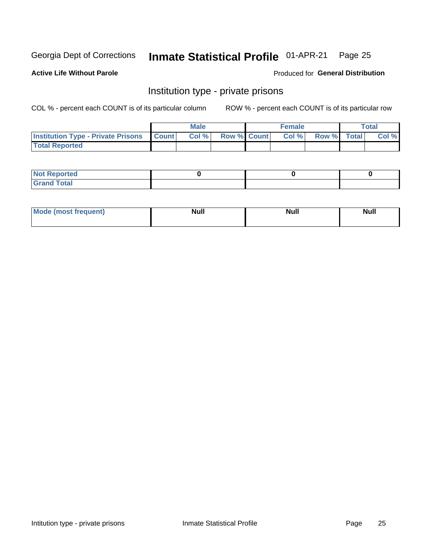## Inmate Statistical Profile 01-APR-21 Page 25

#### **Active Life Without Parole**

#### Produced for General Distribution

## Institution type - private prisons

COL % - percent each COUNT is of its particular column

|                                                 | <b>Male</b> |       |                    | <b>Female</b> |       |             | Total |       |
|-------------------------------------------------|-------------|-------|--------------------|---------------|-------|-------------|-------|-------|
| <b>Institution Type - Private Prisons Count</b> |             | Col % | <b>Row % Count</b> |               | Col % | Row % Total |       | Col % |
| <b>Total Reported</b>                           |             |       |                    |               |       |             |       |       |

| Reported<br>I NOT<br>$\sim$ |  |  |
|-----------------------------|--|--|
| <b>c</b> otal<br>.          |  |  |

| <b>Mo</b><br>frequent) | <b>Null</b> | <b>Null</b> | . . I *<br><b>IVUII</b> |
|------------------------|-------------|-------------|-------------------------|
|                        |             |             |                         |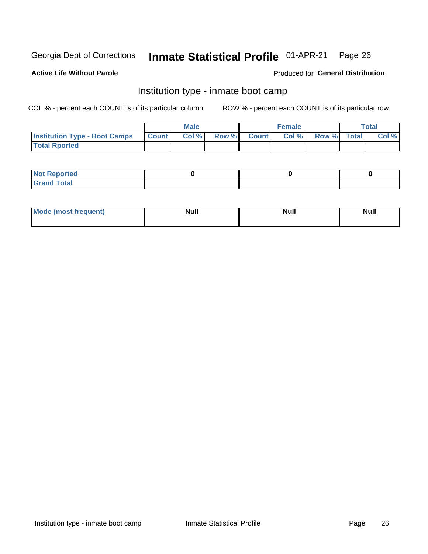#### Inmate Statistical Profile 01-APR-21 Page 26

### **Active Life Without Parole**

#### Produced for General Distribution

## Institution type - inmate boot camp

COL % - percent each COUNT is of its particular column

|                                      | <b>Male</b>      |       |              | <b>Female</b> |       |             | <b>Total</b> |       |
|--------------------------------------|------------------|-------|--------------|---------------|-------|-------------|--------------|-------|
| <b>Institution Type - Boot Camps</b> | <b>I</b> Count I | Col % | <b>Row %</b> | <b>Count</b>  | Col % | Row % Total |              | Col % |
| <b>Total Rported</b>                 |                  |       |              |               |       |             |              |       |

| <b>Not Reported</b>            |  |  |
|--------------------------------|--|--|
| <b>Total</b><br>C <sub>r</sub> |  |  |

| Mod<br>uamo | Nul.<br>$- - - - - -$ | <b>Null</b> | <br>uu.<br>------ |
|-------------|-----------------------|-------------|-------------------|
|             |                       |             |                   |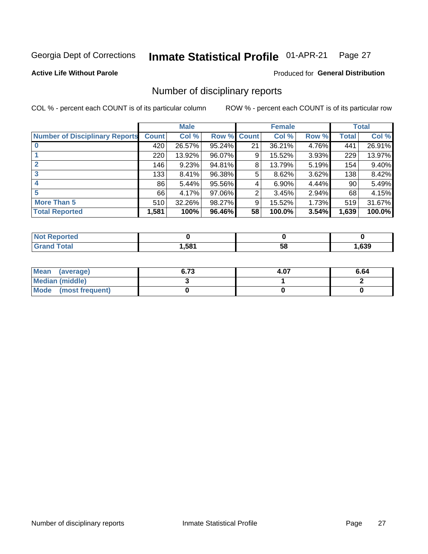#### Inmate Statistical Profile 01-APR-21 Page 27

**Active Life Without Parole** 

Produced for General Distribution

## Number of disciplinary reports

COL % - percent each COUNT is of its particular column

|                                       | <b>Male</b>  |        |        | <b>Female</b> |        |       | <b>Total</b> |        |
|---------------------------------------|--------------|--------|--------|---------------|--------|-------|--------------|--------|
| <b>Number of Disciplinary Reports</b> | <b>Count</b> | Col %  |        | Row % Count   | Col %  | Row % | Total        | Col %  |
|                                       | 420          | 26.57% | 95.24% | 21            | 36.21% | 4.76% | 441          | 26.91% |
|                                       | 220          | 13.92% | 96.07% | 9             | 15.52% | 3.93% | 229          | 13.97% |
|                                       | 146          | 9.23%  | 94.81% | 8             | 13.79% | 5.19% | 154          | 9.40%  |
| 3                                     | 133          | 8.41%  | 96.38% | 5             | 8.62%  | 3.62% | 138          | 8.42%  |
|                                       | 86           | 5.44%  | 95.56% | 4             | 6.90%  | 4.44% | 90           | 5.49%  |
| 5                                     | 66           | 4.17%  | 97.06% | 2             | 3.45%  | 2.94% | 68           | 4.15%  |
| <b>More Than 5</b>                    | 510          | 32.26% | 98.27% | 9             | 15.52% | 1.73% | 519          | 31.67% |
| <b>Total Reported</b>                 | 1,581        | 100%   | 96.46% | 58            | 100.0% | 3.54% | 1,639        | 100.0% |

| NO<br>τеο |      |    |      |
|-----------|------|----|------|
| Гоtal     | ,581 | Ⴢჾ | ,639 |

| Mean (average)         | 6.73 | 4.07 | 6.64 |
|------------------------|------|------|------|
| <b>Median (middle)</b> |      |      |      |
| Mode (most frequent)   |      |      |      |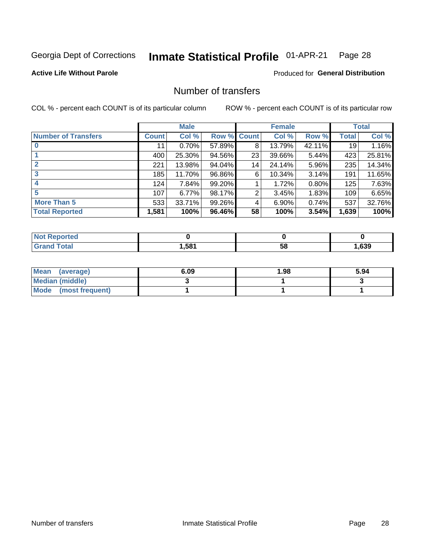#### Inmate Statistical Profile 01-APR-21 Page 28

### **Active Life Without Parole**

### **Produced for General Distribution**

## Number of transfers

COL % - percent each COUNT is of its particular column

|                            | <b>Male</b> |        | <b>Female</b> |              |        | <b>Total</b> |       |        |
|----------------------------|-------------|--------|---------------|--------------|--------|--------------|-------|--------|
| <b>Number of Transfers</b> | Count l     | Col %  | Row %         | <b>Count</b> | Col %  | Row %        | Total | Col %  |
|                            | 11          | 0.70%  | 57.89%        | 8            | 13.79% | 42.11%       | 19    | 1.16%  |
|                            | 400         | 25.30% | 94.56%        | 23           | 39.66% | 5.44%        | 423   | 25.81% |
| $\mathbf{2}$               | 221         | 13.98% | 94.04%        | 14           | 24.14% | 5.96%        | 235   | 14.34% |
| 3                          | 185         | 11.70% | 96.86%        | 6            | 10.34% | 3.14%        | 191   | 11.65% |
|                            | 124         | 7.84%  | 99.20%        |              | 1.72%  | 0.80%        | 125   | 7.63%  |
| 5                          | 107         | 6.77%  | 98.17%        | 2            | 3.45%  | 1.83%        | 109   | 6.65%  |
| <b>More Than 5</b>         | 533         | 33.71% | 99.26%        | 4            | 6.90%  | 0.74%        | 537   | 32.76% |
| <b>Total Reported</b>      | 1,581       | 100%   | 96.46%        | 58           | 100%   | 3.54%        | 1,639 | 100%   |

| <b>orted</b><br>NOT RADO |      |    |      |
|--------------------------|------|----|------|
| <sup>-</sup> otal        | ,581 | 58 | ,639 |

| Mean (average)         | 6.09 | 1.98 | 5.94 |
|------------------------|------|------|------|
| <b>Median (middle)</b> |      |      |      |
| Mode (most frequent)   |      |      |      |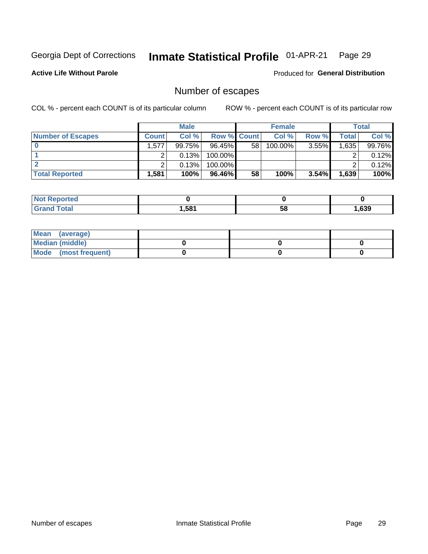#### Inmate Statistical Profile 01-APR-21 Page 29

**Active Life Without Parole** 

Produced for General Distribution

## Number of escapes

COL % - percent each COUNT is of its particular column

|                          | <b>Male</b>  |        |                    | <b>Female</b> |            |          | Total |        |
|--------------------------|--------------|--------|--------------------|---------------|------------|----------|-------|--------|
| <b>Number of Escapes</b> | <b>Count</b> | Col %  | <b>Row % Count</b> |               | Col %      | Row %    | Total | Col %  |
|                          | .577         | 99.75% | $96.45\%$          | 58            | $100.00\%$ | $3.55\%$ | 1,635 | 99.76% |
|                          |              | 0.13%  | 100.00%            |               |            |          |       | 0.12%  |
|                          |              | 0.13%  | $100.00\%$         |               |            |          |       | 0.12%  |
| <b>Total Reported</b>    | .581         | 100%   | $96.46\%$          | 58            | 100%       | $3.54\%$ | 1,639 | 100%   |

| <b>Reported</b><br><b>NOT</b> |       |    |      |
|-------------------------------|-------|----|------|
| <b>Total</b>                  | 581.ا | 58 | ,639 |

| Mean (average)       |  |  |
|----------------------|--|--|
| Median (middle)      |  |  |
| Mode (most frequent) |  |  |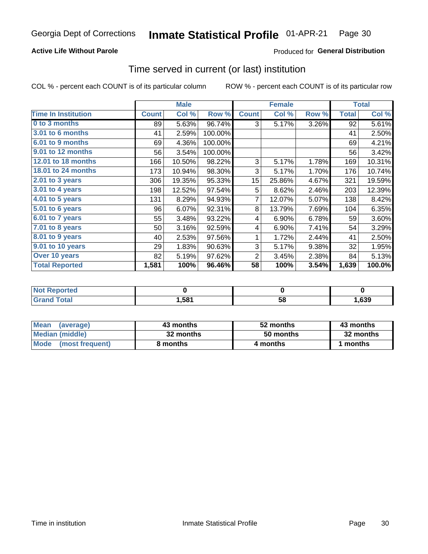### **Active Life Without Parole**

### **Produced for General Distribution**

### Time served in current (or last) institution

COL % - percent each COUNT is of its particular column

|                            |              | <b>Male</b> |         |              | <b>Female</b> |       | <b>Total</b> |        |
|----------------------------|--------------|-------------|---------|--------------|---------------|-------|--------------|--------|
| <b>Time In Institution</b> | <b>Count</b> | Col %       | Row %   | <b>Count</b> | Col %         | Row % | <b>Total</b> | Col %  |
| 0 to 3 months              | 89           | 5.63%       | 96.74%  | 3            | 5.17%         | 3.26% | 92           | 5.61%  |
| 3.01 to 6 months           | 41           | 2.59%       | 100.00% |              |               |       | 41           | 2.50%  |
| 6.01 to 9 months           | 69           | 4.36%       | 100.00% |              |               |       | 69           | 4.21%  |
| 9.01 to 12 months          | 56           | 3.54%       | 100.00% |              |               |       | 56           | 3.42%  |
| 12.01 to 18 months         | 166          | 10.50%      | 98.22%  | 3            | 5.17%         | 1.78% | 169          | 10.31% |
| 18.01 to 24 months         | 173          | 10.94%      | 98.30%  | 3            | 5.17%         | 1.70% | 176          | 10.74% |
| $2.01$ to 3 years          | 306          | 19.35%      | 95.33%  | 15           | 25.86%        | 4.67% | 321          | 19.59% |
| 3.01 to 4 years            | 198          | 12.52%      | 97.54%  | 5            | 8.62%         | 2.46% | 203          | 12.39% |
| 4.01 to 5 years            | 131          | 8.29%       | 94.93%  | 7            | 12.07%        | 5.07% | 138          | 8.42%  |
| 5.01 to 6 years            | 96           | 6.07%       | 92.31%  | 8            | 13.79%        | 7.69% | 104          | 6.35%  |
| 6.01 to 7 years            | 55           | 3.48%       | 93.22%  | 4            | 6.90%         | 6.78% | 59           | 3.60%  |
| 7.01 to 8 years            | 50           | 3.16%       | 92.59%  | 4            | 6.90%         | 7.41% | 54           | 3.29%  |
| 8.01 to 9 years            | 40           | 2.53%       | 97.56%  | 1            | 1.72%         | 2.44% | 41           | 2.50%  |
| 9.01 to 10 years           | 29           | 1.83%       | 90.63%  | 3            | 5.17%         | 9.38% | 32           | 1.95%  |
| Over 10 years              | 82           | 5.19%       | 97.62%  | 2            | 3.45%         | 2.38% | 84           | 5.13%  |
| <b>Total Reported</b>      | 1,581        | 100%        | 96.46%  | 58           | 100%          | 3.54% | 1,639        | 100.0% |

| <b>Not Reported</b>  |      |   |      |
|----------------------|------|---|------|
| <b>Total</b><br>Gran | ,581 | ວ | ,639 |

| <b>Mean</b><br>(average) | 43 months | 52 months | 43 months |
|--------------------------|-----------|-----------|-----------|
| Median (middle)          | 32 months | 50 months | 32 months |
| Mode (most frequent)     | 8 months  | 4 months  | 1 months  |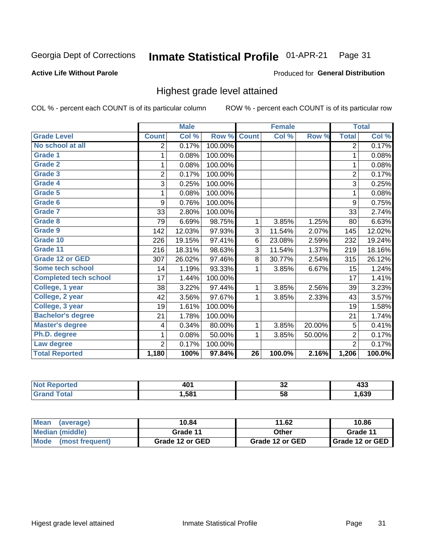#### Inmate Statistical Profile 01-APR-21 Page 31

#### **Active Life Without Parole**

#### Produced for General Distribution

## Highest grade level attained

COL % - percent each COUNT is of its particular column

|                              |                | <b>Male</b> |         |                 | <b>Female</b> |        |                | <b>Total</b> |
|------------------------------|----------------|-------------|---------|-----------------|---------------|--------|----------------|--------------|
| <b>Grade Level</b>           | <b>Count</b>   | Col %       | Row %   | <b>Count</b>    | Col %         | Row %  | <b>Total</b>   | Col %        |
| No school at all             | 2              | 0.17%       | 100.00% |                 |               |        | $\overline{2}$ | 0.17%        |
| <b>Grade 1</b>               | 1              | 0.08%       | 100.00% |                 |               |        | 1              | 0.08%        |
| <b>Grade 2</b>               | 1              | 0.08%       | 100.00% |                 |               |        | 1              | 0.08%        |
| <b>Grade 3</b>               | $\overline{2}$ | 0.17%       | 100.00% |                 |               |        | $\overline{2}$ | 0.17%        |
| Grade 4                      | 3              | 0.25%       | 100.00% |                 |               |        | 3              | 0.25%        |
| Grade 5                      | 1              | 0.08%       | 100.00% |                 |               |        | 1              | 0.08%        |
| Grade 6                      | 9              | 0.76%       | 100.00% |                 |               |        | 9              | 0.75%        |
| Grade 7                      | 33             | 2.80%       | 100.00% |                 |               |        | 33             | 2.74%        |
| <b>Grade 8</b>               | 79             | 6.69%       | 98.75%  | 1               | 3.85%         | 1.25%  | 80             | 6.63%        |
| Grade 9                      | 142            | 12.03%      | 97.93%  | 3               | 11.54%        | 2.07%  | 145            | 12.02%       |
| Grade 10                     | 226            | 19.15%      | 97.41%  | 6               | 23.08%        | 2.59%  | 232            | 19.24%       |
| Grade 11                     | 216            | 18.31%      | 98.63%  | 3               | 11.54%        | 1.37%  | 219            | 18.16%       |
| <b>Grade 12 or GED</b>       | 307            | 26.02%      | 97.46%  | 8               | 30.77%        | 2.54%  | 315            | 26.12%       |
| Some tech school             | 14             | 1.19%       | 93.33%  | 1               | 3.85%         | 6.67%  | 15             | 1.24%        |
| <b>Completed tech school</b> | 17             | 1.44%       | 100.00% |                 |               |        | 17             | 1.41%        |
| College, 1 year              | 38             | 3.22%       | 97.44%  | 1               | 3.85%         | 2.56%  | 39             | 3.23%        |
| College, 2 year              | 42             | 3.56%       | 97.67%  | 1               | 3.85%         | 2.33%  | 43             | 3.57%        |
| College, 3 year              | 19             | 1.61%       | 100.00% |                 |               |        | 19             | 1.58%        |
| <b>Bachelor's degree</b>     | 21             | 1.78%       | 100.00% |                 |               |        | 21             | 1.74%        |
| <b>Master's degree</b>       | 4              | 0.34%       | 80.00%  | 1               | 3.85%         | 20.00% | 5              | 0.41%        |
| Ph.D. degree                 | 1              | 0.08%       | 50.00%  | 1               | 3.85%         | 50.00% | $\overline{2}$ | 0.17%        |
| Law degree                   | $\overline{2}$ | 0.17%       | 100.00% |                 |               |        | $\overline{2}$ | 0.17%        |
| <b>Total Reported</b>        | 1,180          | 100%        | 97.84%  | $\overline{26}$ | 100.0%        | 2.16%  | 1,206          | 100.0%       |

| rtea | AC.    | ^^ | .    |
|------|--------|----|------|
| NO   | тu     | ◡∠ | ママー  |
| υιαι | 581. ا | 58 | ,639 |

| <b>Mean</b><br>(average) | 10.84           | 11.62           | 10.86           |
|--------------------------|-----------------|-----------------|-----------------|
| <b>Median (middle)</b>   | Grade 11        | Other           | Grade 11        |
| Mode<br>(most frequent)  | Grade 12 or GED | Grade 12 or GED | Grade 12 or GED |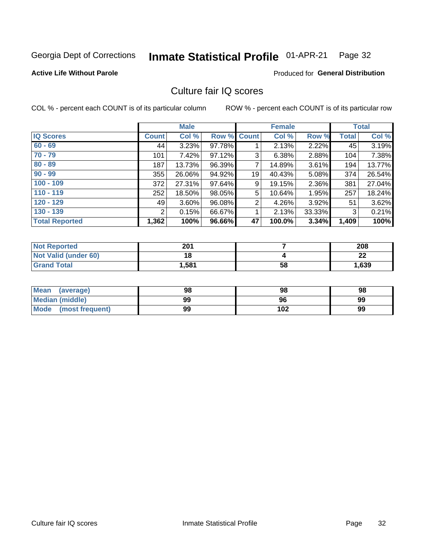#### Inmate Statistical Profile 01-APR-21 Page 32

#### **Active Life Without Parole**

### **Produced for General Distribution**

## Culture fair IQ scores

COL % - percent each COUNT is of its particular column

|                       |              | <b>Male</b> |                    |                | <b>Female</b> |          |              | <b>Total</b> |
|-----------------------|--------------|-------------|--------------------|----------------|---------------|----------|--------------|--------------|
| <b>IQ Scores</b>      | <b>Count</b> | Col %       | <b>Row % Count</b> |                | Col %         | Row %    | <b>Total</b> | Col %        |
| $60 - 69$             | 44           | 3.23%       | 97.78%             |                | 2.13%         | 2.22%    | 45           | 3.19%        |
| $70 - 79$             | 101          | 7.42%       | 97.12%             | 3              | 6.38%         | 2.88%    | 104          | 7.38%        |
| $80 - 89$             | 187          | 13.73%      | 96.39%             | $\overline{7}$ | 14.89%        | 3.61%    | 194          | 13.77%       |
| $90 - 99$             | 355          | 26.06%      | 94.92%             | 19             | 40.43%        | $5.08\%$ | 374          | 26.54%       |
| $100 - 109$           | 372          | 27.31%      | 97.64%             | 9              | 19.15%        | 2.36%    | 381          | 27.04%       |
| $110 - 119$           | 252          | 18.50%      | 98.05%             | 5              | 10.64%        | 1.95%    | 257          | 18.24%       |
| $120 - 129$           | 49           | 3.60%       | 96.08%             | $\overline{2}$ | 4.26%         | $3.92\%$ | 51           | 3.62%        |
| $130 - 139$           | 2            | 0.15%       | 66.67%             | 1              | 2.13%         | 33.33%   | 3            | 0.21%        |
| <b>Total Reported</b> | 1,362        | 100%        | 96.66%             | 47             | 100.0%        | 3.34%    | 1,409        | 100%         |

| <b>Not Reported</b>         | 201   |    | 208     |
|-----------------------------|-------|----|---------|
| <b>Not Valid (under 60)</b> | 18    |    | ົ<br>LL |
| <b>Grand Total</b>          | 1,581 | 58 | 1,639   |

| <b>Mean</b><br>(average) | 98 | 98  | 98 |
|--------------------------|----|-----|----|
| Median (middle)          | 99 | 96  | 99 |
| Mode (most frequent)     | 99 | 102 | 99 |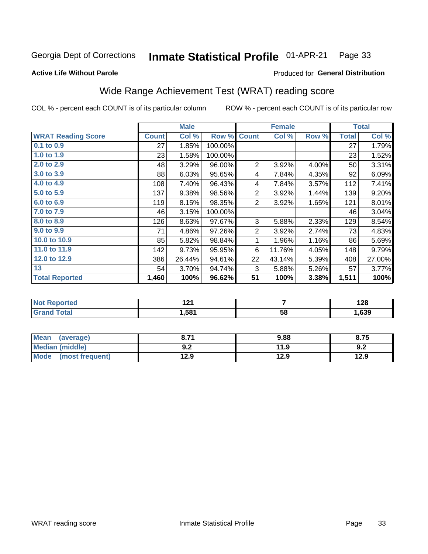#### Inmate Statistical Profile 01-APR-21 Page 33

#### **Active Life Without Parole**

### **Produced for General Distribution**

## Wide Range Achievement Test (WRAT) reading score

COL % - percent each COUNT is of its particular column

|                           |              | <b>Male</b> |         |                           | <b>Female</b> |       |              | <b>Total</b> |
|---------------------------|--------------|-------------|---------|---------------------------|---------------|-------|--------------|--------------|
| <b>WRAT Reading Score</b> | <b>Count</b> | Col %       | Row %   | <b>Count</b>              | Col %         | Row % | <b>Total</b> | Col %        |
| 0.1 to 0.9                | 27           | 1.85%       | 100.00% |                           |               |       | 27           | 1.79%        |
| 1.0 to 1.9                | 23           | 1.58%       | 100.00% |                           |               |       | 23           | 1.52%        |
| 2.0 to 2.9                | 48           | 3.29%       | 96.00%  | $\overline{2}$            | 3.92%         | 4.00% | 50           | 3.31%        |
| 3.0 to 3.9                | 88           | 6.03%       | 95.65%  | 4                         | 7.84%         | 4.35% | 92           | 6.09%        |
| 4.0 to 4.9                | 108          | 7.40%       | 96.43%  | 4                         | 7.84%         | 3.57% | 112          | 7.41%        |
| 5.0 to 5.9                | 137          | 9.38%       | 98.56%  | $\overline{c}$            | 3.92%         | 1.44% | 139          | 9.20%        |
| 6.0 to 6.9                | 119          | 8.15%       | 98.35%  | $\overline{2}$            | 3.92%         | 1.65% | 121          | 8.01%        |
| 7.0 to 7.9                | 46           | 3.15%       | 100.00% |                           |               |       | 46           | 3.04%        |
| 8.0 to 8.9                | 126          | 8.63%       | 97.67%  | $\ensuremath{\mathsf{3}}$ | 5.88%         | 2.33% | 129          | 8.54%        |
| 9.0 to 9.9                | 71           | 4.86%       | 97.26%  | $\overline{c}$            | 3.92%         | 2.74% | 73           | 4.83%        |
| 10.0 to 10.9              | 85           | 5.82%       | 98.84%  | 1                         | 1.96%         | 1.16% | 86           | 5.69%        |
| 11.0 to 11.9              | 142          | 9.73%       | 95.95%  | 6                         | 11.76%        | 4.05% | 148          | 9.79%        |
| 12.0 to 12.9              | 386          | 26.44%      | 94.61%  | 22                        | 43.14%        | 5.39% | 408          | 27.00%       |
| 13                        | 54           | 3.70%       | 94.74%  | 3                         | 5.88%         | 5.26% | 57           | 3.77%        |
| <b>Total Reported</b>     | 1,460        | 100%        | 96.62%  | $\overline{51}$           | 100%          | 3.38% | 1,511        | 100%         |
|                           |              |             |         |                           |               |       |              |              |
| <b>Not Reported</b>       |              | 121         |         |                           | 7             |       |              | 128          |
| <b>Grand Total</b>        |              | 1,581       |         |                           | 58            |       |              | 1,639        |

| <b>Mean</b><br>(average)       | ד כ<br>O.1 | 9.88 | 8.75 |
|--------------------------------|------------|------|------|
| Median (middle)                | י ה<br>J.Z | 11.9 | J.Z  |
| <b>Mode</b><br>(most frequent) | 12.9       | 12.9 | 12.9 |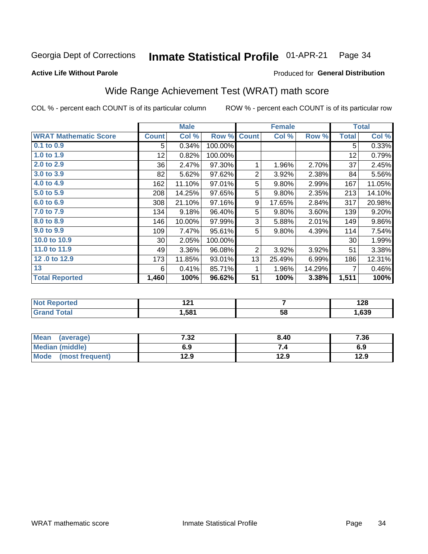#### Inmate Statistical Profile 01-APR-21 Page 34

### **Active Life Without Parole**

### **Produced for General Distribution**

## Wide Range Achievement Test (WRAT) math score

COL % - percent each COUNT is of its particular column

|                                   |                 | <b>Male</b>   |         |                | <b>Female</b> |        |              | <b>Total</b>             |
|-----------------------------------|-----------------|---------------|---------|----------------|---------------|--------|--------------|--------------------------|
| <b>WRAT Mathematic Score</b>      | <b>Count</b>    | Col %         | Row %   | <b>Count</b>   | Col %         | Row %  | <b>Total</b> | Col %                    |
| $0.1$ to $0.9$                    | 5               | 0.34%         | 100.00% |                |               |        | 5            | 0.33%                    |
| 1.0 to 1.9                        | 12              | 0.82%         | 100.00% |                |               |        | 12           | 0.79%                    |
| 2.0 to 2.9                        | 36              | 2.47%         | 97.30%  | 1              | 1.96%         | 2.70%  | 37           | 2.45%                    |
| 3.0 to 3.9                        | 82              | 5.62%         | 97.62%  | $\overline{2}$ | 3.92%         | 2.38%  | 84           | 5.56%                    |
| 4.0 to 4.9                        | 162             | 11.10%        | 97.01%  | 5              | 9.80%         | 2.99%  | 167          | 11.05%                   |
| 5.0 to 5.9                        | 208             | 14.25%        | 97.65%  | 5              | 9.80%         | 2.35%  | 213          | 14.10%                   |
| 6.0 to 6.9                        | 308             | 21.10%        | 97.16%  | 9              | 17.65%        | 2.84%  | 317          | 20.98%                   |
| 7.0 to 7.9                        | 134             | 9.18%         | 96.40%  | 5              | 9.80%         | 3.60%  | 139          | 9.20%                    |
| 8.0 to 8.9                        | 146             | 10.00%        | 97.99%  | 3              | 5.88%         | 2.01%  | 149          | 9.86%                    |
| 9.0 to 9.9                        | 109             | 7.47%         | 95.61%  | 5              | 9.80%         | 4.39%  | 114          | 7.54%                    |
| 10.0 to 10.9                      | 30 <sup>°</sup> | 2.05%         | 100.00% |                |               |        | 30           | 1.99%                    |
| 11.0 to 11.9                      | 49              | 3.36%         | 96.08%  | 2              | 3.92%         | 3.92%  | 51           | 3.38%                    |
| 12.0 to 12.9                      | 173             | 11.85%        | 93.01%  | 13             | 25.49%        | 6.99%  | 186          | 12.31%                   |
| 13                                | 6               | 0.41%         | 85.71%  | 1              | 1.96%         | 14.29% | 7            | 0.46%                    |
| <b>Total Reported</b>             | 1,460           | 100%          | 96.62%  | 51             | 100%          | 3.38%  | 1,511        | 100%                     |
|                                   |                 |               |         |                |               |        |              |                          |
| <b>Contract Contract Contract</b> |                 | $\sim$ $\sim$ |         |                |               |        |              | $\overline{\phantom{a}}$ |

| 'Not<br>Reported | ה ה<br>. |    | 1 7 0<br>140 |
|------------------|----------|----|--------------|
| <b>otal</b>      | .581     | 58 | ,639         |

| <b>Mean</b><br>(average)       | 7 22<br>7د.∶ | 8.40 | 7.36 |
|--------------------------------|--------------|------|------|
| Median (middle)                | 6.9          |      | 6.9  |
| <b>Mode</b><br>(most frequent) | 12.9         | 12.9 | 12.9 |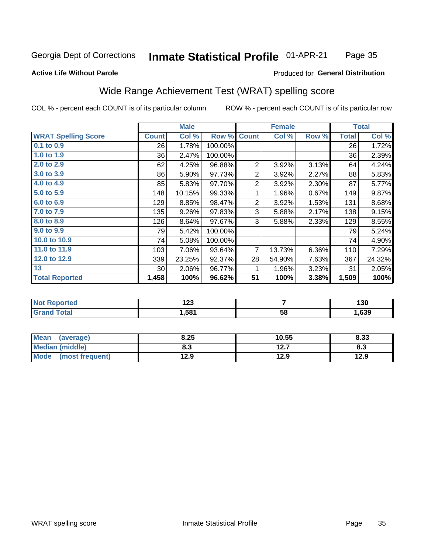#### Inmate Statistical Profile 01-APR-21 Page 35

#### **Active Life Without Parole**

### Produced for General Distribution

## Wide Range Achievement Test (WRAT) spelling score

COL % - percent each COUNT is of its particular column

|                            |              | <b>Male</b> |         |                 | <b>Female</b>  |          |              | <b>Total</b> |
|----------------------------|--------------|-------------|---------|-----------------|----------------|----------|--------------|--------------|
| <b>WRAT Spelling Score</b> | <b>Count</b> | Col %       | Row %   | <b>Count</b>    | Col %          | Row %    | <b>Total</b> | Col %        |
| 0.1 to 0.9                 | 26           | 1.78%       | 100.00% |                 |                |          | 26           | 1.72%        |
| 1.0 to 1.9                 | 36           | 2.47%       | 100.00% |                 |                |          | 36           | 2.39%        |
| 2.0 to 2.9                 | 62           | 4.25%       | 96.88%  | $\overline{2}$  | 3.92%          | 3.13%    | 64           | 4.24%        |
| 3.0 to 3.9                 | 86           | 5.90%       | 97.73%  | $\mathbf 2$     | 3.92%          | 2.27%    | 88           | 5.83%        |
| 4.0 to 4.9                 | 85           | 5.83%       | 97.70%  | $\overline{c}$  | 3.92%          | 2.30%    | 87           | 5.77%        |
| 5.0 to 5.9                 | 148          | 10.15%      | 99.33%  | 1               | 1.96%          | 0.67%    | 149          | 9.87%        |
| 6.0 to 6.9                 | 129          | 8.85%       | 98.47%  | $\overline{2}$  | 3.92%          | 1.53%    | 131          | 8.68%        |
| 7.0 to 7.9                 | 135          | 9.26%       | 97.83%  | 3               | 5.88%          | 2.17%    | 138          | 9.15%        |
| 8.0 to 8.9                 | 126          | 8.64%       | 97.67%  | 3               | 5.88%          | 2.33%    | 129          | 8.55%        |
| 9.0 to 9.9                 | 79           | 5.42%       | 100.00% |                 |                |          | 79           | 5.24%        |
| 10.0 to 10.9               | 74           | 5.08%       | 100.00% |                 |                |          | 74           | 4.90%        |
| 11.0 to 11.9               | 103          | 7.06%       | 93.64%  | $\overline{7}$  | 13.73%         | $6.36\%$ | 110          | 7.29%        |
| 12.0 to 12.9               | 339          | 23.25%      | 92.37%  | 28              | 54.90%         | 7.63%    | 367          | 24.32%       |
| 13                         | $30$         | 2.06%       | 96.77%  | 1               | 1.96%          | 3.23%    | 31           | 2.05%        |
| <b>Total Reported</b>      | 1,458        | 100%        | 96.62%  | $\overline{51}$ | 100%           | 3.38%    | 1,509        | 100%         |
|                            |              |             |         |                 |                |          |              |              |
| <b>Not Reported</b>        |              | 123         |         |                 | $\overline{7}$ |          |              | 130          |
| <b>Grand Total</b>         |              | 1,581       |         |                 | 58             |          |              | 1,639        |

| <b>Mean</b><br>(average)       | 8.25 | 10.55        | 8.33 |
|--------------------------------|------|--------------|------|
| Median (middle)                | o. J | 127<br>I 4.I | ი.ა  |
| <b>Mode</b><br>(most frequent) | 12.9 | 12.9         | 12.9 |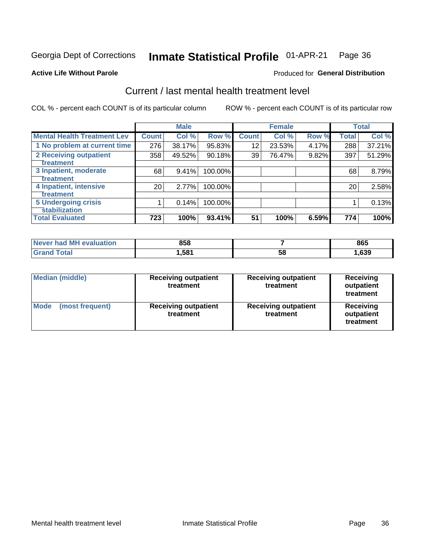#### Inmate Statistical Profile 01-APR-21 Page 36

#### **Active Life Without Parole**

#### Produced for General Distribution

## Current / last mental health treatment level

COL % - percent each COUNT is of its particular column

|                                    |              | <b>Male</b> |         |              | <b>Female</b> |       |              | <b>Total</b> |
|------------------------------------|--------------|-------------|---------|--------------|---------------|-------|--------------|--------------|
| <b>Mental Health Treatment Lev</b> | <b>Count</b> | Col %       | Row %   | <b>Count</b> | Col %         | Row % | <b>Total</b> | Col %        |
| 1 No problem at current time       | 276          | 38.17%      | 95.83%  | 12           | 23.53%        | 4.17% | 288          | 37.21%       |
| 2 Receiving outpatient             | 358          | 49.52%      | 90.18%  | 39           | 76.47%        | 9.82% | 397          | 51.29%       |
| <b>Treatment</b>                   |              |             |         |              |               |       |              |              |
| 3 Inpatient, moderate              | 68           | 9.41%       | 100.00% |              |               |       | 68           | 8.79%        |
| Treatment                          |              |             |         |              |               |       |              |              |
| 4 Inpatient, intensive             | 20           | 2.77%       | 100.00% |              |               |       | 20           | 2.58%        |
| Treatment                          |              |             |         |              |               |       |              |              |
| <b>5 Undergoing crisis</b>         |              | 0.14%       | 100.00% |              |               |       |              | 0.13%        |
| <b>stabilization</b>               |              |             |         |              |               |       |              |              |
| <b>Total Evaluated</b>             | 723          | 100%        | 93.41%  | 51           | 100%          | 6.59% | 774          | 100%         |

| <b>evaluation</b><br>Never had MF | 858   |    | 865  |
|-----------------------------------|-------|----|------|
| $f$ otol                          | .,581 | 58 | ,639 |

| Median (middle)                | <b>Receiving outpatient</b><br>treatment | <b>Receiving outpatient</b><br>treatment | <b>Receiving</b><br>outpatient<br>treatment |  |
|--------------------------------|------------------------------------------|------------------------------------------|---------------------------------------------|--|
| <b>Mode</b><br>(most frequent) | <b>Receiving outpatient</b><br>treatment | <b>Receiving outpatient</b><br>treatment | Receiving<br>outpatient<br>treatment        |  |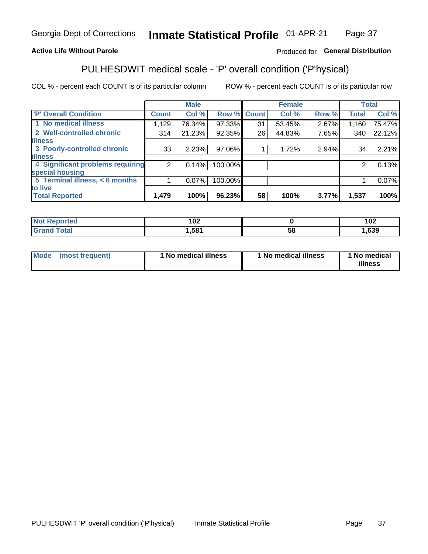#### Inmate Statistical Profile 01-APR-21 Page 37

### **Active Life Without Parole**

### Produced for General Distribution

## PULHESDWIT medical scale - 'P' overall condition ('P'hysical)

COL % - percent each COUNT is of its particular column

|                                  |                | <b>Male</b> |             |    | <b>Female</b> |       |              | <b>Total</b> |
|----------------------------------|----------------|-------------|-------------|----|---------------|-------|--------------|--------------|
| 'P' Overall Condition            | <b>Count</b>   | Col %       | Row % Count |    | Col %         | Row % | <b>Total</b> | Col %        |
| 1 No medical illness             | 1,129          | 76.34%      | 97.33%      | 31 | 53.45%        | 2.67% | 1,160        | 75.47%       |
| 2 Well-controlled chronic        | 314            | 21.23%      | 92.35%      | 26 | 44.83%        | 7.65% | 340          | 22.12%       |
| <b>illness</b>                   |                |             |             |    |               |       |              |              |
| 3 Poorly-controlled chronic      | 33             | 2.23%       | 97.06%      |    | 1.72%         | 2.94% | 34           | 2.21%        |
| <b>illness</b>                   |                |             |             |    |               |       |              |              |
| 4 Significant problems requiring | 2 <sub>1</sub> | 0.14%       | 100.00%     |    |               |       | 2            | 0.13%        |
| special housing                  |                |             |             |    |               |       |              |              |
| 5 Terminal illness, < 6 months   |                | 0.07%       | 100.00%     |    |               |       |              | 0.07%        |
| to live                          |                |             |             |    |               |       |              |              |
| <b>Total Reported</b>            | 1,479          | 100%        | 96.23%      | 58 | 100%          | 3.77% | 1,537        | 100%         |

| rteo                   | מחו<br>1 U Z |    | ィハク<br>1 V 4 |
|------------------------|--------------|----|--------------|
| $f \wedge f \wedge f'$ | 1,581        | ວດ | ,639         |

|  |  | Mode (most frequent) | 1 No medical illness | 1 No medical illness | 1 No medical<br>illness |
|--|--|----------------------|----------------------|----------------------|-------------------------|
|--|--|----------------------|----------------------|----------------------|-------------------------|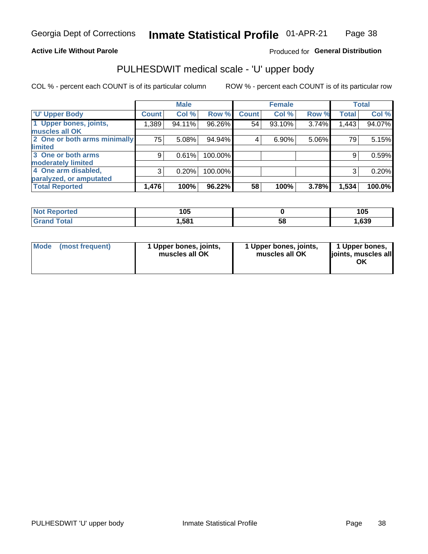### **Active Life Without Parole**

### Produced for General Distribution

## PULHESDWIT medical scale - 'U' upper body

COL % - percent each COUNT is of its particular column

|                              |              | <b>Male</b> |           |              | <b>Female</b> |       |              | <b>Total</b> |
|------------------------------|--------------|-------------|-----------|--------------|---------------|-------|--------------|--------------|
| <b>U' Upper Body</b>         | <b>Count</b> | Col %       | Row %     | <b>Count</b> | Col %         | Row % | <b>Total</b> | Col %        |
| 1 Upper bones, joints,       | 1,389        | 94.11%      | 96.26%    | 54           | 93.10%        | 3.74% | 1,443        | 94.07%       |
| muscles all OK               |              |             |           |              |               |       |              |              |
| 2 One or both arms minimally | 75           | 5.08%       | 94.94%    | 4            | 6.90%         | 5.06% | 79           | 5.15%        |
| limited                      |              |             |           |              |               |       |              |              |
| 3 One or both arms           | 9            | 0.61%       | 100.00%   |              |               |       | 9            | 0.59%        |
| <b>moderately limited</b>    |              |             |           |              |               |       |              |              |
| 4 One arm disabled,          | 3            | 0.20%       | 100.00%   |              |               |       | 3            | 0.20%        |
| paralyzed, or amputated      |              |             |           |              |               |       |              |              |
| <b>Total Reported</b>        | 1,476        | 100%        | $96.22\%$ | 58           | 100%          | 3.78% | 1,534        | 100.0%       |

| <b>Not Reported</b> | 105  |    | 105  |
|---------------------|------|----|------|
| <b>Total</b>        | ,581 | 58 | ,639 |

| <b>Mode</b> | (most frequent) | 1 Upper bones, joints,<br>muscles all OK | 1 Upper bones, joints,<br>muscles all OK | 1 Upper bones,<br>ljoints, muscles all<br>ОK |
|-------------|-----------------|------------------------------------------|------------------------------------------|----------------------------------------------|
|-------------|-----------------|------------------------------------------|------------------------------------------|----------------------------------------------|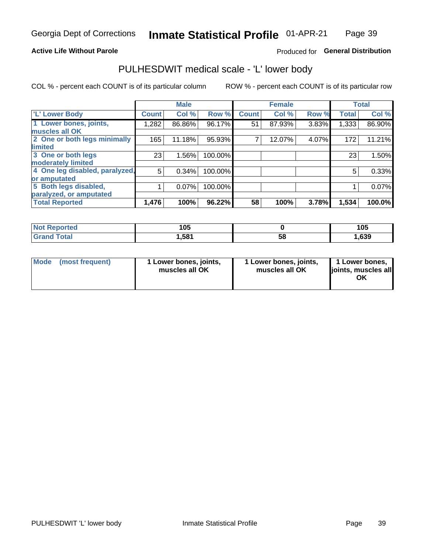### **Active Life Without Parole**

### Produced for General Distribution

## PULHESDWIT medical scale - 'L' lower body

COL % - percent each COUNT is of its particular column

|                                |              | <b>Male</b> |         |              | <b>Female</b> |       |              | <b>Total</b> |
|--------------------------------|--------------|-------------|---------|--------------|---------------|-------|--------------|--------------|
| 'L' Lower Body                 | <b>Count</b> | Col %       | Row %   | <b>Count</b> | Col %         | Row % | <b>Total</b> | Col %        |
| 1 Lower bones, joints,         | 1.282        | 86.86%      | 96.17%  | 51           | 87.93%        | 3.83% | 1,333        | 86.90%       |
| muscles all OK                 |              |             |         |              |               |       |              |              |
| 2 One or both legs minimally   | 165          | 11.18%      | 95.93%  |              | 12.07%        | 4.07% | 172          | 11.21%       |
| limited                        |              |             |         |              |               |       |              |              |
| 3 One or both legs             | 23           | 1.56%       | 100.00% |              |               |       | 23           | 1.50%        |
| moderately limited             |              |             |         |              |               |       |              |              |
| 4 One leg disabled, paralyzed, | 5            | 0.34%       | 100.00% |              |               |       | 5            | 0.33%        |
| or amputated                   |              |             |         |              |               |       |              |              |
| 5 Both legs disabled,          |              | 0.07%       | 100.00% |              |               |       |              | 0.07%        |
| paralyzed, or amputated        |              |             |         |              |               |       |              |              |
| <b>Total Reported</b>          | 1,476        | 100%        | 96.22%  | 58           | 100%          | 3.78% | 1,534        | 100.0%       |

| <b>Not Reported</b> | 1 N 5<br>טע |    | 4 A E<br>טו |
|---------------------|-------------|----|-------------|
| <b>Grand Total</b>  | 1,581       | 58 | ,639        |

| Mode (most frequent) | 1 Lower bones, joints,<br>muscles all OK | 1 Lower bones, joints,<br>muscles all OK | 1 Lower bones,<br>joints, muscles all<br>ΟK |
|----------------------|------------------------------------------|------------------------------------------|---------------------------------------------|
|----------------------|------------------------------------------|------------------------------------------|---------------------------------------------|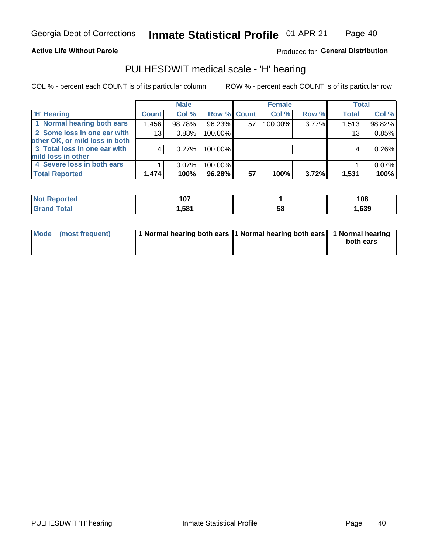### **Active Life Without Parole**

Produced for General Distribution

### PULHESDWIT medical scale - 'H' hearing

COL % - percent each COUNT is of its particular column

|                                |                 | <b>Male</b> |             |    | <b>Female</b> |       | <b>Total</b> |        |
|--------------------------------|-----------------|-------------|-------------|----|---------------|-------|--------------|--------|
| <b>H' Hearing</b>              | <b>Count</b>    | Col %       | Row % Count |    | Col %         | Row % | <b>Total</b> | Col %  |
| 1 Normal hearing both ears     | 1,456           | 98.78%      | 96.23%      | 57 | 100.00%       | 3.77% | 1,513        | 98.82% |
| 2 Some loss in one ear with    | 13 <sub>1</sub> | 0.88%       | 100.00%     |    |               |       | 13           | 0.85%  |
| other OK, or mild loss in both |                 |             |             |    |               |       |              |        |
| 3 Total loss in one ear with   | 4               | 0.27%       | 100.00%     |    |               |       | 4            | 0.26%  |
| mild loss in other             |                 |             |             |    |               |       |              |        |
| 4 Severe loss in both ears     |                 | $0.07\%$    | 100.00%     |    |               |       |              | 0.07%  |
| <b>Total Reported</b>          | 1,474           | 100%        | 96.28%      | 57 | 100%          | 3.72% | 1,531        | 100%   |

| <b>Not</b><br><b>ported</b> | 107  |    | 108  |
|-----------------------------|------|----|------|
| <b>otal</b>                 | .581 | აა | ,639 |

|  | Mode (most frequent) | 1 Normal hearing both ears 1 Normal hearing both ears 1 Normal hearing |  | both ears |
|--|----------------------|------------------------------------------------------------------------|--|-----------|
|--|----------------------|------------------------------------------------------------------------|--|-----------|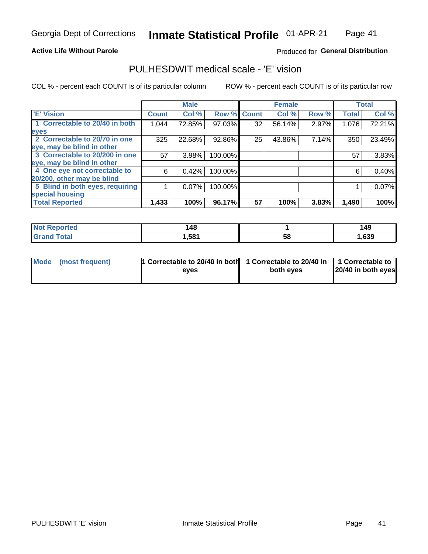### **Active Life Without Parole**

### Produced for General Distribution

## PULHESDWIT medical scale - 'E' vision

COL % - percent each COUNT is of its particular column

|                                 |              | <b>Male</b> |         |              | <b>Female</b> |       |              | <b>Total</b> |
|---------------------------------|--------------|-------------|---------|--------------|---------------|-------|--------------|--------------|
| <b>E' Vision</b>                | <b>Count</b> | Col %       | Row %   | <b>Count</b> | Col %         | Row % | <b>Total</b> | Col %        |
| 1 Correctable to 20/40 in both  | 1,044        | 72.85%      | 97.03%  | 32           | 56.14%        | 2.97% | 1,076        | 72.21%       |
| eyes                            |              |             |         |              |               |       |              |              |
| 2 Correctable to 20/70 in one   | 325          | 22.68%      | 92.86%  | 25           | 43.86%        | 7.14% | 350          | 23.49%       |
| eye, may be blind in other      |              |             |         |              |               |       |              |              |
| 3 Correctable to 20/200 in one  | 57           | 3.98%       | 100.00% |              |               |       | 57           | 3.83%        |
| eye, may be blind in other      |              |             |         |              |               |       |              |              |
| 4 One eye not correctable to    | 6            | 0.42%       | 100.00% |              |               |       | 6            | 0.40%        |
| 20/200, other may be blind      |              |             |         |              |               |       |              |              |
| 5 Blind in both eyes, requiring |              | 0.07%       | 100.00% |              |               |       |              | 0.07%        |
| special housing                 |              |             |         |              |               |       |              |              |
| <b>Total Reported</b>           | 1,433        | 100%        | 96.17%  | 57           | 100%          | 3.83% | 1,490        | 100%         |

| Reported     | 148  |    | 149  |
|--------------|------|----|------|
| <b>Total</b> | ,581 | 58 | ,639 |

| Mode (most frequent) | 1 Correctable to 20/40 in both<br>eves | 1 Correctable to 20/40 in   1 Correctable to  <br>both eves | 20/40 in both eyes |
|----------------------|----------------------------------------|-------------------------------------------------------------|--------------------|
|                      |                                        |                                                             |                    |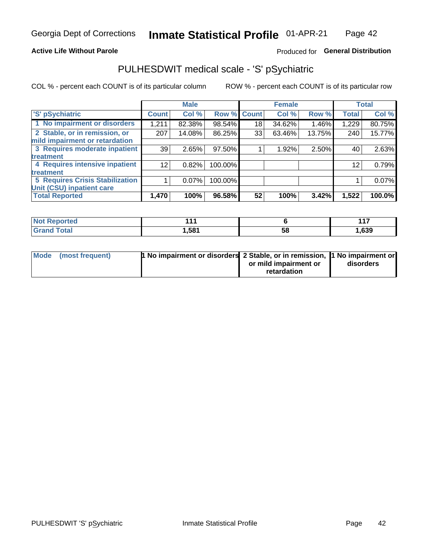### **Active Life Without Parole**

### Produced for General Distribution

## PULHESDWIT medical scale - 'S' pSychiatric

COL % - percent each COUNT is of its particular column

|                                        |              | <b>Male</b> |         |             | <b>Female</b> |        |              | <b>Total</b> |
|----------------------------------------|--------------|-------------|---------|-------------|---------------|--------|--------------|--------------|
| 'S' pSychiatric                        | <b>Count</b> | Col %       |         | Row % Count | Col %         | Row %  | <b>Total</b> | Col %        |
| 1 No impairment or disorders           | 1,211        | 82.38%      | 98.54%  | 18          | 34.62%        | 1.46%  | 1,229        | 80.75%       |
| 2 Stable, or in remission, or          | 207          | 14.08%      | 86.25%  | 33          | 63.46%        | 13.75% | 240          | 15.77%       |
| mild impairment or retardation         |              |             |         |             |               |        |              |              |
| 3 Requires moderate inpatient          | 39           | 2.65%       | 97.50%  |             | 1.92%         | 2.50%  | 40           | 2.63%        |
| treatment                              |              |             |         |             |               |        |              |              |
| 4 Requires intensive inpatient         | 12           | 0.82%       | 100.00% |             |               |        | 12           | 0.79%        |
| treatment                              |              |             |         |             |               |        |              |              |
| <b>5 Requires Crisis Stabilization</b> |              | 0.07%       | 100.00% |             |               |        |              | 0.07%        |
| Unit (CSU) inpatient care              |              |             |         |             |               |        |              |              |
| <b>Total Reported</b>                  | 1,470        | 100%        | 96.58%  | 52          | 100%          | 3.42%  | 1,522        | 100.0%       |

| <b>Not Reported</b>  | 44 <sup>7</sup> |    | 447<br>. |
|----------------------|-----------------|----|----------|
| <b>Total</b><br>Cron | 581,            | ວະ | ,639     |

| Mode (most frequent) | <b>1 No impairment or disorders</b> 2 Stable, or in remission, 11 No impairment or |                       |           |
|----------------------|------------------------------------------------------------------------------------|-----------------------|-----------|
|                      |                                                                                    | or mild impairment or | disorders |
|                      |                                                                                    | retardation           |           |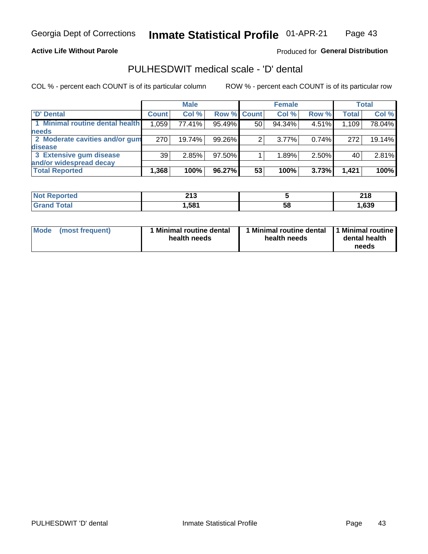### **Active Life Without Parole**

### Produced for General Distribution

## PULHESDWIT medical scale - 'D' dental

COL % - percent each COUNT is of its particular column

|                                 |              | <b>Male</b> |                    |    | <b>Female</b> |       |              | Total  |
|---------------------------------|--------------|-------------|--------------------|----|---------------|-------|--------------|--------|
| 'D' Dental                      | <b>Count</b> | Col %       | <b>Row % Count</b> |    | Col %         | Row % | <b>Total</b> | Col %  |
| 1 Minimal routine dental health | 1,059        | 77.41%      | 95.49%             | 50 | 94.34%        | 4.51% | 1,109        | 78.04% |
| <b>needs</b>                    |              |             |                    |    |               |       |              |        |
| 2 Moderate cavities and/or gum  | 270          | 19.74%      | 99.26%             | 2  | $3.77\%$      | 0.74% | 272          | 19.14% |
| <b>disease</b>                  |              |             |                    |    |               |       |              |        |
| 3 Extensive gum disease         | 39           | 2.85%       | 97.50%             |    | 1.89%         | 2.50% | 40           | 2.81%  |
| and/or widespread decay         |              |             |                    |    |               |       |              |        |
| <b>Total Reported</b>           | 1,368        | 100%        | 96.27%             | 53 | 100%          | 3.73% | 1.421        | 100%   |

| prtea<br><b>NOT</b><br> | 24c<br>2 I J     |    | 240<br>ZIO. |
|-------------------------|------------------|----|-------------|
| <b>cotal</b>            | .58 <sup>4</sup> | 58 | ,639        |

| Mode<br>(most frequent) | Minimal routine dental<br>health needs | <b>Minimal routine dental</b><br>health needs | 1 Minimal routine<br>dental health<br>needs |
|-------------------------|----------------------------------------|-----------------------------------------------|---------------------------------------------|
|-------------------------|----------------------------------------|-----------------------------------------------|---------------------------------------------|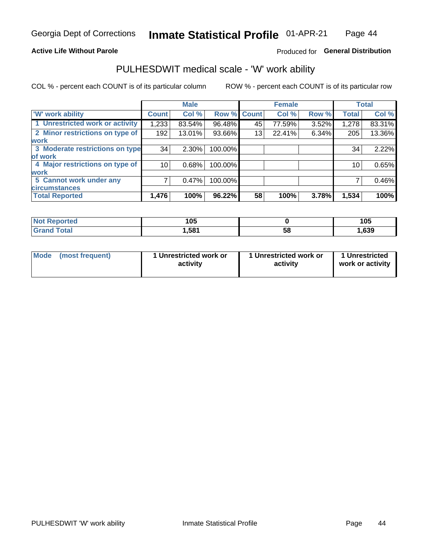### **Active Life Without Parole**

### Produced for General Distribution

### PULHESDWIT medical scale - 'W' work ability

COL % - percent each COUNT is of its particular column

|                                 |              | <b>Male</b> |         |             | <b>Female</b> |       |              | <b>Total</b> |
|---------------------------------|--------------|-------------|---------|-------------|---------------|-------|--------------|--------------|
| <b>W' work ability</b>          | <b>Count</b> | Col %       |         | Row % Count | Col %         | Row % | <b>Total</b> | Col %        |
| 1 Unrestricted work or activity | 1,233        | 83.54%      | 96.48%  | 45          | 77.59%        | 3.52% | 1,278        | 83.31%       |
| 2 Minor restrictions on type of | 192          | 13.01%      | 93.66%  | 13          | 22.41%        | 6.34% | 205          | 13.36%       |
| <b>work</b>                     |              |             |         |             |               |       |              |              |
| 3 Moderate restrictions on type | 34           | $2.30\%$    | 100.00% |             |               |       | 34           | 2.22%        |
| lof work                        |              |             |         |             |               |       |              |              |
| 4 Major restrictions on type of | 10           | 0.68%       | 100.00% |             |               |       | 10           | 0.65%        |
| <b>work</b>                     |              |             |         |             |               |       |              |              |
| 5 Cannot work under any         |              | 0.47%       | 100.00% |             |               |       |              | 0.46%        |
| <b>circumstances</b>            |              |             |         |             |               |       |              |              |
| <b>Total Reported</b>           | 1,476        | 100%        | 96.22%  | 58          | 100%          | 3.78% | 1,534        | 100%         |

| 'Not Reported | 105  |   | 105  |
|---------------|------|---|------|
| <b>Total</b>  | ,581 | ວ | ,639 |

| Mode            | 1 Unrestricted work or | 1 Unrestricted work or | 1 Unrestricted   |
|-----------------|------------------------|------------------------|------------------|
| (most frequent) | activity               | activity               | work or activity |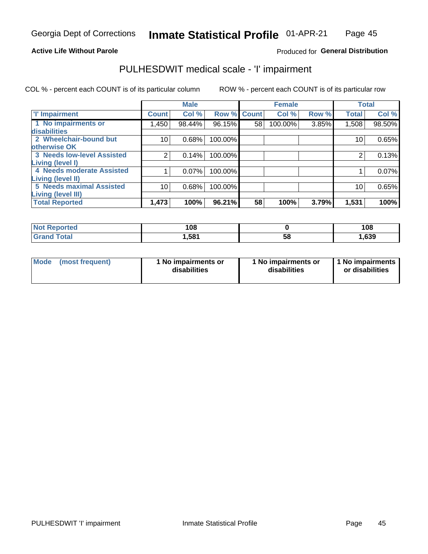### **Active Life Without Parole**

### Produced for General Distribution

## PULHESDWIT medical scale - 'I' impairment

COL % - percent each COUNT is of its particular column ROW % - percent each COUNT is of its particular row

|                                   |                | <b>Male</b> |             |    | <b>Female</b> |       |              | <b>Total</b> |
|-----------------------------------|----------------|-------------|-------------|----|---------------|-------|--------------|--------------|
| <b>T' Impairment</b>              | <b>Count</b>   | Col %       | Row % Count |    | Col %         | Row % | <b>Total</b> | Col %        |
| 1 No impairments or               | 450. ا         | 98.44%      | 96.15%      | 58 | 100.00%       | 3.85% | 1,508        | 98.50%       |
| disabilities                      |                |             |             |    |               |       |              |              |
| 2 Wheelchair-bound but            | 10             | 0.68%       | 100.00%     |    |               |       | 10           | 0.65%        |
| otherwise OK                      |                |             |             |    |               |       |              |              |
| <b>3 Needs low-level Assisted</b> | $\overline{2}$ | 0.14%       | 100.00%     |    |               |       | 2            | 0.13%        |
| Living (level I)                  |                |             |             |    |               |       |              |              |
| 4 Needs moderate Assisted         |                | 0.07%       | 100.00%     |    |               |       |              | 0.07%        |
| Living (level II)                 |                |             |             |    |               |       |              |              |
| <b>5 Needs maximal Assisted</b>   | 10             | 0.68%       | 100.00%     |    |               |       | 10           | 0.65%        |
| <b>Living (level III)</b>         |                |             |             |    |               |       |              |              |
| <b>Total Reported</b>             | 1,473          | 100%        | 96.21%      | 58 | 100%          | 3.79% | 1,531        | 100%         |

| orted        | 108  |    | 108  |
|--------------|------|----|------|
| <b>Total</b> | .581 | ၁၀ | ,639 |

| Mode | (most frequent) | 1 No impairments or<br>disabilities | 1 No impairments or<br>disabilities | 1 No impairments<br>or disabilities |
|------|-----------------|-------------------------------------|-------------------------------------|-------------------------------------|
|------|-----------------|-------------------------------------|-------------------------------------|-------------------------------------|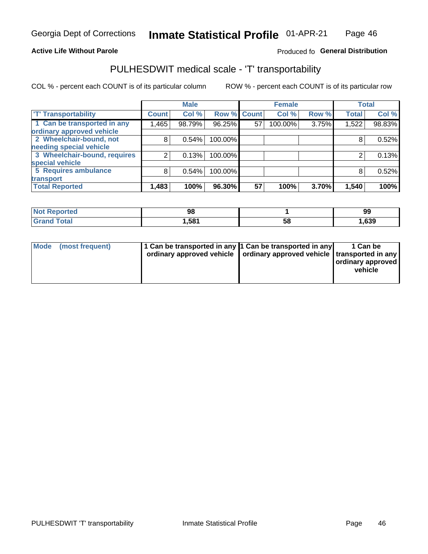### **Active Life Without Parole**

### Produced fo General Distribution

## PULHESDWIT medical scale - 'T' transportability

COL % - percent each COUNT is of its particular column

ROW % - percent each COUNT is of its particular row

|                              |              | <b>Male</b> |         |             | <b>Female</b> |       |              | <b>Total</b> |
|------------------------------|--------------|-------------|---------|-------------|---------------|-------|--------------|--------------|
| <b>T' Transportability</b>   | <b>Count</b> | Col %       |         | Row % Count | Col %         | Row % | <b>Total</b> | Col %        |
| 1 Can be transported in any  | 1,465        | 98.79%      | 96.25%  | 57          | 100.00%       | 3.75% | 1,522        | 98.83%       |
| ordinary approved vehicle    |              |             |         |             |               |       |              |              |
| 2 Wheelchair-bound, not      | 8            | 0.54%       | 100.00% |             |               |       |              | 0.52%        |
| needing special vehicle      |              |             |         |             |               |       |              |              |
| 3 Wheelchair-bound, requires |              | 0.13%       | 100.00% |             |               |       |              | 0.13%        |
| special vehicle              |              |             |         |             |               |       |              |              |
| 5 Requires ambulance         | 8            | 0.54%       | 100.00% |             |               |       | 8            | 0.52%        |
| transport                    |              |             |         |             |               |       |              |              |
| <b>Total Reported</b>        | .483         | 100%        | 96.30%  | 57          | 100%          | 3.70% | 1,540        | 100%         |

| orted        | 98    |    | 99   |
|--------------|-------|----|------|
| <b>Total</b> | 581.ا | Ⴢჾ | ,639 |

| <b>Mode</b> | (most frequent) | 1 Can be transported in any 1 Can be transported in any<br>ordinary approved vehicle   ordinary approved vehicle   transported in any |  | 1 Can be<br>  ordinary approved  <br>vehicle |
|-------------|-----------------|---------------------------------------------------------------------------------------------------------------------------------------|--|----------------------------------------------|
|-------------|-----------------|---------------------------------------------------------------------------------------------------------------------------------------|--|----------------------------------------------|

**Inmate Statistical Profile**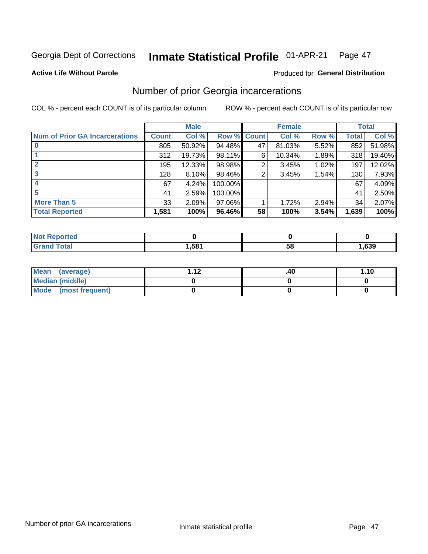#### Inmate Statistical Profile 01-APR-21 Page 47

#### **Active Life Without Parole**

### **Produced for General Distribution**

## Number of prior Georgia incarcerations

COL % - percent each COUNT is of its particular column

|                                       |       | <b>Male</b> |             |    | <b>Female</b> |       |       | <b>Total</b> |
|---------------------------------------|-------|-------------|-------------|----|---------------|-------|-------|--------------|
| <b>Num of Prior GA Incarcerations</b> | Count | Col %       | Row % Count |    | Col %         | Row % | Total | Col %        |
| $\bf{0}$                              | 805   | 50.92%      | 94.48%      | 47 | 81.03%        | 5.52% | 852   | 51.98%       |
|                                       | 312   | 19.73%      | 98.11%      | 6  | 10.34%        | 1.89% | 318   | 19.40%       |
|                                       | 195   | 12.33%      | 98.98%      | 2  | 3.45%         | 1.02% | 197   | 12.02%       |
| 3                                     | 128   | 8.10%       | 98.46%      | 2  | 3.45%         | 1.54% | 130   | 7.93%        |
| 4                                     | 67    | 4.24%       | 100.00%     |    |               |       | 67    | 4.09%        |
| 5                                     | 41    | 2.59%       | 100.00%     |    |               |       | 41    | 2.50%        |
| <b>More Than 5</b>                    | 33    | 2.09%       | $97.06\%$   |    | 1.72%         | 2.94% | 34    | 2.07%        |
| <b>Total Reported</b>                 | 1,581 | 100%        | 96.46%      | 58 | 100%          | 3.54% | 1,639 | 100%         |

| ported<br><b>NOT</b> |      |    |      |
|----------------------|------|----|------|
| <b>Total</b>         | ,581 | эι | ,639 |

| Mean (average)         | 1 1 J | .40 | 1.10 |
|------------------------|-------|-----|------|
| <b>Median (middle)</b> |       |     |      |
| Mode (most frequent)   |       |     |      |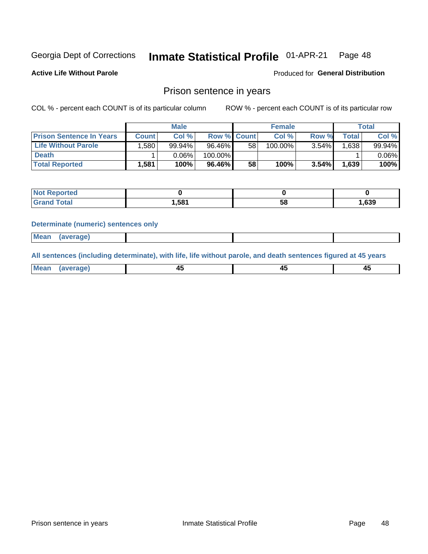#### Inmate Statistical Profile 01-APR-21 Page 48

**Active Life Without Parole** 

Produced for General Distribution

### Prison sentence in years

COL % - percent each COUNT is of its particular column

ROW % - percent each COUNT is of its particular row

|                                 |        | <b>Male</b> |                    |    | <b>Female</b> |          |             | Total    |
|---------------------------------|--------|-------------|--------------------|----|---------------|----------|-------------|----------|
| <b>Prison Sentence In Years</b> | Count⊺ | Col %       | <b>Row % Count</b> |    | Col %         | Row %    | $\tau$ otal | Col %    |
| <b>Life Without Parole</b>      | .580   | 99.94%      | 96.46%             | 58 | 100.00%       | $3.54\%$ | .638        | 99.94%   |
| <b>Death</b>                    |        | 0.06%       | 100.00%            |    |               |          |             | $0.06\%$ |
| <b>Total Reported</b>           | 1,581  | 100%        | 96.46%             | 58 | 100%          | $3.54\%$ | 1,639       | 100%     |

| ported      |       |    |      |
|-------------|-------|----|------|
| <b>otal</b> | 1,581 | эс | ,639 |

#### **Determinate (numeric) sentences only**

| Mea<br>юе<br>. |  |  |  |
|----------------|--|--|--|
|                |  |  |  |

All sentences (including determinate), with life, life without parole, and death sentences figured at 45 years

| MС<br>a r -<br>-- |         |  |  |
|-------------------|---------|--|--|
|                   | ------- |  |  |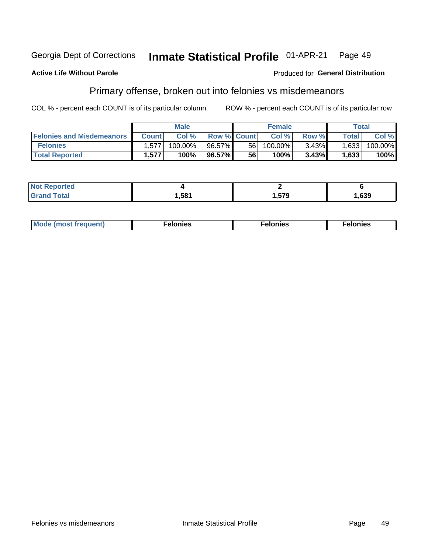#### Inmate Statistical Profile 01-APR-21 Georgia Dept of Corrections Page 49

#### **Active Life Without Parole**

#### Produced for General Distribution

## Primary offense, broken out into felonies vs misdemeanors

COL % - percent each COUNT is of its particular column

|                                  |              | <b>Male</b> |                    |    | <b>Female</b> |       | Total        |         |
|----------------------------------|--------------|-------------|--------------------|----|---------------|-------|--------------|---------|
| <b>Felonies and Misdemeanors</b> | <b>Count</b> | Col%        | <b>Row % Count</b> |    | Col%          | Row % | <b>Total</b> | Col %   |
| <b>Felonies</b>                  | 1,577        | 100.00%     | 96.57%             | 56 | 100.00%       | 3.43% | 1,633        | 100.00% |
| <b>Total Reported</b>            | .577         | 100%        | 96.57%             | 56 | 100%          | 3.43% | 1,633        | 100%    |

| <b>Not Reported</b>  |       |               |      |
|----------------------|-------|---------------|------|
| <b>Total</b><br>Gran | 1,581 | 570<br>.J I J | ,639 |

| <b>Mode</b><br>frequent)<br>nies<br>≧ (most tr.<br>. | onies<br>. | lonies<br>енл<br>____ |
|------------------------------------------------------|------------|-----------------------|
|------------------------------------------------------|------------|-----------------------|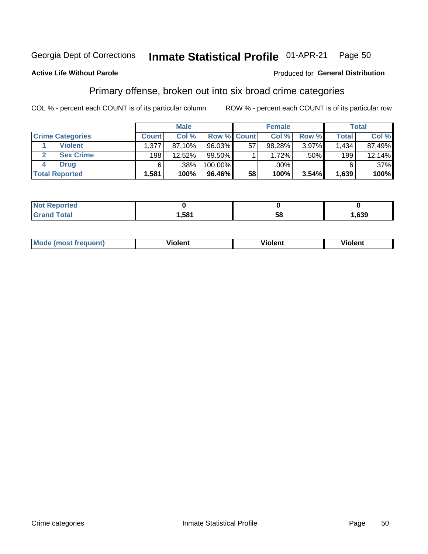#### Inmate Statistical Profile 01-APR-21 Georgia Dept of Corrections Page 50

#### **Active Life Without Parole**

#### Produced for General Distribution

## Primary offense, broken out into six broad crime categories

COL % - percent each COUNT is of its particular column

|                         |              | <b>Male</b> |             |    | <b>Female</b> |          |              | Total   |
|-------------------------|--------------|-------------|-------------|----|---------------|----------|--------------|---------|
| <b>Crime Categories</b> | <b>Count</b> | Col %1      | Row % Count |    | Col %         | Row %    | <b>Total</b> | Col %   |
| <b>Violent</b>          | 1.377        | 87.10%      | 96.03%      | 57 | 98.28%        | 3.97%    | 1,434        | 87.49%  |
| <b>Sex Crime</b>        | 198          | 12.52%      | $99.50\%$   |    | $1.72\%$      | $.50\%$  | 199          | 12.14%  |
| <b>Drug</b>             | 6            | .38%        | 100.00%     |    | .00%          |          | 6            | $.37\%$ |
| <b>Total Reported</b>   | 1,581        | 100%        | 96.46%      | 58 | 100%          | $3.54\%$ | 1,639        | 100%    |

| .           |     |          |     |
|-------------|-----|----------|-----|
| -<br>______ | 581 | --<br>ာင | 639 |

| Mo<br>quenti | .<br>iolent<br>ΊΙ. | --<br>olent | .<br>'ent |
|--------------|--------------------|-------------|-----------|
|              |                    |             |           |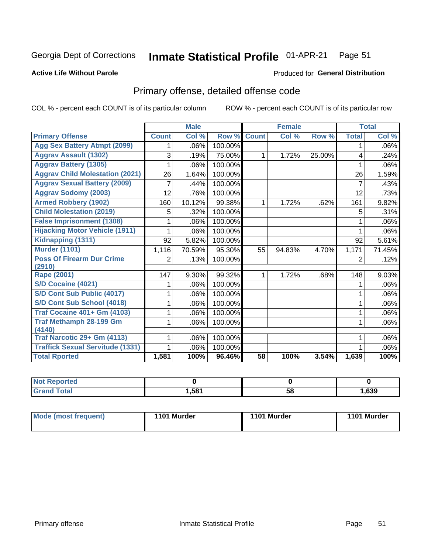#### Inmate Statistical Profile 01-APR-21 Page 51

#### **Active Life Without Parole**

#### Produced for General Distribution

## Primary offense, detailed offense code

COL % - percent each COUNT is of its particular column

|                                         |              | <b>Male</b>                |         |              | <b>Female</b> |        |              | <b>Total</b> |
|-----------------------------------------|--------------|----------------------------|---------|--------------|---------------|--------|--------------|--------------|
| <b>Primary Offense</b>                  | <b>Count</b> | $\overline{\text{Col }^9}$ | Row %   | <b>Count</b> | Col %         | Row %  | <b>Total</b> | Col %        |
| <b>Agg Sex Battery Atmpt (2099)</b>     |              | .06%                       | 100.00% |              |               |        | 1            | .06%         |
| <b>Aggrav Assault (1302)</b>            | 3            | .19%                       | 75.00%  | 1            | 1.72%         | 25.00% | 4            | .24%         |
| <b>Aggrav Battery (1305)</b>            |              | .06%                       | 100.00% |              |               |        |              | .06%         |
| <b>Aggrav Child Molestation (2021)</b>  | 26           | 1.64%                      | 100.00% |              |               |        | 26           | 1.59%        |
| <b>Aggrav Sexual Battery (2009)</b>     |              | .44%                       | 100.00% |              |               |        | 7            | .43%         |
| <b>Aggrav Sodomy (2003)</b>             | 12           | .76%                       | 100.00% |              |               |        | 12           | .73%         |
| <b>Armed Robbery (1902)</b>             | 160          | 10.12%                     | 99.38%  | 1            | 1.72%         | .62%   | 161          | 9.82%        |
| <b>Child Molestation (2019)</b>         | 5            | .32%                       | 100.00% |              |               |        | 5            | .31%         |
| <b>False Imprisonment (1308)</b>        |              | .06%                       | 100.00% |              |               |        |              | .06%         |
| <b>Hijacking Motor Vehicle (1911)</b>   |              | .06%                       | 100.00% |              |               |        |              | .06%         |
| Kidnapping (1311)                       | 92           | 5.82%                      | 100.00% |              |               |        | 92           | 5.61%        |
| <b>Murder (1101)</b>                    | 1,116        | 70.59%                     | 95.30%  | 55           | 94.83%        | 4.70%  | 1,171        | 71.45%       |
| <b>Poss Of Firearm Dur Crime</b>        | 2            | .13%                       | 100.00% |              |               |        | 2            | .12%         |
| (2910)                                  |              |                            |         |              |               |        |              |              |
| Rape (2001)                             | 147          | 9.30%                      | 99.32%  |              | 1.72%         | .68%   | 148          | 9.03%        |
| S/D Cocaine (4021)                      |              | .06%                       | 100.00% |              |               |        |              | .06%         |
| S/D Cont Sub Public (4017)              |              | .06%                       | 100.00% |              |               |        |              | .06%         |
| S/D Cont Sub School (4018)              |              | .06%                       | 100.00% |              |               |        | 1            | .06%         |
| <b>Traf Cocaine 401+ Gm (4103)</b>      |              | .06%                       | 100.00% |              |               |        | 1            | .06%         |
| <b>Traf Methamph 28-199 Gm</b>          |              | .06%                       | 100.00% |              |               |        | 1            | .06%         |
| (4140)                                  |              |                            |         |              |               |        |              |              |
| Traf Narcotic 29+ Gm (4113)             |              | .06%                       | 100.00% |              |               |        |              | .06%         |
| <b>Traffick Sexual Servitude (1331)</b> |              | .06%                       | 100.00% |              |               |        |              | .06%         |
| <b>Total Rported</b>                    | 1,581        | 100%                       | 96.46%  | 58           | 100%          | 3.54%  | 1,639        | 100%         |

| <b>Not</b><br><b>orted</b> |      |    |      |
|----------------------------|------|----|------|
| <b>Total</b>               | ,581 | 58 | ,639 |

| Mode (most frequent) | 1101 Murder | 1101 Murder | 1101 Murder |
|----------------------|-------------|-------------|-------------|
|----------------------|-------------|-------------|-------------|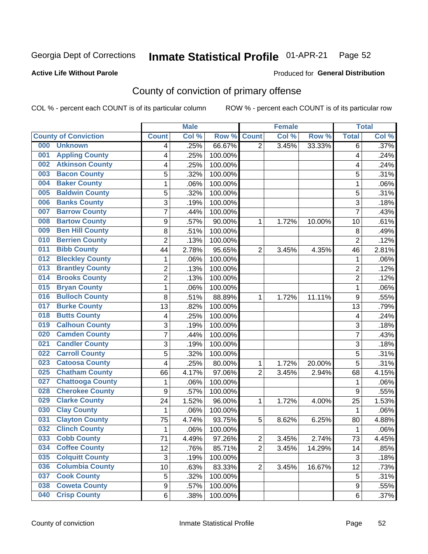#### Inmate Statistical Profile 01-APR-21 Page 52

### **Active Life Without Parole**

#### Produced for General Distribution

## County of conviction of primary offense

COL % - percent each COUNT is of its particular column

|                                |                  | <b>Male</b> |         |                | <b>Female</b> |        |                | <b>Total</b> |
|--------------------------------|------------------|-------------|---------|----------------|---------------|--------|----------------|--------------|
| <b>County of Conviction</b>    | <b>Count</b>     | Col %       | Row %   | <b>Count</b>   | Col %         | Row %  | <b>Total</b>   | Col %        |
| 000<br><b>Unknown</b>          | 4                | .25%        | 66.67%  | $\overline{2}$ | 3.45%         | 33.33% | 6              | .37%         |
| <b>Appling County</b><br>001   | 4                | .25%        | 100.00% |                |               |        | 4              | .24%         |
| <b>Atkinson County</b><br>002  | 4                | .25%        | 100.00% |                |               |        | 4              | .24%         |
| <b>Bacon County</b><br>003     | 5                | .32%        | 100.00% |                |               |        | 5              | .31%         |
| <b>Baker County</b><br>004     | 1                | .06%        | 100.00% |                |               |        | 1              | .06%         |
| <b>Baldwin County</b><br>005   | 5                | .32%        | 100.00% |                |               |        | 5              | .31%         |
| <b>Banks County</b><br>006     | 3                | .19%        | 100.00% |                |               |        | 3              | .18%         |
| <b>Barrow County</b><br>007    | $\overline{7}$   | .44%        | 100.00% |                |               |        | $\overline{7}$ | .43%         |
| <b>Bartow County</b><br>008    | $\boldsymbol{9}$ | .57%        | 90.00%  | 1              | 1.72%         | 10.00% | 10             | .61%         |
| <b>Ben Hill County</b><br>009  | 8                | .51%        | 100.00% |                |               |        | 8              | .49%         |
| <b>Berrien County</b><br>010   | $\overline{2}$   | .13%        | 100.00% |                |               |        | $\overline{2}$ | .12%         |
| <b>Bibb County</b><br>011      | 44               | 2.78%       | 95.65%  | $\overline{2}$ | 3.45%         | 4.35%  | 46             | 2.81%        |
| <b>Bleckley County</b><br>012  | 1                | .06%        | 100.00% |                |               |        | $\mathbf{1}$   | .06%         |
| <b>Brantley County</b><br>013  | $\overline{2}$   | .13%        | 100.00% |                |               |        | $\overline{2}$ | .12%         |
| <b>Brooks County</b><br>014    | $\overline{2}$   | .13%        | 100.00% |                |               |        | $\overline{2}$ | .12%         |
| <b>Bryan County</b><br>015     | $\mathbf{1}$     | .06%        | 100.00% |                |               |        | $\mathbf{1}$   | .06%         |
| <b>Bulloch County</b><br>016   | 8                | .51%        | 88.89%  | 1              | 1.72%         | 11.11% | 9              | .55%         |
| <b>Burke County</b><br>017     | 13               | .82%        | 100.00% |                |               |        | 13             | .79%         |
| <b>Butts County</b><br>018     | 4                | .25%        | 100.00% |                |               |        | 4              | .24%         |
| <b>Calhoun County</b><br>019   | $\mathbf{3}$     | .19%        | 100.00% |                |               |        | $\sqrt{3}$     | .18%         |
| <b>Camden County</b><br>020    | 7                | .44%        | 100.00% |                |               |        | 7              | .43%         |
| <b>Candler County</b><br>021   | 3                | .19%        | 100.00% |                |               |        | 3              | .18%         |
| <b>Carroll County</b><br>022   | 5                | .32%        | 100.00% |                |               |        | 5              | .31%         |
| <b>Catoosa County</b><br>023   | 4                | .25%        | 80.00%  | 1              | 1.72%         | 20.00% | 5              | .31%         |
| <b>Chatham County</b><br>025   | 66               | 4.17%       | 97.06%  | $\overline{2}$ | 3.45%         | 2.94%  | 68             | 4.15%        |
| <b>Chattooga County</b><br>027 | 1                | .06%        | 100.00% |                |               |        | 1              | .06%         |
| <b>Cherokee County</b><br>028  | $\boldsymbol{9}$ | .57%        | 100.00% |                |               |        | 9              | .55%         |
| <b>Clarke County</b><br>029    | 24               | 1.52%       | 96.00%  | 1              | 1.72%         | 4.00%  | 25             | 1.53%        |
| <b>Clay County</b><br>030      | $\mathbf{1}$     | .06%        | 100.00% |                |               |        | $\mathbf{1}$   | .06%         |
| <b>Clayton County</b><br>031   | 75               | 4.74%       | 93.75%  | 5              | 8.62%         | 6.25%  | 80             | 4.88%        |
| <b>Clinch County</b><br>032    | $\mathbf{1}$     | .06%        | 100.00% |                |               |        | 1              | .06%         |
| <b>Cobb County</b><br>033      | 71               | 4.49%       | 97.26%  | 2              | 3.45%         | 2.74%  | 73             | 4.45%        |
| <b>Coffee County</b><br>034    | 12               | .76%        | 85.71%  | $\overline{2}$ | 3.45%         | 14.29% | 14             | .85%         |
| 035<br><b>Colquitt County</b>  | $\sqrt{3}$       | .19%        | 100.00% |                |               |        | $\sqrt{3}$     | .18%         |
| <b>Columbia County</b><br>036  | 10               | .63%        | 83.33%  | $\overline{2}$ | 3.45%         | 16.67% | 12             | .73%         |
| <b>Cook County</b><br>037      | 5                | .32%        | 100.00% |                |               |        | 5              | .31%         |
| <b>Coweta County</b><br>038    | $\boldsymbol{9}$ | .57%        | 100.00% |                |               |        | 9              | .55%         |
| <b>Crisp County</b><br>040     | 6                | .38%        | 100.00% |                |               |        | 6              | .37%         |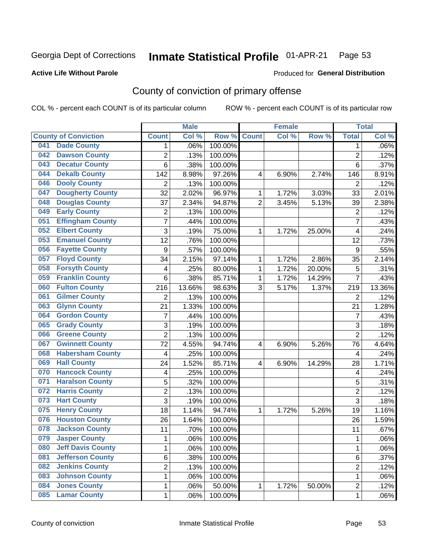#### Inmate Statistical Profile 01-APR-21 Page 53

### **Active Life Without Parole**

#### Produced for General Distribution

## County of conviction of primary offense

COL % - percent each COUNT is of its particular column

|     |                             |                         | <b>Male</b> |         |                | <b>Female</b> |        |                | <b>Total</b> |
|-----|-----------------------------|-------------------------|-------------|---------|----------------|---------------|--------|----------------|--------------|
|     | <b>County of Conviction</b> | <b>Count</b>            | Col %       | Row %   | <b>Count</b>   | Col %         | Row %  | <b>Total</b>   | Col %        |
| 041 | <b>Dade County</b>          | 1                       | .06%        | 100.00% |                |               |        | 1              | .06%         |
| 042 | <b>Dawson County</b>        | $\overline{c}$          | .13%        | 100.00% |                |               |        | $\overline{2}$ | .12%         |
| 043 | <b>Decatur County</b>       | 6                       | .38%        | 100.00% |                |               |        | 6              | .37%         |
| 044 | <b>Dekalb County</b>        | 142                     | 8.98%       | 97.26%  | 4              | 6.90%         | 2.74%  | 146            | 8.91%        |
| 046 | <b>Dooly County</b>         | $\overline{2}$          | .13%        | 100.00% |                |               |        | $\overline{2}$ | .12%         |
| 047 | <b>Dougherty County</b>     | 32                      | 2.02%       | 96.97%  | 1              | 1.72%         | 3.03%  | 33             | 2.01%        |
| 048 | <b>Douglas County</b>       | 37                      | 2.34%       | 94.87%  | $\overline{2}$ | 3.45%         | 5.13%  | 39             | 2.38%        |
| 049 | <b>Early County</b>         | $\mathbf 2$             | .13%        | 100.00% |                |               |        | $\overline{2}$ | .12%         |
| 051 | <b>Effingham County</b>     | 7                       | .44%        | 100.00% |                |               |        | $\overline{7}$ | .43%         |
| 052 | <b>Elbert County</b>        | $\overline{3}$          | .19%        | 75.00%  | 1              | 1.72%         | 25.00% | 4              | .24%         |
| 053 | <b>Emanuel County</b>       | $\overline{12}$         | .76%        | 100.00% |                |               |        | 12             | .73%         |
| 056 | <b>Fayette County</b>       | $\boldsymbol{9}$        | .57%        | 100.00% |                |               |        | 9              | .55%         |
| 057 | <b>Floyd County</b>         | 34                      | 2.15%       | 97.14%  | 1              | 1.72%         | 2.86%  | 35             | 2.14%        |
| 058 | <b>Forsyth County</b>       | $\overline{\mathbf{4}}$ | .25%        | 80.00%  | 1              | 1.72%         | 20.00% | 5              | .31%         |
| 059 | <b>Franklin County</b>      | 6                       | .38%        | 85.71%  | 1              | 1.72%         | 14.29% | $\overline{7}$ | .43%         |
| 060 | <b>Fulton County</b>        | 216                     | 13.66%      | 98.63%  | 3              | 5.17%         | 1.37%  | 219            | 13.36%       |
| 061 | <b>Gilmer County</b>        | $\overline{2}$          | .13%        | 100.00% |                |               |        | $\overline{2}$ | .12%         |
| 063 | <b>Glynn County</b>         | 21                      | 1.33%       | 100.00% |                |               |        | 21             | 1.28%        |
| 064 | <b>Gordon County</b>        | $\overline{7}$          | .44%        | 100.00% |                |               |        | $\overline{7}$ | .43%         |
| 065 | <b>Grady County</b>         | 3                       | .19%        | 100.00% |                |               |        | 3              | .18%         |
| 066 | <b>Greene County</b>        | $\overline{2}$          | .13%        | 100.00% |                |               |        | $\overline{2}$ | .12%         |
| 067 | <b>Gwinnett County</b>      | 72                      | 4.55%       | 94.74%  | 4              | 6.90%         | 5.26%  | 76             | 4.64%        |
| 068 | <b>Habersham County</b>     | $\overline{\mathbf{4}}$ | .25%        | 100.00% |                |               |        | 4              | .24%         |
| 069 | <b>Hall County</b>          | 24                      | 1.52%       | 85.71%  | $\overline{4}$ | 6.90%         | 14.29% | 28             | 1.71%        |
| 070 | <b>Hancock County</b>       | $\overline{\mathbf{4}}$ | .25%        | 100.00% |                |               |        | 4              | .24%         |
| 071 | <b>Haralson County</b>      | 5                       | .32%        | 100.00% |                |               |        | 5              | .31%         |
| 072 | <b>Harris County</b>        | $\overline{2}$          | .13%        | 100.00% |                |               |        | $\overline{2}$ | .12%         |
| 073 | <b>Hart County</b>          | $\overline{3}$          | .19%        | 100.00% |                |               |        | $\overline{3}$ | .18%         |
| 075 | <b>Henry County</b>         | 18                      | 1.14%       | 94.74%  | 1              | 1.72%         | 5.26%  | 19             | 1.16%        |
| 076 | <b>Houston County</b>       | 26                      | 1.64%       | 100.00% |                |               |        | 26             | 1.59%        |
| 078 | <b>Jackson County</b>       | 11                      | .70%        | 100.00% |                |               |        | 11             | .67%         |
| 079 | <b>Jasper County</b>        | 1                       | .06%        | 100.00% |                |               |        | 1              | .06%         |
| 080 | <b>Jeff Davis County</b>    | 1                       | .06%        | 100.00% |                |               |        | $\mathbf{1}$   | .06%         |
| 081 | <b>Jefferson County</b>     | 6                       | .38%        | 100.00% |                |               |        | 6              | .37%         |
| 082 | <b>Jenkins County</b>       | $\overline{2}$          | .13%        | 100.00% |                |               |        | 2              | .12%         |
| 083 | <b>Johnson County</b>       | 1                       | .06%        | 100.00% |                |               |        | 1              | .06%         |
| 084 | <b>Jones County</b>         | 1                       | .06%        | 50.00%  | 1              | 1.72%         | 50.00% | $\overline{2}$ | .12%         |
| 085 | <b>Lamar County</b>         | 1                       | .06%        | 100.00% |                |               |        | 1              | .06%         |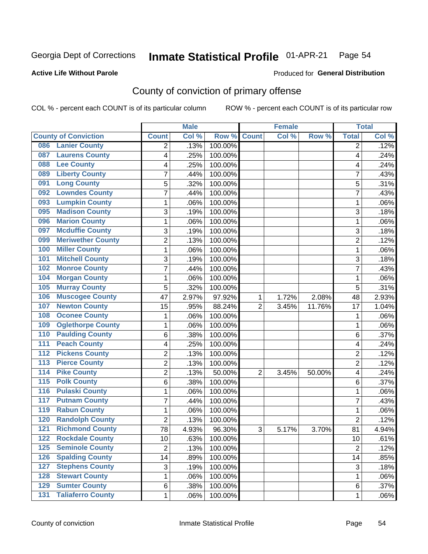#### Inmate Statistical Profile 01-APR-21 Page 54

### **Active Life Without Parole**

### **Produced for General Distribution**

## County of conviction of primary offense

COL % - percent each COUNT is of its particular column

|                                              |                | <b>Male</b> |         |                | <b>Female</b> |        |                | <b>Total</b> |
|----------------------------------------------|----------------|-------------|---------|----------------|---------------|--------|----------------|--------------|
| <b>County of Conviction</b>                  | <b>Count</b>   | Col %       | Row %   | <b>Count</b>   | Col %         | Row %  | <b>Total</b>   | Col %        |
| <b>Lanier County</b><br>086                  | 2              | .13%        | 100.00% |                |               |        | 2              | .12%         |
| <b>Laurens County</b><br>087                 | 4              | .25%        | 100.00% |                |               |        | 4              | .24%         |
| <b>Lee County</b><br>088                     | 4              | .25%        | 100.00% |                |               |        | 4              | .24%         |
| <b>Liberty County</b><br>089                 | 7              | .44%        | 100.00% |                |               |        | 7              | .43%         |
| <b>Long County</b><br>091                    | 5              | .32%        | 100.00% |                |               |        | 5              | .31%         |
| <b>Lowndes County</b><br>092                 | 7              | .44%        | 100.00% |                |               |        | $\overline{7}$ | .43%         |
| <b>Lumpkin County</b><br>093                 | 1              | .06%        | 100.00% |                |               |        | 1              | .06%         |
| <b>Madison County</b><br>095                 | 3              | .19%        | 100.00% |                |               |        | 3              | .18%         |
| <b>Marion County</b><br>096                  | 1              | .06%        | 100.00% |                |               |        | $\mathbf{1}$   | .06%         |
| <b>Mcduffie County</b><br>097                | 3              | .19%        | 100.00% |                |               |        | 3              | .18%         |
| <b>Meriwether County</b><br>099              | 2              | .13%        | 100.00% |                |               |        | $\overline{c}$ | .12%         |
| <b>Miller County</b><br>100                  | 1              | .06%        | 100.00% |                |               |        | $\mathbf{1}$   | .06%         |
| <b>Mitchell County</b><br>101                | 3              | .19%        | 100.00% |                |               |        | 3              | .18%         |
| <b>Monroe County</b><br>102                  | 7              | .44%        | 100.00% |                |               |        | 7              | .43%         |
| <b>Morgan County</b><br>104                  | 1              | .06%        | 100.00% |                |               |        | $\mathbf{1}$   | .06%         |
| <b>Murray County</b><br>105                  | 5              | .32%        | 100.00% |                |               |        | 5              | .31%         |
| <b>Muscogee County</b><br>106                | 47             | 2.97%       | 97.92%  | 1              | 1.72%         | 2.08%  | 48             | 2.93%        |
| <b>Newton County</b><br>107                  | 15             | .95%        | 88.24%  | $\overline{2}$ | 3.45%         | 11.76% | 17             | 1.04%        |
| <b>Oconee County</b><br>108                  | 1              | .06%        | 100.00% |                |               |        | 1              | .06%         |
| <b>Oglethorpe County</b><br>109              | 1              | .06%        | 100.00% |                |               |        | $\mathbf{1}$   | .06%         |
| <b>Paulding County</b><br>110                | 6              | .38%        | 100.00% |                |               |        | 6              | .37%         |
| <b>Peach County</b><br>$\overline{111}$      | 4              | .25%        | 100.00% |                |               |        | 4              | .24%         |
| <b>Pickens County</b><br>$\overline{112}$    | $\overline{2}$ | .13%        | 100.00% |                |               |        | $\overline{2}$ | .12%         |
| <b>Pierce County</b><br>113                  | $\overline{2}$ | .13%        | 100.00% |                |               |        | $\overline{2}$ | .12%         |
| <b>Pike County</b><br>114                    | 2              | .13%        | 50.00%  | $\overline{2}$ | 3.45%         | 50.00% | 4              | .24%         |
| 115<br><b>Polk County</b>                    | 6              | .38%        | 100.00% |                |               |        | 6              | .37%         |
| <b>Pulaski County</b><br>$\overline{116}$    | 1              | .06%        | 100.00% |                |               |        | $\mathbf{1}$   | .06%         |
| <b>Putnam County</b><br>117                  | 7              | .44%        | 100.00% |                |               |        | $\overline{7}$ | .43%         |
| <b>Rabun County</b><br>119                   | 1              | .06%        | 100.00% |                |               |        | $\mathbf{1}$   | .06%         |
| <b>Randolph County</b><br>120                | $\overline{2}$ | .13%        | 100.00% |                |               |        | $\overline{2}$ | .12%         |
| <b>Richmond County</b><br>121                | 78             | 4.93%       | 96.30%  | 3              | 5.17%         | 3.70%  | 81             | 4.94%        |
| 122<br><b>Rockdale County</b>                | 10             | .63%        | 100.00% |                |               |        | 10             | .61%         |
| <b>Seminole County</b><br>125                | $\overline{2}$ | .13%        | 100.00% |                |               |        | $\overline{2}$ | .12%         |
| <b>Spalding County</b><br>$\overline{126}$   | 14             | .89%        | 100.00% |                |               |        | 14             | .85%         |
| <b>Stephens County</b><br>127                | 3              | .19%        | 100.00% |                |               |        | 3              | .18%         |
| <b>Stewart County</b><br>128                 | 1              | .06%        | 100.00% |                |               |        | 1              | .06%         |
| <b>Sumter County</b><br>129                  | 6              | .38%        | 100.00% |                |               |        | 6              | .37%         |
| <b>Taliaferro County</b><br>$\overline{131}$ | $\mathbf{1}$   | .06%        | 100.00% |                |               |        | $\mathbf 1$    | .06%         |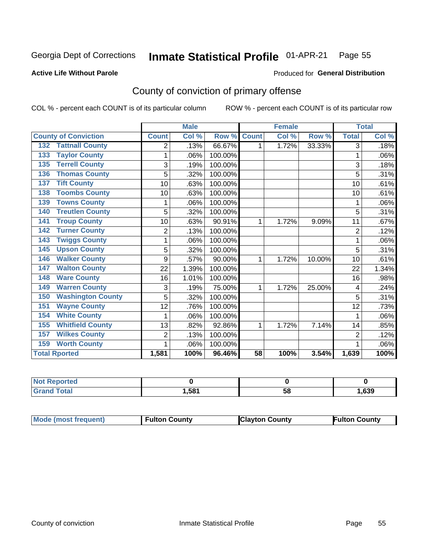#### Inmate Statistical Profile 01-APR-21 Page 55

Produced for General Distribution

#### **Active Life Without Parole**

## County of conviction of primary offense

COL % - percent each COUNT is of its particular column

|                                 |              | <b>Male</b> |         |                 | <b>Female</b> |        |                | <b>Total</b> |
|---------------------------------|--------------|-------------|---------|-----------------|---------------|--------|----------------|--------------|
| <b>County of Conviction</b>     | <b>Count</b> | Col %       | Row %   | <b>Count</b>    | Col %         | Row %  | <b>Total</b>   | Col %        |
| <b>Tattnall County</b><br>132   | 2            | .13%        | 66.67%  | 1               | 1.72%         | 33.33% | 3              | .18%         |
| <b>Taylor County</b><br>133     | 1            | .06%        | 100.00% |                 |               |        | 1              | .06%         |
| <b>Terrell County</b><br>135    | 3            | .19%        | 100.00% |                 |               |        | 3              | .18%         |
| <b>Thomas County</b><br>136     | 5            | .32%        | 100.00% |                 |               |        | 5              | .31%         |
| <b>Tift County</b><br>137       | 10           | .63%        | 100.00% |                 |               |        | 10             | .61%         |
| <b>Toombs County</b><br>138     | 10           | .63%        | 100.00% |                 |               |        | 10             | .61%         |
| <b>Towns County</b><br>139      |              | .06%        | 100.00% |                 |               |        | 1              | .06%         |
| <b>Treutlen County</b><br>140   | 5            | .32%        | 100.00% |                 |               |        | 5              | .31%         |
| <b>Troup County</b><br>141      | 10           | .63%        | 90.91%  | 1               | 1.72%         | 9.09%  | 11             | .67%         |
| <b>Turner County</b><br>142     | 2            | .13%        | 100.00% |                 |               |        | 2              | .12%         |
| <b>Twiggs County</b><br>143     |              | .06%        | 100.00% |                 |               |        | 1              | .06%         |
| <b>Upson County</b><br>145      | 5            | .32%        | 100.00% |                 |               |        | 5              | .31%         |
| <b>Walker County</b><br>146     | 9            | .57%        | 90.00%  | 1               | 1.72%         | 10.00% | 10             | .61%         |
| <b>Walton County</b><br>147     | 22           | 1.39%       | 100.00% |                 |               |        | 22             | 1.34%        |
| <b>Ware County</b><br>148       | 16           | 1.01%       | 100.00% |                 |               |        | 16             | .98%         |
| <b>Warren County</b><br>149     | 3            | .19%        | 75.00%  | 1               | 1.72%         | 25.00% | 4              | .24%         |
| <b>Washington County</b><br>150 | 5            | .32%        | 100.00% |                 |               |        | 5              | .31%         |
| <b>Wayne County</b><br>151      | 12           | .76%        | 100.00% |                 |               |        | 12             | .73%         |
| <b>White County</b><br>154      |              | .06%        | 100.00% |                 |               |        |                | .06%         |
| <b>Whitfield County</b><br>155  | 13           | .82%        | 92.86%  | 1               | 1.72%         | 7.14%  | 14             | .85%         |
| <b>Wilkes County</b><br>157     | 2            | .13%        | 100.00% |                 |               |        | $\overline{2}$ | .12%         |
| <b>Worth County</b><br>159      | 1            | .06%        | 100.00% |                 |               |        | 1              | .06%         |
| <b>Total Rported</b>            | 1,581        | 100%        | 96.46%  | $\overline{58}$ | 100%          | 3.54%  | 1,639          | 100%         |

| Reported |      |    |      |
|----------|------|----|------|
| otal     | .581 | วง | ,639 |

| <b>Mode (most frequent)</b> | <b>Fulton County</b> | <b>Clayton County</b> | <b>Fulton County</b> |
|-----------------------------|----------------------|-----------------------|----------------------|
|-----------------------------|----------------------|-----------------------|----------------------|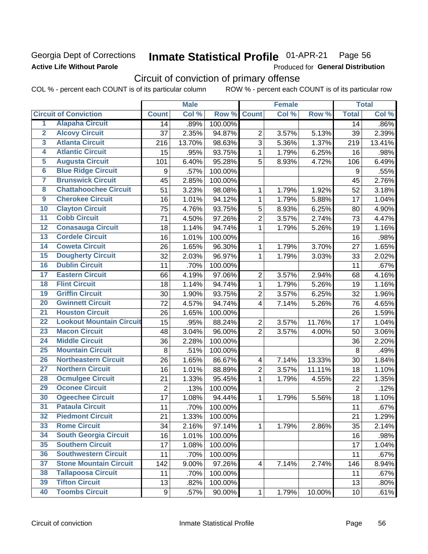### Georgia Dept of Corrections **Active Life Without Parole**

#### Inmate Statistical Profile 01-APR-21 Page 56

Produced for General Distribution

## Circuit of conviction of primary offense

COL % - percent each COUNT is of its particular column ROW % - percent each COUNT is of its particular row

|                         |                                 |                  | <b>Male</b> |         |                          | <b>Female</b> |        |                  | <b>Total</b> |
|-------------------------|---------------------------------|------------------|-------------|---------|--------------------------|---------------|--------|------------------|--------------|
|                         | <b>Circuit of Conviction</b>    | <b>Count</b>     | Col %       | Row %   | <b>Count</b>             | Col %         | Row %  | <b>Total</b>     | Col %        |
| 1                       | <b>Alapaha Circuit</b>          | 14               | .89%        | 100.00% |                          |               |        | 14               | .86%         |
| $\overline{2}$          | <b>Alcovy Circuit</b>           | 37               | 2.35%       | 94.87%  | $\overline{2}$           | 3.57%         | 5.13%  | 39               | 2.39%        |
| $\overline{\mathbf{3}}$ | <b>Atlanta Circuit</b>          | 216              | 13.70%      | 98.63%  | 3                        | 5.36%         | 1.37%  | 219              | 13.41%       |
| 4                       | <b>Atlantic Circuit</b>         | 15               | .95%        | 93.75%  | $\mathbf 1$              | 1.79%         | 6.25%  | 16               | .98%         |
| 5                       | <b>Augusta Circuit</b>          | 101              | 6.40%       | 95.28%  | 5                        | 8.93%         | 4.72%  | 106              | 6.49%        |
| $\overline{6}$          | <b>Blue Ridge Circuit</b>       | $\boldsymbol{9}$ | .57%        | 100.00% |                          |               |        | $\boldsymbol{9}$ | .55%         |
| 7                       | <b>Brunswick Circuit</b>        | 45               | 2.85%       | 100.00% |                          |               |        | 45               | 2.76%        |
| 8                       | <b>Chattahoochee Circuit</b>    | 51               | 3.23%       | 98.08%  | 1                        | 1.79%         | 1.92%  | 52               | 3.18%        |
| $\overline{9}$          | <b>Cherokee Circuit</b>         | 16               | 1.01%       | 94.12%  | 1                        | 1.79%         | 5.88%  | 17               | 1.04%        |
| 10                      | <b>Clayton Circuit</b>          | 75               | 4.76%       | 93.75%  | 5                        | 8.93%         | 6.25%  | 80               | 4.90%        |
| $\overline{11}$         | <b>Cobb Circuit</b>             | 71               | 4.50%       | 97.26%  | $\overline{c}$           | 3.57%         | 2.74%  | 73               | 4.47%        |
| 12                      | <b>Conasauga Circuit</b>        | 18               | 1.14%       | 94.74%  | $\mathbf{1}$             | 1.79%         | 5.26%  | 19               | 1.16%        |
| 13                      | <b>Cordele Circuit</b>          | 16               | 1.01%       | 100.00% |                          |               |        | 16               | .98%         |
| $\overline{14}$         | <b>Coweta Circuit</b>           | 26               | 1.65%       | 96.30%  | $\mathbf{1}$             | 1.79%         | 3.70%  | 27               | 1.65%        |
| $\overline{15}$         | <b>Dougherty Circuit</b>        | 32               | 2.03%       | 96.97%  | $\mathbf 1$              | 1.79%         | 3.03%  | 33               | 2.02%        |
| 16                      | <b>Dublin Circuit</b>           | 11               | .70%        | 100.00% |                          |               |        | 11               | .67%         |
| 17                      | <b>Eastern Circuit</b>          | 66               | 4.19%       | 97.06%  | $\overline{2}$           | 3.57%         | 2.94%  | 68               | 4.16%        |
| 18                      | <b>Flint Circuit</b>            | 18               | 1.14%       | 94.74%  | $\mathbf{1}$             | 1.79%         | 5.26%  | 19               | 1.16%        |
| 19                      | <b>Griffin Circuit</b>          | 30               | 1.90%       | 93.75%  | $\overline{2}$           | 3.57%         | 6.25%  | 32               | 1.96%        |
| $\overline{20}$         | <b>Gwinnett Circuit</b>         | 72               | 4.57%       | 94.74%  | 4                        | 7.14%         | 5.26%  | 76               | 4.65%        |
| $\overline{21}$         | <b>Houston Circuit</b>          | 26               | 1.65%       | 100.00% |                          |               |        | 26               | 1.59%        |
| $\overline{22}$         | <b>Lookout Mountain Circuit</b> | 15               | .95%        | 88.24%  | $\overline{2}$           | 3.57%         | 11.76% | 17               | 1.04%        |
| 23                      | <b>Macon Circuit</b>            | 48               | 3.04%       | 96.00%  | $\overline{2}$           | 3.57%         | 4.00%  | 50               | 3.06%        |
| $\overline{24}$         | <b>Middle Circuit</b>           | 36               | 2.28%       | 100.00% |                          |               |        | 36               | 2.20%        |
| $\overline{25}$         | <b>Mountain Circuit</b>         | $\,8\,$          | .51%        | 100.00% |                          |               |        | 8                | .49%         |
| 26                      | <b>Northeastern Circuit</b>     | 26               | 1.65%       | 86.67%  | $\overline{\mathcal{A}}$ | 7.14%         | 13.33% | 30               | 1.84%        |
| $\overline{27}$         | <b>Northern Circuit</b>         | 16               | 1.01%       | 88.89%  | $\overline{c}$           | 3.57%         | 11.11% | 18               | 1.10%        |
| 28                      | <b>Ocmulgee Circuit</b>         | 21               | 1.33%       | 95.45%  | $\mathbf{1}$             | 1.79%         | 4.55%  | 22               | 1.35%        |
| 29                      | <b>Oconee Circuit</b>           | $\overline{2}$   | .13%        | 100.00% |                          |               |        | $\overline{2}$   | .12%         |
| 30                      | <b>Ogeechee Circuit</b>         | 17               | 1.08%       | 94.44%  | 1                        | 1.79%         | 5.56%  | 18               | 1.10%        |
| $\overline{31}$         | <b>Pataula Circuit</b>          | 11               | .70%        | 100.00% |                          |               |        | 11               | .67%         |
| 32                      | <b>Piedmont Circuit</b>         | 21               | 1.33%       | 100.00% |                          |               |        | 21               | 1.29%        |
| 33                      | <b>Rome Circuit</b>             | 34               | 2.16%       | 97.14%  | $\mathbf{1}$             | 1.79%         | 2.86%  | 35               | 2.14%        |
| 34                      | <b>South Georgia Circuit</b>    | 16               | 1.01%       | 100.00% |                          |               |        | 16               | .98%         |
| 35                      | <b>Southern Circuit</b>         | 17               | 1.08%       | 100.00% |                          |               |        | 17               | 1.04%        |
| 36                      | <b>Southwestern Circuit</b>     | 11               | .70%        | 100.00% |                          |               |        | 11               | .67%         |
| 37                      | <b>Stone Mountain Circuit</b>   | 142              | 9.00%       | 97.26%  | 4                        | 7.14%         | 2.74%  | 146              | 8.94%        |
| 38                      | <b>Tallapoosa Circuit</b>       | 11               | .70%        | 100.00% |                          |               |        | 11               | .67%         |
| 39                      | <b>Tifton Circuit</b>           | 13               | .82%        | 100.00% |                          |               |        | 13               | .80%         |
| 40                      | <b>Toombs Circuit</b>           | 9                | .57%        | 90.00%  | $\mathbf{1}$             | 1.79%         | 10.00% | 10 <sub>1</sub>  | .61%         |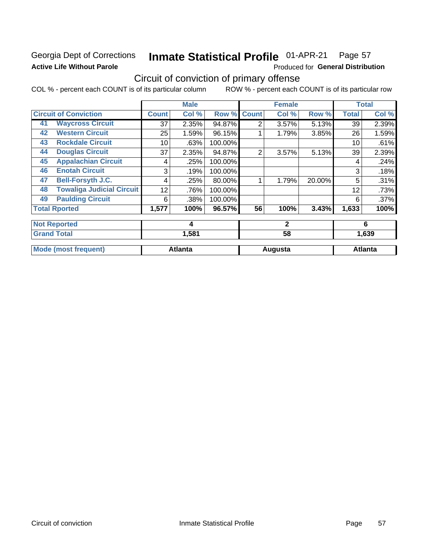### Georgia Dept of Corrections **Active Life Without Parole**

#### Inmate Statistical Profile 01-APR-21 Page 57

Produced for General Distribution

## Circuit of conviction of primary offense

COL % - percent each COUNT is of its particular column ROW % - percent each COUNT is of its particular row

|    |                                  |       | <b>Male</b>    |         |                | <b>Female</b> |        |              | <b>Total</b>   |
|----|----------------------------------|-------|----------------|---------|----------------|---------------|--------|--------------|----------------|
|    | <b>Circuit of Conviction</b>     | Count | Col %          | Row %   | <b>Count</b>   | Col %         | Row %  | <b>Total</b> | Col %          |
| 41 | <b>Waycross Circuit</b>          | 37    | 2.35%          | 94.87%  | 2              | 3.57%         | 5.13%  | 39           | 2.39%          |
| 42 | <b>Western Circuit</b>           | 25    | 1.59%          | 96.15%  |                | 1.79%         | 3.85%  | 26           | 1.59%          |
| 43 | <b>Rockdale Circuit</b>          | 10    | .63%           | 100.00% |                |               |        | 10           | .61%           |
| 44 | <b>Douglas Circuit</b>           | 37    | 2.35%          | 94.87%  | $\overline{2}$ | 3.57%         | 5.13%  | 39           | 2.39%          |
| 45 | <b>Appalachian Circuit</b>       | 4     | .25%           | 100.00% |                |               |        | 4            | .24%           |
| 46 | <b>Enotah Circuit</b>            | 3     | .19%           | 100.00% |                |               |        | 3            | .18%           |
| 47 | <b>Bell-Forsyth J.C.</b>         | 4     | .25%           | 80.00%  |                | 1.79%         | 20.00% | 5            | .31%           |
| 48 | <b>Towaliga Judicial Circuit</b> | 12    | .76%           | 100.00% |                |               |        | 12           | .73%           |
| 49 | <b>Paulding Circuit</b>          | 6     | .38%           | 100.00% |                |               |        | 6            | .37%           |
|    | <b>Total Rported</b>             | 1,577 | 100%           | 96.57%  | 56             | 100%          | 3.43%  | 1,633        | 100%           |
|    | <b>Not Reported</b>              |       | 4              |         |                | $\mathbf{2}$  |        |              | 6              |
|    | <b>Grand Total</b>               |       | 1,581          |         |                | 58            |        |              | 1,639          |
|    | <b>Mode (most frequent)</b>      |       | <b>Atlanta</b> |         |                | Augusta       |        |              | <b>Atlanta</b> |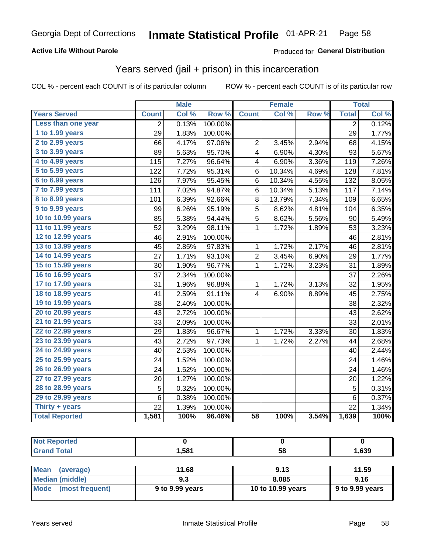### **Active Life Without Parole**

### **Produced for General Distribution**

## Years served (jail + prison) in this incarceration

COL % - percent each COUNT is of its particular column

|                        |              | <b>Male</b> |                  |                 | <b>Female</b> |       |                | <b>Total</b> |
|------------------------|--------------|-------------|------------------|-----------------|---------------|-------|----------------|--------------|
| <b>Years Served</b>    | <b>Count</b> | Col %       | Row <sup>%</sup> | <b>Count</b>    | Col %         | Row % | <b>Total</b>   | Col %        |
| Less than one year     | 2            | 0.13%       | 100.00%          |                 |               |       | $\overline{2}$ | 0.12%        |
| 1 to 1.99 years        | 29           | 1.83%       | 100.00%          |                 |               |       | 29             | 1.77%        |
| 2 to 2.99 years        | 66           | 4.17%       | 97.06%           | $\overline{c}$  | 3.45%         | 2.94% | 68             | 4.15%        |
| 3 to 3.99 years        | 89           | 5.63%       | 95.70%           | 4               | 6.90%         | 4.30% | 93             | 5.67%        |
| 4 to 4.99 years        | 115          | 7.27%       | 96.64%           | 4               | 6.90%         | 3.36% | 119            | 7.26%        |
| 5 to 5.99 years        | 122          | 7.72%       | 95.31%           | 6               | 10.34%        | 4.69% | 128            | 7.81%        |
| 6 to 6.99 years        | 126          | 7.97%       | 95.45%           | 6               | 10.34%        | 4.55% | 132            | 8.05%        |
| 7 to 7.99 years        | 111          | 7.02%       | 94.87%           | 6               | 10.34%        | 5.13% | 117            | 7.14%        |
| <b>8 to 8.99 years</b> | 101          | 6.39%       | 92.66%           | 8               | 13.79%        | 7.34% | 109            | 6.65%        |
| 9 to 9.99 years        | 99           | 6.26%       | 95.19%           | $\overline{5}$  | 8.62%         | 4.81% | 104            | 6.35%        |
| 10 to 10.99 years      | 85           | 5.38%       | 94.44%           | 5               | 8.62%         | 5.56% | 90             | 5.49%        |
| 11 to 11.99 years      | 52           | 3.29%       | 98.11%           | 1               | 1.72%         | 1.89% | 53             | 3.23%        |
| 12 to 12.99 years      | 46           | 2.91%       | 100.00%          |                 |               |       | 46             | 2.81%        |
| 13 to 13.99 years      | 45           | 2.85%       | 97.83%           | 1               | 1.72%         | 2.17% | 46             | 2.81%        |
| 14 to 14.99 years      | 27           | 1.71%       | 93.10%           | $\overline{c}$  | 3.45%         | 6.90% | 29             | 1.77%        |
| 15 to 15.99 years      | 30           | 1.90%       | 96.77%           | $\mathbf 1$     | 1.72%         | 3.23% | 31             | 1.89%        |
| 16 to 16.99 years      | 37           | 2.34%       | 100.00%          |                 |               |       | 37             | 2.26%        |
| 17 to 17.99 years      | 31           | 1.96%       | 96.88%           | 1               | 1.72%         | 3.13% | 32             | 1.95%        |
| 18 to 18.99 years      | 41           | 2.59%       | 91.11%           | 4               | 6.90%         | 8.89% | 45             | 2.75%        |
| 19 to 19.99 years      | 38           | 2.40%       | 100.00%          |                 |               |       | 38             | 2.32%        |
| 20 to 20.99 years      | 43           | 2.72%       | 100.00%          |                 |               |       | 43             | 2.62%        |
| 21 to 21.99 years      | 33           | 2.09%       | 100.00%          |                 |               |       | 33             | 2.01%        |
| 22 to 22.99 years      | 29           | 1.83%       | 96.67%           | 1               | 1.72%         | 3.33% | 30             | 1.83%        |
| 23 to 23.99 years      | 43           | 2.72%       | 97.73%           | 1               | 1.72%         | 2.27% | 44             | 2.68%        |
| 24 to 24.99 years      | 40           | 2.53%       | 100.00%          |                 |               |       | 40             | 2.44%        |
| 25 to 25.99 years      | 24           | 1.52%       | 100.00%          |                 |               |       | 24             | 1.46%        |
| 26 to 26.99 years      | 24           | 1.52%       | 100.00%          |                 |               |       | 24             | 1.46%        |
| 27 to 27.99 years      | 20           | 1.27%       | 100.00%          |                 |               |       | 20             | 1.22%        |
| 28 to 28.99 years      | 5            | 0.32%       | 100.00%          |                 |               |       | 5              | 0.31%        |
| 29 to 29.99 years      | 6            | 0.38%       | 100.00%          |                 |               |       | 6              | 0.37%        |
| Thirty + years         | 22           | 1.39%       | 100.00%          |                 |               |       | 22             | 1.34%        |
| <b>Total Reported</b>  | 1,581        | 100%        | 96.46%           | $\overline{58}$ | 100%          | 3.54% | 1,639          | 100%         |

| <b>Not</b><br>Reported |       |    |       |
|------------------------|-------|----|-------|
| <b>Total</b><br>Gran   | 1,581 | 58 | 1,639 |
|                        |       |    |       |

| Mean<br>(average)      | 11.68           | 9.13              | 11.59             |
|------------------------|-----------------|-------------------|-------------------|
| <b>Median (middle)</b> | 9.3             | 8.085             | 9.16              |
| Mode (most frequent)   | 9 to 9.99 years | 10 to 10.99 years | $9$ to 9.99 years |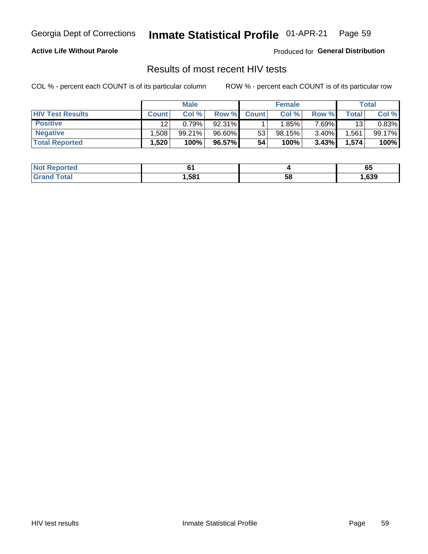#### Inmate Statistical Profile 01-APR-21 Page 59

### **Active Life Without Parole**

Produced for General Distribution

## Results of most recent HIV tests

COL % - percent each COUNT is of its particular column

|                         | <b>Male</b>  |        |        | <b>Female</b> |        |          | Total       |        |
|-------------------------|--------------|--------|--------|---------------|--------|----------|-------------|--------|
| <b>HIV Test Results</b> | <b>Count</b> | Col%   | Row %I | <b>Count</b>  | Col %  | Row %    | $\tau$ otal | Col %  |
| <b>Positive</b>         | 12           | 0.79%  | 92.31% |               | '.85%⊺ | $7.69\%$ | 13          | 0.83%  |
| <b>Negative</b>         | .508         | 99.21% | 96.60% | 53            | 98.15% | $3.40\%$ | .561        | 99.17% |
| <b>Total Reported</b>   | .520         | 100%   | 96.57% | 54            | 100%   | 3.43%    | 1,574       | 100%   |

| Not F<br><b>Reported</b> |      |    | vu   |
|--------------------------|------|----|------|
| <b>otal</b><br>$G$ ren   | ,581 | 58 | ,639 |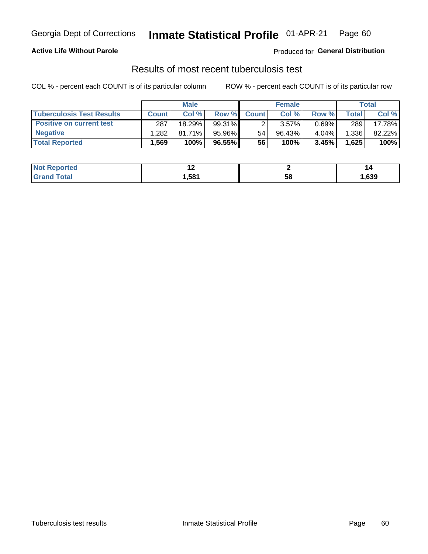## Georgia Dept of Corrections **Inmate Statistical Profile** 01-APR-21 Page 60

### **Active Life Without Parole**

Produced for **General Distribution**

## Results of most recent tuberculosis test

COL % - percent each COUNT is of its particular column ROW % - percent each COUNT is of its particular row

|                                  | <b>Male</b>  |           |        | <b>Female</b> |           |          | Total        |        |
|----------------------------------|--------------|-----------|--------|---------------|-----------|----------|--------------|--------|
| <b>Tuberculosis Test Results</b> | <b>Count</b> | Col %     | Row %I | <b>Count</b>  | Col %     | Row %    | <b>Total</b> | Col %  |
| <b>Positive on current test</b>  | 287          | 18.29%    | 99.31% |               | $3.57\%$  | $0.69\%$ | 289          | 17.78% |
| <b>Negative</b>                  | .282         | $81.71\%$ | 95.96% | 54            | $96.43\%$ | 4.04%    | 1,336        | 82.22% |
| <b>Total Reported</b>            | .569         | 100%      | 96.55% | 56            | 100%      | 3.45%    | 1,625        | 100%   |

| <b>Not Reported</b>           | . .  |    | ''     |
|-------------------------------|------|----|--------|
| <b>Total</b><br>$C$ ro $\sim$ | .581 | эŏ | 639, ا |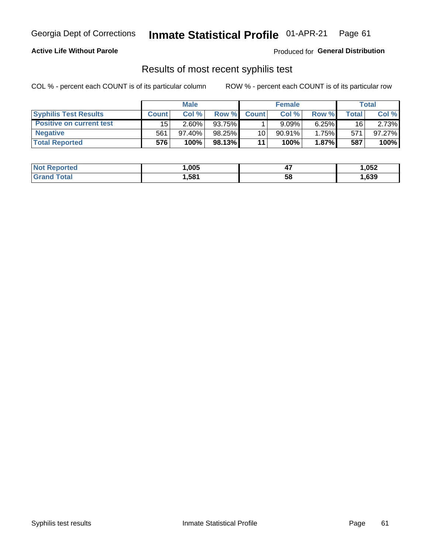## Georgia Dept of Corrections **Inmate Statistical Profile** 01-APR-21 Page 61

### **Active Life Without Parole**

Produced for **General Distribution**

### Results of most recent syphilis test

COL % - percent each COUNT is of its particular column ROW % - percent each COUNT is of its particular row

|                                 | <b>Male</b>  |           |          | <b>Female</b> |           |          | Total |        |
|---------------------------------|--------------|-----------|----------|---------------|-----------|----------|-------|--------|
| <b>Syphilis Test Results</b>    | <b>Count</b> | Col%      | Row %    | <b>Count</b>  | Col %     | Row %    | Total | Col %  |
| <b>Positive on current test</b> | 15           | $2.60\%$  | 93.75%   |               | 9.09%     | 6.25%    | 16    | 2.73%  |
| <b>Negative</b>                 | 561          | $97.40\%$ | 98.25%   | 10            | $90.91\%$ | 1.75%    | 571   | 97.27% |
| <b>Total Reported</b>           | 576          | 100%      | 98.13% I | 11            | 100%      | $1.87\%$ | 587   | 100%   |

| <b>Not Reported</b> | ,005 | . .<br>−. | 052, ا |
|---------------------|------|-----------|--------|
| <b>Grand Total</b>  | 581, | 58        | ,639   |